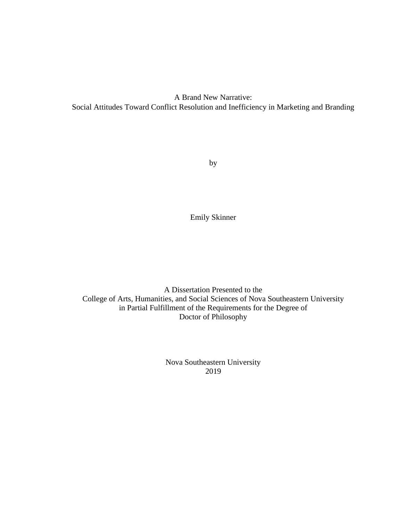A Brand New Narrative: Social Attitudes Toward Conflict Resolution and Inefficiency in Marketing and Branding

by

Emily Skinner

A Dissertation Presented to the College of Arts, Humanities, and Social Sciences of Nova Southeastern University in Partial Fulfillment of the Requirements for the Degree of Doctor of Philosophy

> Nova Southeastern University 2019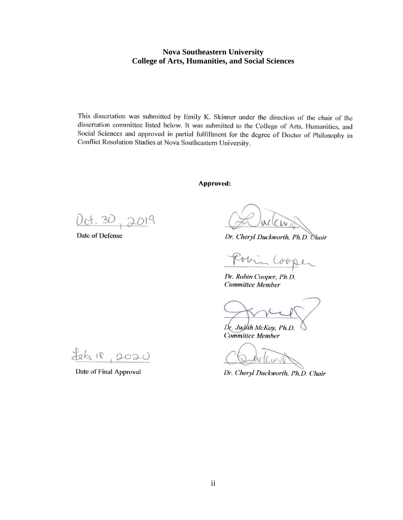# **Nova Southeastern University College of Arts, Humanities, and Social Sciences**

This dissertation was submitted by Emily K. Skinner under the direction of the chair of the dissertation committee listed below. It was submitted to the College of Arts, Humanities, and Social Sciences and approved in partial fulfillment for the degree of Doctor of Philosophy in Conflict Resolution Studies at Nova Southeastern University.

**Approved:** 

 $0$ ct.  $30$ ,  $2019$ 

Date of Defense

Dr. Cheryl Duckworth, Ph.D. Chair

 $U_{0}$ 

Dr. Robin Cooper, Ph.D. **Committee Member** 

Dr. Judlih McKay, Ph.D. **Committee Member** 

Dr. Cheryl Duckworth, Ph.D. Chair

 $Heb$ , 18  $2020$ 

Date of Final Approval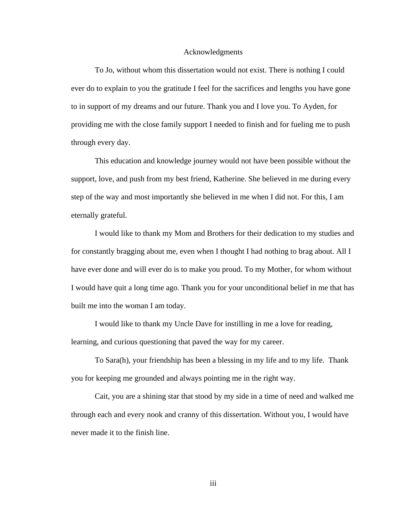### Acknowledgments

To Jo, without whom this dissertation would not exist. There is nothing I could ever do to explain to you the gratitude I feel for the sacrifices and lengths you have gone to in support of my dreams and our future. Thank you and I love you. To Ayden, for providing me with the close family support I needed to finish and for fueling me to push through every day.

This education and knowledge journey would not have been possible without the support, love, and push from my best friend, Katherine. She believed in me during every step of the way and most importantly she believed in me when I did not. For this, I am eternally grateful.

I would like to thank my Mom and Brothers for their dedication to my studies and for constantly bragging about me, even when I thought I had nothing to brag about. All I have ever done and will ever do is to make you proud. To my Mother, for whom without I would have quit a long time ago. Thank you for your unconditional belief in me that has built me into the woman I am today.

I would like to thank my Uncle Dave for instilling in me a love for reading, learning, and curious questioning that paved the way for my career.

To Sara(h), your friendship has been a blessing in my life and to my life. Thank you for keeping me grounded and always pointing me in the right way.

Cait, you are a shining star that stood by my side in a time of need and walked me through each and every nook and cranny of this dissertation. Without you, I would have never made it to the finish line.

iii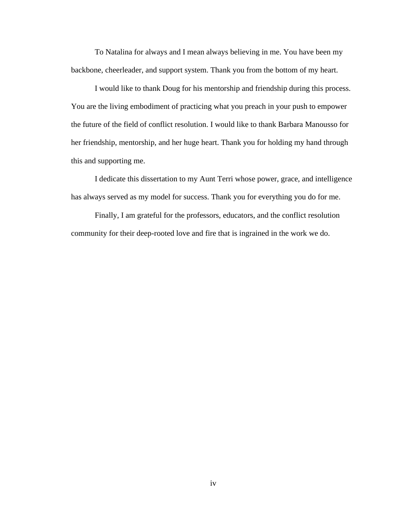To Natalina for always and I mean always believing in me. You have been my backbone, cheerleader, and support system. Thank you from the bottom of my heart.

I would like to thank Doug for his mentorship and friendship during this process. You are the living embodiment of practicing what you preach in your push to empower the future of the field of conflict resolution. I would like to thank Barbara Manousso for her friendship, mentorship, and her huge heart. Thank you for holding my hand through this and supporting me.

I dedicate this dissertation to my Aunt Terri whose power, grace, and intelligence has always served as my model for success. Thank you for everything you do for me.

Finally, I am grateful for the professors, educators, and the conflict resolution community for their deep-rooted love and fire that is ingrained in the work we do.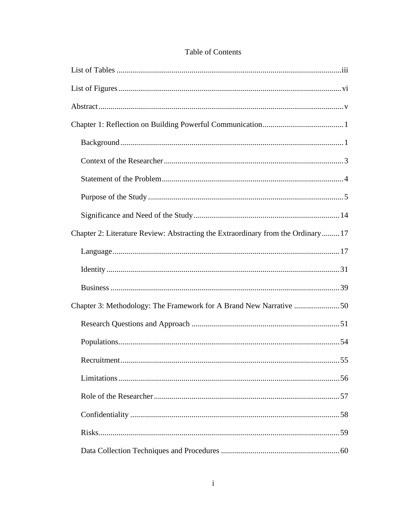| Chapter 2: Literature Review: Abstracting the Extraordinary from the Ordinary 17 |
|----------------------------------------------------------------------------------|
|                                                                                  |
|                                                                                  |
|                                                                                  |
|                                                                                  |
|                                                                                  |
|                                                                                  |
| 55<br>Recruitment.                                                               |
|                                                                                  |
|                                                                                  |
|                                                                                  |
|                                                                                  |
|                                                                                  |

# Table of Contents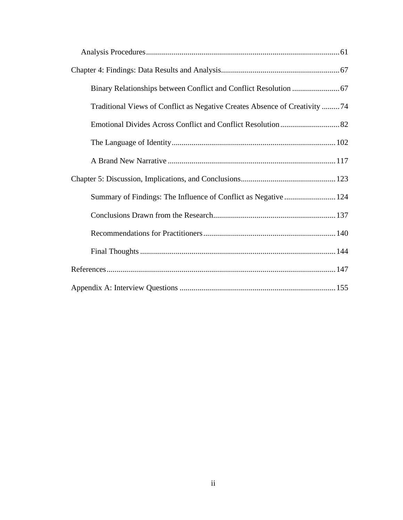| Traditional Views of Conflict as Negative Creates Absence of Creativity 74 |
|----------------------------------------------------------------------------|
|                                                                            |
|                                                                            |
|                                                                            |
|                                                                            |
| Summary of Findings: The Influence of Conflict as Negative 124             |
|                                                                            |
|                                                                            |
|                                                                            |
|                                                                            |
|                                                                            |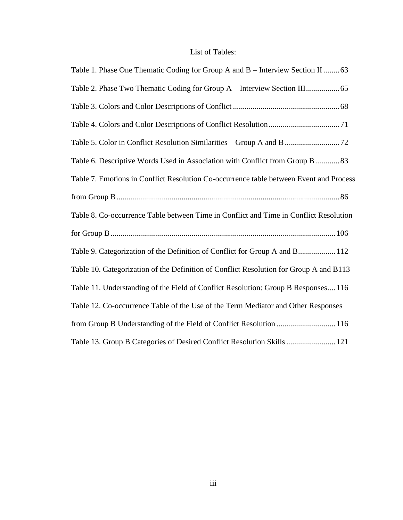# List of Tables:

| Table 1. Phase One Thematic Coding for Group A and B - Interview Section II  63        |
|----------------------------------------------------------------------------------------|
|                                                                                        |
|                                                                                        |
|                                                                                        |
|                                                                                        |
| Table 6. Descriptive Words Used in Association with Conflict from Group B  83          |
| Table 7. Emotions in Conflict Resolution Co-occurrence table between Event and Process |
|                                                                                        |
| Table 8. Co-occurrence Table between Time in Conflict and Time in Conflict Resolution  |
|                                                                                        |
| Table 9. Categorization of the Definition of Conflict for Group A and B 112            |
| Table 10. Categorization of the Definition of Conflict Resolution for Group A and B113 |
| Table 11. Understanding of the Field of Conflict Resolution: Group B Responses116      |
| Table 12. Co-occurrence Table of the Use of the Term Mediator and Other Responses      |
| from Group B Understanding of the Field of Conflict Resolution  116                    |
| Table 13. Group B Categories of Desired Conflict Resolution Skills  121                |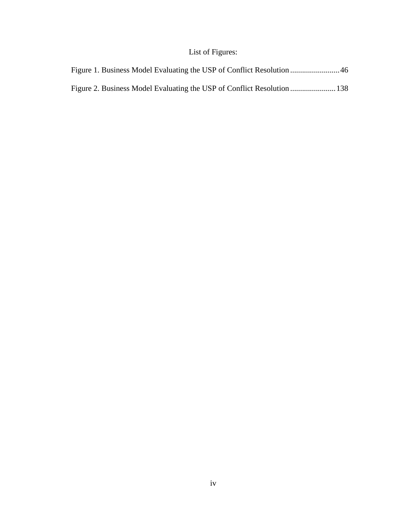# List of Figures: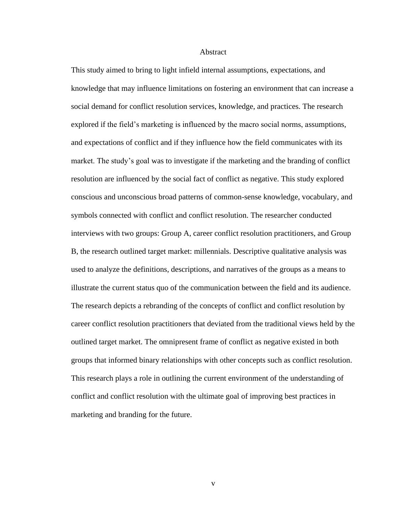#### **Abstract**

This study aimed to bring to light infield internal assumptions, expectations, and knowledge that may influence limitations on fostering an environment that can increase a social demand for conflict resolution services, knowledge, and practices. The research explored if the field's marketing is influenced by the macro social norms, assumptions, and expectations of conflict and if they influence how the field communicates with its market. The study's goal was to investigate if the marketing and the branding of conflict resolution are influenced by the social fact of conflict as negative. This study explored conscious and unconscious broad patterns of common-sense knowledge, vocabulary, and symbols connected with conflict and conflict resolution. The researcher conducted interviews with two groups: Group A, career conflict resolution practitioners, and Group B, the research outlined target market: millennials. Descriptive qualitative analysis was used to analyze the definitions, descriptions, and narratives of the groups as a means to illustrate the current status quo of the communication between the field and its audience. The research depicts a rebranding of the concepts of conflict and conflict resolution by career conflict resolution practitioners that deviated from the traditional views held by the outlined target market. The omnipresent frame of conflict as negative existed in both groups that informed binary relationships with other concepts such as conflict resolution. This research plays a role in outlining the current environment of the understanding of conflict and conflict resolution with the ultimate goal of improving best practices in marketing and branding for the future.

v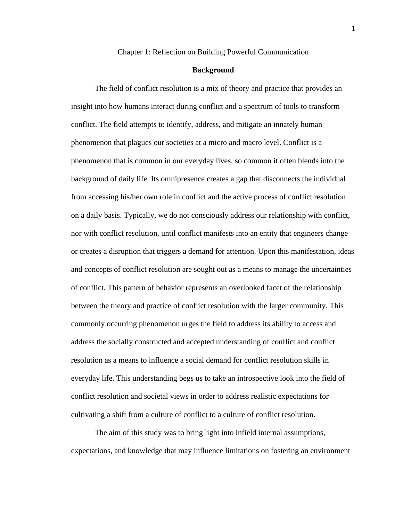Chapter 1: Reflection on Building Powerful Communication

## **Background**

The field of conflict resolution is a mix of theory and practice that provides an insight into how humans interact during conflict and a spectrum of tools to transform conflict. The field attempts to identify, address, and mitigate an innately human phenomenon that plagues our societies at a micro and macro level. Conflict is a phenomenon that is common in our everyday lives, so common it often blends into the background of daily life. Its omnipresence creates a gap that disconnects the individual from accessing his/her own role in conflict and the active process of conflict resolution on a daily basis. Typically, we do not consciously address our relationship with conflict, nor with conflict resolution, until conflict manifests into an entity that engineers change or creates a disruption that triggers a demand for attention. Upon this manifestation, ideas and concepts of conflict resolution are sought out as a means to manage the uncertainties of conflict. This pattern of behavior represents an overlooked facet of the relationship between the theory and practice of conflict resolution with the larger community. This commonly occurring phenomenon urges the field to address its ability to access and address the socially constructed and accepted understanding of conflict and conflict resolution as a means to influence a social demand for conflict resolution skills in everyday life. This understanding begs us to take an introspective look into the field of conflict resolution and societal views in order to address realistic expectations for cultivating a shift from a culture of conflict to a culture of conflict resolution.

The aim of this study was to bring light into infield internal assumptions, expectations, and knowledge that may influence limitations on fostering an environment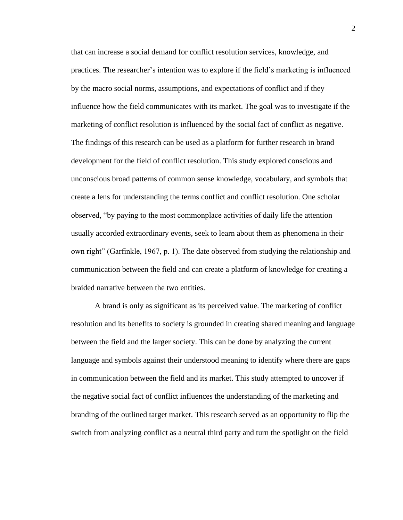that can increase a social demand for conflict resolution services, knowledge, and practices. The researcher's intention was to explore if the field's marketing is influenced by the macro social norms, assumptions, and expectations of conflict and if they influence how the field communicates with its market. The goal was to investigate if the marketing of conflict resolution is influenced by the social fact of conflict as negative. The findings of this research can be used as a platform for further research in brand development for the field of conflict resolution. This study explored conscious and unconscious broad patterns of common sense knowledge, vocabulary, and symbols that create a lens for understanding the terms conflict and conflict resolution. One scholar observed, "by paying to the most commonplace activities of daily life the attention usually accorded extraordinary events, seek to learn about them as phenomena in their own right" (Garfinkle, 1967, p. 1). The date observed from studying the relationship and communication between the field and can create a platform of knowledge for creating a braided narrative between the two entities.

A brand is only as significant as its perceived value. The marketing of conflict resolution and its benefits to society is grounded in creating shared meaning and language between the field and the larger society. This can be done by analyzing the current language and symbols against their understood meaning to identify where there are gaps in communication between the field and its market. This study attempted to uncover if the negative social fact of conflict influences the understanding of the marketing and branding of the outlined target market. This research served as an opportunity to flip the switch from analyzing conflict as a neutral third party and turn the spotlight on the field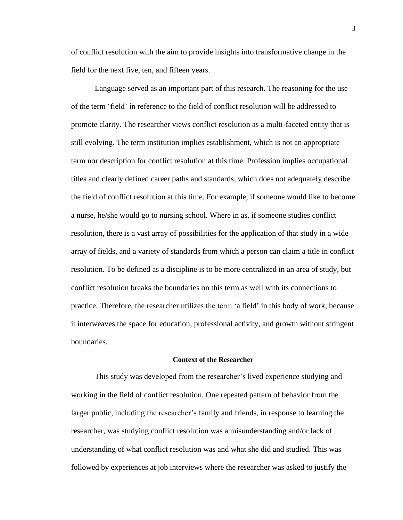of conflict resolution with the aim to provide insights into transformative change in the field for the next five, ten, and fifteen years.

Language served as an important part of this research. The reasoning for the use of the term 'field' in reference to the field of conflict resolution will be addressed to promote clarity. The researcher views conflict resolution as a multi-faceted entity that is still evolving. The term institution implies establishment, which is not an appropriate term nor description for conflict resolution at this time. Profession implies occupational titles and clearly defined career paths and standards, which does not adequately describe the field of conflict resolution at this time. For example, if someone would like to become a nurse, he/she would go to nursing school. Where in as, if someone studies conflict resolution, there is a vast array of possibilities for the application of that study in a wide array of fields, and a variety of standards from which a person can claim a title in conflict resolution. To be defined as a discipline is to be more centralized in an area of study, but conflict resolution breaks the boundaries on this term as well with its connections to practice. Therefore, the researcher utilizes the term 'a field' in this body of work, because it interweaves the space for education, professional activity, and growth without stringent boundaries.

# **Context of the Researcher**

This study was developed from the researcher's lived experience studying and working in the field of conflict resolution. One repeated pattern of behavior from the larger public, including the researcher's family and friends, in response to learning the researcher, was studying conflict resolution was a misunderstanding and/or lack of understanding of what conflict resolution was and what she did and studied. This was followed by experiences at job interviews where the researcher was asked to justify the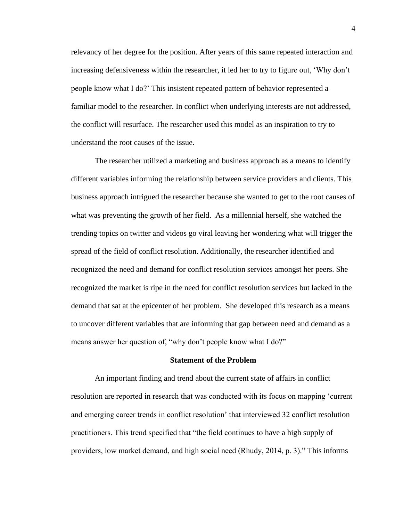relevancy of her degree for the position. After years of this same repeated interaction and increasing defensiveness within the researcher, it led her to try to figure out, 'Why don't people know what I do?' This insistent repeated pattern of behavior represented a familiar model to the researcher. In conflict when underlying interests are not addressed, the conflict will resurface. The researcher used this model as an inspiration to try to understand the root causes of the issue.

The researcher utilized a marketing and business approach as a means to identify different variables informing the relationship between service providers and clients. This business approach intrigued the researcher because she wanted to get to the root causes of what was preventing the growth of her field. As a millennial herself, she watched the trending topics on twitter and videos go viral leaving her wondering what will trigger the spread of the field of conflict resolution. Additionally, the researcher identified and recognized the need and demand for conflict resolution services amongst her peers. She recognized the market is ripe in the need for conflict resolution services but lacked in the demand that sat at the epicenter of her problem. She developed this research as a means to uncover different variables that are informing that gap between need and demand as a means answer her question of, "why don't people know what I do?"

## **Statement of the Problem**

An important finding and trend about the current state of affairs in conflict resolution are reported in research that was conducted with its focus on mapping 'current and emerging career trends in conflict resolution' that interviewed 32 conflict resolution practitioners. This trend specified that "the field continues to have a high supply of providers, low market demand, and high social need (Rhudy, 2014, p. 3)." This informs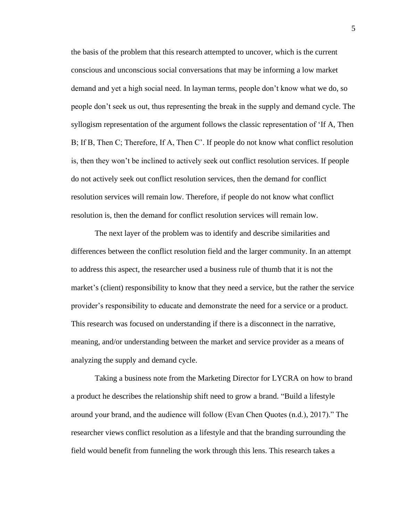the basis of the problem that this research attempted to uncover, which is the current conscious and unconscious social conversations that may be informing a low market demand and yet a high social need. In layman terms, people don't know what we do, so people don't seek us out, thus representing the break in the supply and demand cycle. The syllogism representation of the argument follows the classic representation of 'If A, Then B; If B, Then C; Therefore, If A, Then C'. If people do not know what conflict resolution is, then they won't be inclined to actively seek out conflict resolution services. If people do not actively seek out conflict resolution services, then the demand for conflict resolution services will remain low. Therefore, if people do not know what conflict resolution is, then the demand for conflict resolution services will remain low.

The next layer of the problem was to identify and describe similarities and differences between the conflict resolution field and the larger community. In an attempt to address this aspect, the researcher used a business rule of thumb that it is not the market's (client) responsibility to know that they need a service, but the rather the service provider's responsibility to educate and demonstrate the need for a service or a product. This research was focused on understanding if there is a disconnect in the narrative, meaning, and/or understanding between the market and service provider as a means of analyzing the supply and demand cycle.

Taking a business note from the Marketing Director for LYCRA on how to brand a product he describes the relationship shift need to grow a brand. "Build a lifestyle around your brand, and the audience will follow (Evan Chen Quotes (n.d.), 2017)." The researcher views conflict resolution as a lifestyle and that the branding surrounding the field would benefit from funneling the work through this lens. This research takes a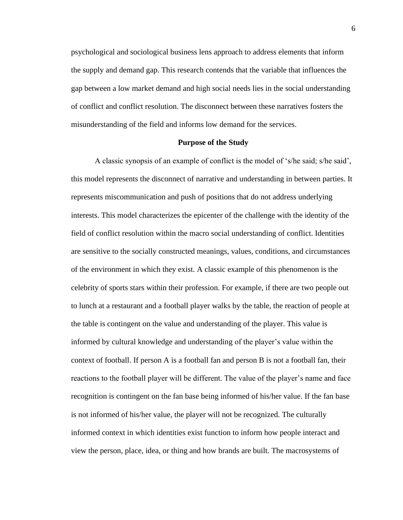psychological and sociological business lens approach to address elements that inform the supply and demand gap. This research contends that the variable that influences the gap between a low market demand and high social needs lies in the social understanding of conflict and conflict resolution. The disconnect between these narratives fosters the misunderstanding of the field and informs low demand for the services.

### **Purpose of the Study**

A classic synopsis of an example of conflict is the model of 's/he said; s/he said', this model represents the disconnect of narrative and understanding in between parties. It represents miscommunication and push of positions that do not address underlying interests. This model characterizes the epicenter of the challenge with the identity of the field of conflict resolution within the macro social understanding of conflict. Identities are sensitive to the socially constructed meanings, values, conditions, and circumstances of the environment in which they exist. A classic example of this phenomenon is the celebrity of sports stars within their profession. For example, if there are two people out to lunch at a restaurant and a football player walks by the table, the reaction of people at the table is contingent on the value and understanding of the player. This value is informed by cultural knowledge and understanding of the player's value within the context of football. If person A is a football fan and person B is not a football fan, their reactions to the football player will be different. The value of the player's name and face recognition is contingent on the fan base being informed of his/her value. If the fan base is not informed of his/her value, the player will not be recognized. The culturally informed context in which identities exist function to inform how people interact and view the person, place, idea, or thing and how brands are built. The macrosystems of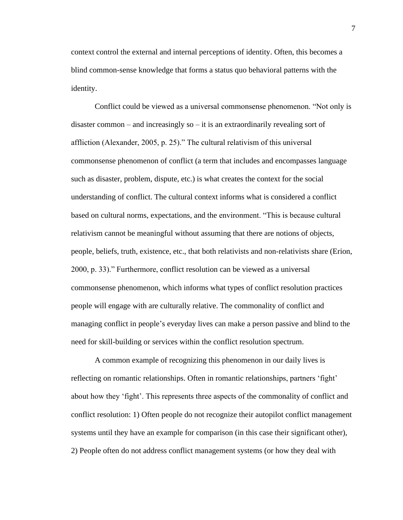context control the external and internal perceptions of identity. Often, this becomes a blind common-sense knowledge that forms a status quo behavioral patterns with the identity.

Conflict could be viewed as a universal commonsense phenomenon. "Not only is disaster common – and increasingly so – it is an extraordinarily revealing sort of affliction (Alexander, 2005, p. 25)." The cultural relativism of this universal commonsense phenomenon of conflict (a term that includes and encompasses language such as disaster, problem, dispute, etc.) is what creates the context for the social understanding of conflict. The cultural context informs what is considered a conflict based on cultural norms, expectations, and the environment. "This is because cultural relativism cannot be meaningful without assuming that there are notions of objects, people, beliefs, truth, existence, etc., that both relativists and non-relativists share (Erion, 2000, p. 33)." Furthermore, conflict resolution can be viewed as a universal commonsense phenomenon, which informs what types of conflict resolution practices people will engage with are culturally relative. The commonality of conflict and managing conflict in people's everyday lives can make a person passive and blind to the need for skill-building or services within the conflict resolution spectrum.

A common example of recognizing this phenomenon in our daily lives is reflecting on romantic relationships. Often in romantic relationships, partners 'fight' about how they 'fight'. This represents three aspects of the commonality of conflict and conflict resolution: 1) Often people do not recognize their autopilot conflict management systems until they have an example for comparison (in this case their significant other), 2) People often do not address conflict management systems (or how they deal with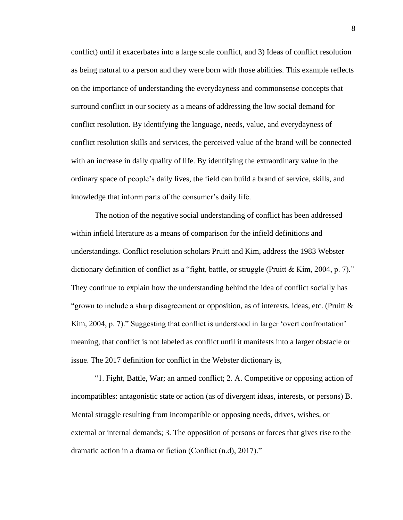conflict) until it exacerbates into a large scale conflict, and 3) Ideas of conflict resolution as being natural to a person and they were born with those abilities. This example reflects on the importance of understanding the everydayness and commonsense concepts that surround conflict in our society as a means of addressing the low social demand for conflict resolution. By identifying the language, needs, value, and everydayness of conflict resolution skills and services, the perceived value of the brand will be connected with an increase in daily quality of life. By identifying the extraordinary value in the ordinary space of people's daily lives, the field can build a brand of service, skills, and knowledge that inform parts of the consumer's daily life.

The notion of the negative social understanding of conflict has been addressed within infield literature as a means of comparison for the infield definitions and understandings. Conflict resolution scholars Pruitt and Kim, address the 1983 Webster dictionary definition of conflict as a "fight, battle, or struggle (Pruitt & Kim, 2004, p. 7)." They continue to explain how the understanding behind the idea of conflict socially has "grown to include a sharp disagreement or opposition, as of interests, ideas, etc. (Pruitt  $\&$ Kim, 2004, p. 7)." Suggesting that conflict is understood in larger 'overt confrontation' meaning, that conflict is not labeled as conflict until it manifests into a larger obstacle or issue. The 2017 definition for conflict in the Webster dictionary is,

"1. Fight, Battle, War; an armed conflict; 2. A. Competitive or opposing action of incompatibles: antagonistic state or action (as of divergent ideas, interests, or persons) B. Mental struggle resulting from incompatible or opposing needs, drives, wishes, or external or internal demands; 3. The opposition of persons or forces that gives rise to the dramatic action in a drama or fiction (Conflict (n.d), 2017)."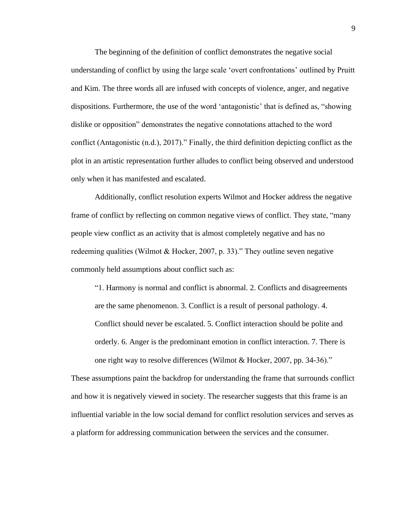The beginning of the definition of conflict demonstrates the negative social understanding of conflict by using the large scale 'overt confrontations' outlined by Pruitt and Kim. The three words all are infused with concepts of violence, anger, and negative dispositions. Furthermore, the use of the word 'antagonistic' that is defined as, "showing dislike or opposition" demonstrates the negative connotations attached to the word conflict (Antagonistic (n.d.), 2017)." Finally, the third definition depicting conflict as the plot in an artistic representation further alludes to conflict being observed and understood only when it has manifested and escalated.

Additionally, conflict resolution experts Wilmot and Hocker address the negative frame of conflict by reflecting on common negative views of conflict. They state, "many people view conflict as an activity that is almost completely negative and has no redeeming qualities (Wilmot & Hocker, 2007, p. 33)." They outline seven negative commonly held assumptions about conflict such as:

"1. Harmony is normal and conflict is abnormal. 2. Conflicts and disagreements are the same phenomenon. 3. Conflict is a result of personal pathology. 4. Conflict should never be escalated. 5. Conflict interaction should be polite and orderly. 6. Anger is the predominant emotion in conflict interaction. 7. There is one right way to resolve differences (Wilmot & Hocker, 2007, pp. 34-36)."

These assumptions paint the backdrop for understanding the frame that surrounds conflict and how it is negatively viewed in society. The researcher suggests that this frame is an influential variable in the low social demand for conflict resolution services and serves as a platform for addressing communication between the services and the consumer.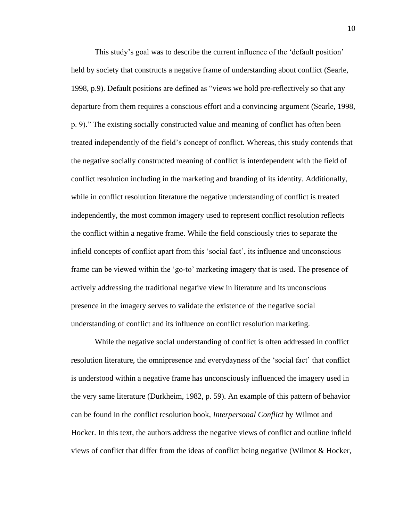This study's goal was to describe the current influence of the 'default position' held by society that constructs a negative frame of understanding about conflict (Searle, 1998, p.9). Default positions are defined as "views we hold pre-reflectively so that any departure from them requires a conscious effort and a convincing argument (Searle, 1998, p. 9)." The existing socially constructed value and meaning of conflict has often been treated independently of the field's concept of conflict. Whereas, this study contends that the negative socially constructed meaning of conflict is interdependent with the field of conflict resolution including in the marketing and branding of its identity. Additionally, while in conflict resolution literature the negative understanding of conflict is treated independently, the most common imagery used to represent conflict resolution reflects the conflict within a negative frame. While the field consciously tries to separate the infield concepts of conflict apart from this 'social fact', its influence and unconscious frame can be viewed within the 'go-to' marketing imagery that is used. The presence of actively addressing the traditional negative view in literature and its unconscious presence in the imagery serves to validate the existence of the negative social understanding of conflict and its influence on conflict resolution marketing.

While the negative social understanding of conflict is often addressed in conflict resolution literature, the omnipresence and everydayness of the 'social fact' that conflict is understood within a negative frame has unconsciously influenced the imagery used in the very same literature (Durkheim, 1982, p. 59). An example of this pattern of behavior can be found in the conflict resolution book, *Interpersonal Conflict* by Wilmot and Hocker. In this text, the authors address the negative views of conflict and outline infield views of conflict that differ from the ideas of conflict being negative (Wilmot & Hocker,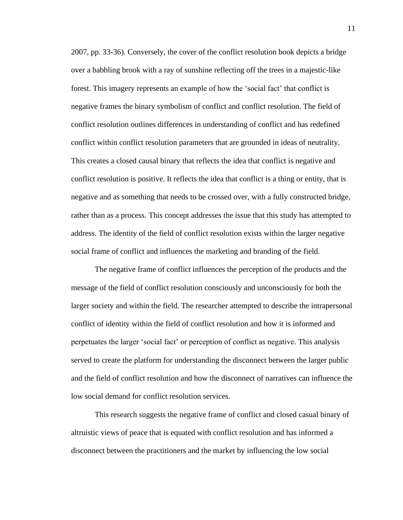2007, pp. 33-36). Conversely, the cover of the conflict resolution book depicts a bridge over a babbling brook with a ray of sunshine reflecting off the trees in a majestic-like forest. This imagery represents an example of how the 'social fact' that conflict is negative frames the binary symbolism of conflict and conflict resolution. The field of conflict resolution outlines differences in understanding of conflict and has redefined conflict within conflict resolution parameters that are grounded in ideas of neutrality. This creates a closed causal binary that reflects the idea that conflict is negative and conflict resolution is positive. It reflects the idea that conflict is a thing or entity, that is negative and as something that needs to be crossed over, with a fully constructed bridge, rather than as a process. This concept addresses the issue that this study has attempted to address. The identity of the field of conflict resolution exists within the larger negative social frame of conflict and influences the marketing and branding of the field.

The negative frame of conflict influences the perception of the products and the message of the field of conflict resolution consciously and unconsciously for both the larger society and within the field. The researcher attempted to describe the intrapersonal conflict of identity within the field of conflict resolution and how it is informed and perpetuates the larger 'social fact' or perception of conflict as negative. This analysis served to create the platform for understanding the disconnect between the larger public and the field of conflict resolution and how the disconnect of narratives can influence the low social demand for conflict resolution services.

This research suggests the negative frame of conflict and closed casual binary of altruistic views of peace that is equated with conflict resolution and has informed a disconnect between the practitioners and the market by influencing the low social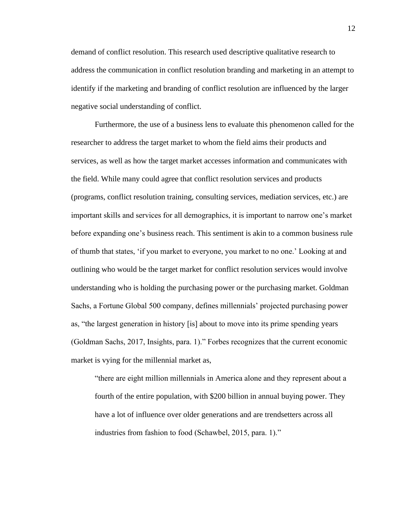demand of conflict resolution. This research used descriptive qualitative research to address the communication in conflict resolution branding and marketing in an attempt to identify if the marketing and branding of conflict resolution are influenced by the larger negative social understanding of conflict.

Furthermore, the use of a business lens to evaluate this phenomenon called for the researcher to address the target market to whom the field aims their products and services, as well as how the target market accesses information and communicates with the field. While many could agree that conflict resolution services and products (programs, conflict resolution training, consulting services, mediation services, etc.) are important skills and services for all demographics, it is important to narrow one's market before expanding one's business reach. This sentiment is akin to a common business rule of thumb that states, 'if you market to everyone, you market to no one.' Looking at and outlining who would be the target market for conflict resolution services would involve understanding who is holding the purchasing power or the purchasing market. Goldman Sachs, a Fortune Global 500 company, defines millennials' projected purchasing power as, "the largest generation in history [is] about to move into its prime spending years (Goldman Sachs, 2017, Insights, para. 1)." Forbes recognizes that the current economic market is vying for the millennial market as,

"there are eight million millennials in America alone and they represent about a fourth of the entire population, with \$200 billion in annual buying power. They have a lot of influence over older generations and are trendsetters across all industries from fashion to food (Schawbel, 2015, para. 1)."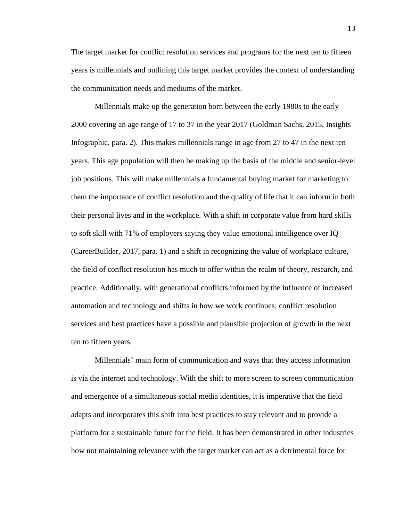The target market for conflict resolution services and programs for the next ten to fifteen years is millennials and outlining this target market provides the context of understanding the communication needs and mediums of the market.

Millennials make up the generation born between the early 1980s to the early 2000 covering an age range of 17 to 37 in the year 2017 (Goldman Sachs, 2015, Insights Infographic, para. 2). This makes millennials range in age from 27 to 47 in the next ten years. This age population will then be making up the basis of the middle and senior-level job positions. This will make millennials a fundamental buying market for marketing to them the importance of conflict resolution and the quality of life that it can inform in both their personal lives and in the workplace. With a shift in corporate value from hard skills to soft skill with 71% of employers saying they value emotional intelligence over IQ (CareerBuilder, 2017, para. 1) and a shift in recognizing the value of workplace culture, the field of conflict resolution has much to offer within the realm of theory, research, and practice. Additionally, with generational conflicts informed by the influence of increased automation and technology and shifts in how we work continues; conflict resolution services and best practices have a possible and plausible projection of growth in the next ten to fifteen years.

Millennials' main form of communication and ways that they access information is via the internet and technology. With the shift to more screen to screen communication and emergence of a simultaneous social media identities, it is imperative that the field adapts and incorporates this shift into best practices to stay relevant and to provide a platform for a sustainable future for the field. It has been demonstrated in other industries how not maintaining relevance with the target market can act as a detrimental force for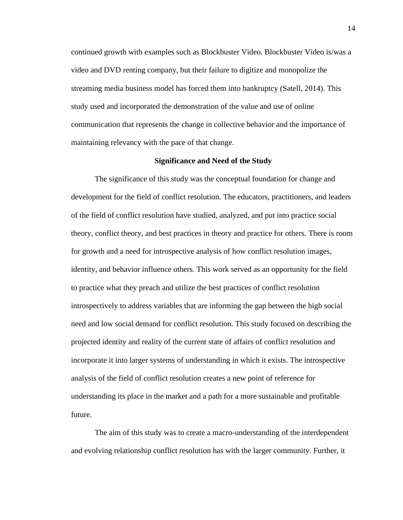continued growth with examples such as Blockbuster Video. Blockbuster Video is/was a video and DVD renting company, but their failure to digitize and monopolize the streaming media business model has forced them into bankruptcy (Satell, 2014). This study used and incorporated the demonstration of the value and use of online communication that represents the change in collective behavior and the importance of maintaining relevancy with the pace of that change.

### **Significance and Need of the Study**

The significance of this study was the conceptual foundation for change and development for the field of conflict resolution. The educators, practitioners, and leaders of the field of conflict resolution have studied, analyzed, and put into practice social theory, conflict theory, and best practices in theory and practice for others. There is room for growth and a need for introspective analysis of how conflict resolution images, identity, and behavior influence others. This work served as an opportunity for the field to practice what they preach and utilize the best practices of conflict resolution introspectively to address variables that are informing the gap between the high social need and low social demand for conflict resolution. This study focused on describing the projected identity and reality of the current state of affairs of conflict resolution and incorporate it into larger systems of understanding in which it exists. The introspective analysis of the field of conflict resolution creates a new point of reference for understanding its place in the market and a path for a more sustainable and profitable future.

The aim of this study was to create a macro-understanding of the interdependent and evolving relationship conflict resolution has with the larger community. Further, it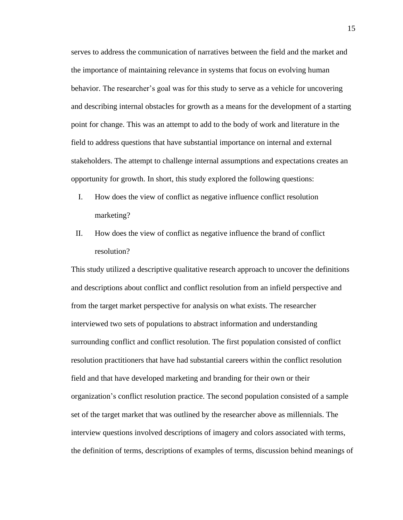serves to address the communication of narratives between the field and the market and the importance of maintaining relevance in systems that focus on evolving human behavior. The researcher's goal was for this study to serve as a vehicle for uncovering and describing internal obstacles for growth as a means for the development of a starting point for change. This was an attempt to add to the body of work and literature in the field to address questions that have substantial importance on internal and external stakeholders. The attempt to challenge internal assumptions and expectations creates an opportunity for growth. In short, this study explored the following questions:

- I. How does the view of conflict as negative influence conflict resolution marketing?
- II. How does the view of conflict as negative influence the brand of conflict resolution?

This study utilized a descriptive qualitative research approach to uncover the definitions and descriptions about conflict and conflict resolution from an infield perspective and from the target market perspective for analysis on what exists. The researcher interviewed two sets of populations to abstract information and understanding surrounding conflict and conflict resolution. The first population consisted of conflict resolution practitioners that have had substantial careers within the conflict resolution field and that have developed marketing and branding for their own or their organization's conflict resolution practice. The second population consisted of a sample set of the target market that was outlined by the researcher above as millennials. The interview questions involved descriptions of imagery and colors associated with terms, the definition of terms, descriptions of examples of terms, discussion behind meanings of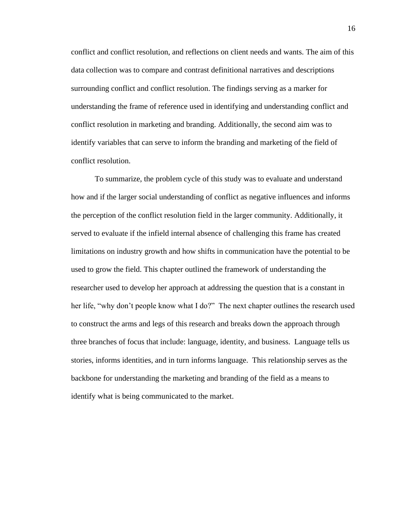conflict and conflict resolution, and reflections on client needs and wants. The aim of this data collection was to compare and contrast definitional narratives and descriptions surrounding conflict and conflict resolution. The findings serving as a marker for understanding the frame of reference used in identifying and understanding conflict and conflict resolution in marketing and branding. Additionally, the second aim was to identify variables that can serve to inform the branding and marketing of the field of conflict resolution.

To summarize, the problem cycle of this study was to evaluate and understand how and if the larger social understanding of conflict as negative influences and informs the perception of the conflict resolution field in the larger community. Additionally, it served to evaluate if the infield internal absence of challenging this frame has created limitations on industry growth and how shifts in communication have the potential to be used to grow the field. This chapter outlined the framework of understanding the researcher used to develop her approach at addressing the question that is a constant in her life, "why don't people know what I do?" The next chapter outlines the research used to construct the arms and legs of this research and breaks down the approach through three branches of focus that include: language, identity, and business. Language tells us stories, informs identities, and in turn informs language. This relationship serves as the backbone for understanding the marketing and branding of the field as a means to identify what is being communicated to the market.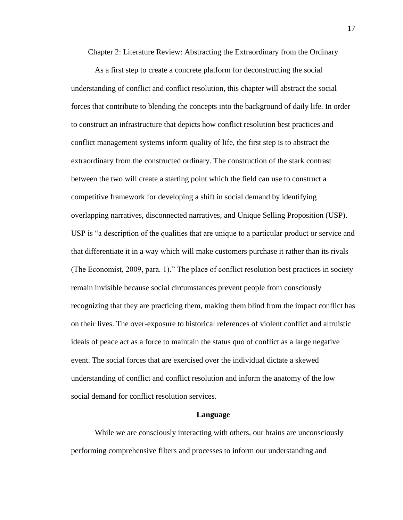Chapter 2: Literature Review: Abstracting the Extraordinary from the Ordinary

As a first step to create a concrete platform for deconstructing the social understanding of conflict and conflict resolution, this chapter will abstract the social forces that contribute to blending the concepts into the background of daily life. In order to construct an infrastructure that depicts how conflict resolution best practices and conflict management systems inform quality of life, the first step is to abstract the extraordinary from the constructed ordinary. The construction of the stark contrast between the two will create a starting point which the field can use to construct a competitive framework for developing a shift in social demand by identifying overlapping narratives, disconnected narratives, and Unique Selling Proposition (USP). USP is "a description of the qualities that are unique to a particular product or service and that differentiate it in a way which will make customers purchase it rather than its rivals (The Economist, 2009, para. 1)." The place of conflict resolution best practices in society remain invisible because social circumstances prevent people from consciously recognizing that they are practicing them, making them blind from the impact conflict has on their lives. The over-exposure to historical references of violent conflict and altruistic ideals of peace act as a force to maintain the status quo of conflict as a large negative event. The social forces that are exercised over the individual dictate a skewed understanding of conflict and conflict resolution and inform the anatomy of the low social demand for conflict resolution services.

### **Language**

While we are consciously interacting with others, our brains are unconsciously performing comprehensive filters and processes to inform our understanding and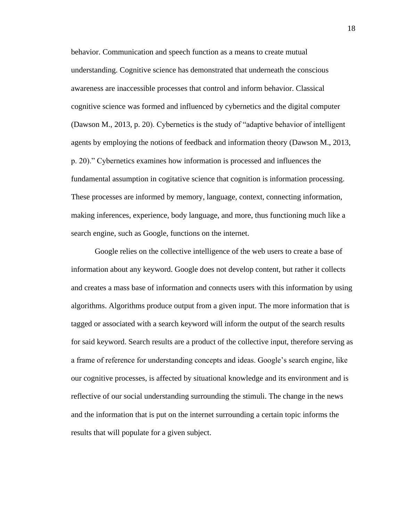behavior. Communication and speech function as a means to create mutual understanding. Cognitive science has demonstrated that underneath the conscious awareness are inaccessible processes that control and inform behavior. Classical cognitive science was formed and influenced by cybernetics and the digital computer (Dawson M., 2013, p. 20). Cybernetics is the study of "adaptive behavior of intelligent agents by employing the notions of feedback and information theory (Dawson M., 2013, p. 20)." Cybernetics examines how information is processed and influences the fundamental assumption in cogitative science that cognition is information processing. These processes are informed by memory, language, context, connecting information, making inferences, experience, body language, and more, thus functioning much like a search engine, such as Google, functions on the internet.

Google relies on the collective intelligence of the web users to create a base of information about any keyword. Google does not develop content, but rather it collects and creates a mass base of information and connects users with this information by using algorithms. Algorithms produce output from a given input. The more information that is tagged or associated with a search keyword will inform the output of the search results for said keyword. Search results are a product of the collective input, therefore serving as a frame of reference for understanding concepts and ideas. Google's search engine, like our cognitive processes, is affected by situational knowledge and its environment and is reflective of our social understanding surrounding the stimuli. The change in the news and the information that is put on the internet surrounding a certain topic informs the results that will populate for a given subject.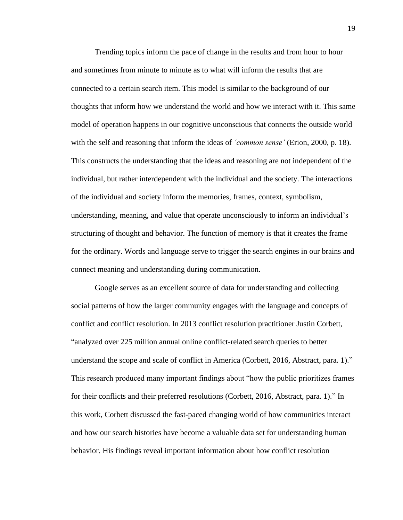Trending topics inform the pace of change in the results and from hour to hour and sometimes from minute to minute as to what will inform the results that are connected to a certain search item. This model is similar to the background of our thoughts that inform how we understand the world and how we interact with it. This same model of operation happens in our cognitive unconscious that connects the outside world with the self and reasoning that inform the ideas of *'common sense'* (Erion, 2000, p. 18). This constructs the understanding that the ideas and reasoning are not independent of the individual, but rather interdependent with the individual and the society. The interactions of the individual and society inform the memories, frames, context, symbolism, understanding, meaning, and value that operate unconsciously to inform an individual's structuring of thought and behavior. The function of memory is that it creates the frame for the ordinary. Words and language serve to trigger the search engines in our brains and connect meaning and understanding during communication.

Google serves as an excellent source of data for understanding and collecting social patterns of how the larger community engages with the language and concepts of conflict and conflict resolution. In 2013 conflict resolution practitioner Justin Corbett, "analyzed over 225 million annual online conflict-related search queries to better understand the scope and scale of conflict in America (Corbett, 2016, Abstract, para. 1)." This research produced many important findings about "how the public prioritizes frames for their conflicts and their preferred resolutions (Corbett, 2016, Abstract, para. 1)." In this work, Corbett discussed the fast-paced changing world of how communities interact and how our search histories have become a valuable data set for understanding human behavior. His findings reveal important information about how conflict resolution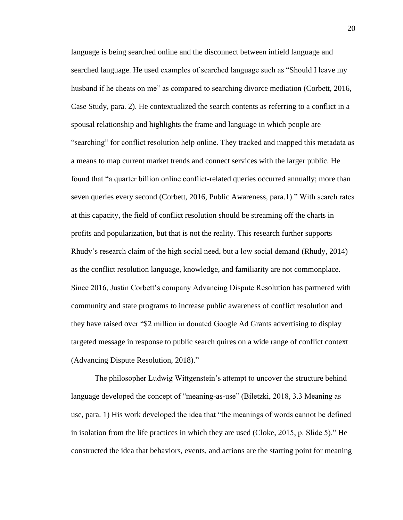language is being searched online and the disconnect between infield language and searched language. He used examples of searched language such as "Should I leave my husband if he cheats on me" as compared to searching divorce mediation (Corbett, 2016, Case Study, para. 2). He contextualized the search contents as referring to a conflict in a spousal relationship and highlights the frame and language in which people are "searching" for conflict resolution help online. They tracked and mapped this metadata as a means to map current market trends and connect services with the larger public. He found that "a quarter billion online conflict-related queries occurred annually; more than seven queries every second (Corbett, 2016, Public Awareness, para.1)." With search rates at this capacity, the field of conflict resolution should be streaming off the charts in profits and popularization, but that is not the reality. This research further supports Rhudy's research claim of the high social need, but a low social demand (Rhudy, 2014) as the conflict resolution language, knowledge, and familiarity are not commonplace. Since 2016, Justin Corbett's company Advancing Dispute Resolution has partnered with community and state programs to increase public awareness of conflict resolution and they have raised over "\$2 million in donated Google Ad Grants advertising to display targeted message in response to public search quires on a wide range of conflict context (Advancing Dispute Resolution, 2018)."

The philosopher Ludwig Wittgenstein's attempt to uncover the structure behind language developed the concept of "meaning-as-use" (Biletzki, 2018, 3.3 Meaning as use, para. 1) His work developed the idea that "the meanings of words cannot be defined in isolation from the life practices in which they are used (Cloke, 2015, p. Slide 5)." He constructed the idea that behaviors, events, and actions are the starting point for meaning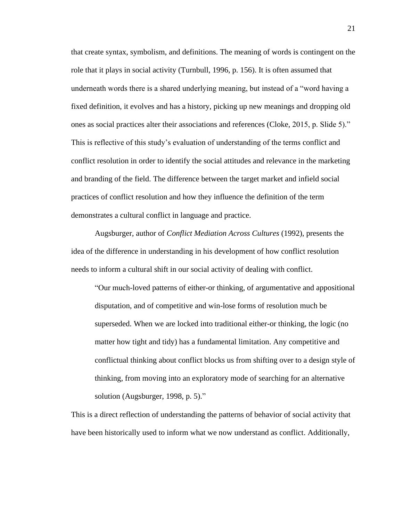that create syntax, symbolism, and definitions. The meaning of words is contingent on the role that it plays in social activity (Turnbull, 1996, p. 156). It is often assumed that underneath words there is a shared underlying meaning, but instead of a "word having a fixed definition, it evolves and has a history, picking up new meanings and dropping old ones as social practices alter their associations and references (Cloke, 2015, p. Slide 5)." This is reflective of this study's evaluation of understanding of the terms conflict and conflict resolution in order to identify the social attitudes and relevance in the marketing and branding of the field. The difference between the target market and infield social practices of conflict resolution and how they influence the definition of the term demonstrates a cultural conflict in language and practice.

Augsburger, author of *Conflict Mediation Across Cultures* (1992), presents the idea of the difference in understanding in his development of how conflict resolution needs to inform a cultural shift in our social activity of dealing with conflict.

"Our much-loved patterns of either-or thinking, of argumentative and appositional disputation, and of competitive and win-lose forms of resolution much be superseded. When we are locked into traditional either-or thinking, the logic (no matter how tight and tidy) has a fundamental limitation. Any competitive and conflictual thinking about conflict blocks us from shifting over to a design style of thinking, from moving into an exploratory mode of searching for an alternative solution (Augsburger, 1998, p. 5)."

This is a direct reflection of understanding the patterns of behavior of social activity that have been historically used to inform what we now understand as conflict. Additionally,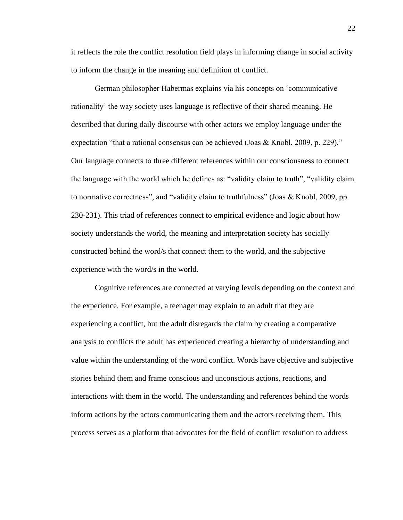it reflects the role the conflict resolution field plays in informing change in social activity to inform the change in the meaning and definition of conflict.

German philosopher Habermas explains via his concepts on 'communicative rationality' the way society uses language is reflective of their shared meaning. He described that during daily discourse with other actors we employ language under the expectation "that a rational consensus can be achieved (Joas & Knobl, 2009, p. 229)." Our language connects to three different references within our consciousness to connect the language with the world which he defines as: "validity claim to truth", "validity claim to normative correctness", and "validity claim to truthfulness" (Joas & Knobl, 2009, pp. 230-231). This triad of references connect to empirical evidence and logic about how society understands the world, the meaning and interpretation society has socially constructed behind the word/s that connect them to the world, and the subjective experience with the word/s in the world.

Cognitive references are connected at varying levels depending on the context and the experience. For example, a teenager may explain to an adult that they are experiencing a conflict, but the adult disregards the claim by creating a comparative analysis to conflicts the adult has experienced creating a hierarchy of understanding and value within the understanding of the word conflict. Words have objective and subjective stories behind them and frame conscious and unconscious actions, reactions, and interactions with them in the world. The understanding and references behind the words inform actions by the actors communicating them and the actors receiving them. This process serves as a platform that advocates for the field of conflict resolution to address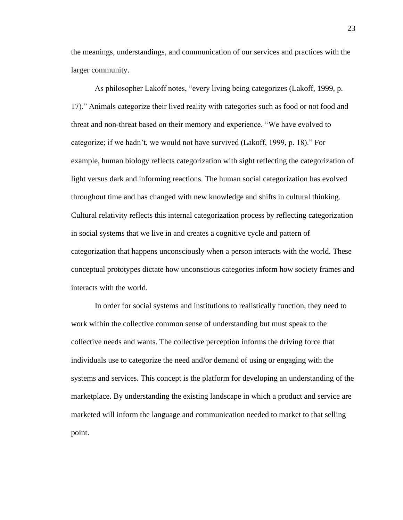the meanings, understandings, and communication of our services and practices with the larger community.

As philosopher Lakoff notes, "every living being categorizes (Lakoff, 1999, p. 17)." Animals categorize their lived reality with categories such as food or not food and threat and non-threat based on their memory and experience. "We have evolved to categorize; if we hadn't, we would not have survived (Lakoff, 1999, p. 18)." For example, human biology reflects categorization with sight reflecting the categorization of light versus dark and informing reactions. The human social categorization has evolved throughout time and has changed with new knowledge and shifts in cultural thinking. Cultural relativity reflects this internal categorization process by reflecting categorization in social systems that we live in and creates a cognitive cycle and pattern of categorization that happens unconsciously when a person interacts with the world. These conceptual prototypes dictate how unconscious categories inform how society frames and interacts with the world.

In order for social systems and institutions to realistically function, they need to work within the collective common sense of understanding but must speak to the collective needs and wants. The collective perception informs the driving force that individuals use to categorize the need and/or demand of using or engaging with the systems and services. This concept is the platform for developing an understanding of the marketplace. By understanding the existing landscape in which a product and service are marketed will inform the language and communication needed to market to that selling point.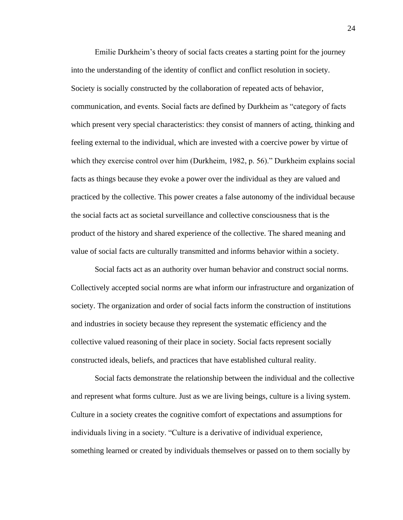Emilie Durkheim's theory of social facts creates a starting point for the journey into the understanding of the identity of conflict and conflict resolution in society. Society is socially constructed by the collaboration of repeated acts of behavior, communication, and events. Social facts are defined by Durkheim as "category of facts which present very special characteristics: they consist of manners of acting, thinking and feeling external to the individual, which are invested with a coercive power by virtue of which they exercise control over him (Durkheim, 1982, p. 56)." Durkheim explains social facts as things because they evoke a power over the individual as they are valued and practiced by the collective. This power creates a false autonomy of the individual because the social facts act as societal surveillance and collective consciousness that is the product of the history and shared experience of the collective. The shared meaning and value of social facts are culturally transmitted and informs behavior within a society.

Social facts act as an authority over human behavior and construct social norms. Collectively accepted social norms are what inform our infrastructure and organization of society. The organization and order of social facts inform the construction of institutions and industries in society because they represent the systematic efficiency and the collective valued reasoning of their place in society. Social facts represent socially constructed ideals, beliefs, and practices that have established cultural reality.

Social facts demonstrate the relationship between the individual and the collective and represent what forms culture. Just as we are living beings, culture is a living system. Culture in a society creates the cognitive comfort of expectations and assumptions for individuals living in a society. "Culture is a derivative of individual experience, something learned or created by individuals themselves or passed on to them socially by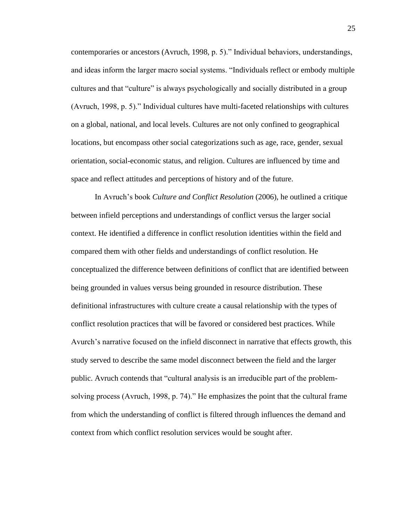contemporaries or ancestors (Avruch, 1998, p. 5)." Individual behaviors, understandings, and ideas inform the larger macro social systems. "Individuals reflect or embody multiple cultures and that "culture" is always psychologically and socially distributed in a group (Avruch, 1998, p. 5)." Individual cultures have multi-faceted relationships with cultures on a global, national, and local levels. Cultures are not only confined to geographical locations, but encompass other social categorizations such as age, race, gender, sexual orientation, social-economic status, and religion. Cultures are influenced by time and space and reflect attitudes and perceptions of history and of the future.

In Avruch's book *Culture and Conflict Resolution* (2006), he outlined a critique between infield perceptions and understandings of conflict versus the larger social context. He identified a difference in conflict resolution identities within the field and compared them with other fields and understandings of conflict resolution. He conceptualized the difference between definitions of conflict that are identified between being grounded in values versus being grounded in resource distribution. These definitional infrastructures with culture create a causal relationship with the types of conflict resolution practices that will be favored or considered best practices. While Avurch's narrative focused on the infield disconnect in narrative that effects growth, this study served to describe the same model disconnect between the field and the larger public. Avruch contends that "cultural analysis is an irreducible part of the problemsolving process (Avruch, 1998, p. 74)." He emphasizes the point that the cultural frame from which the understanding of conflict is filtered through influences the demand and context from which conflict resolution services would be sought after.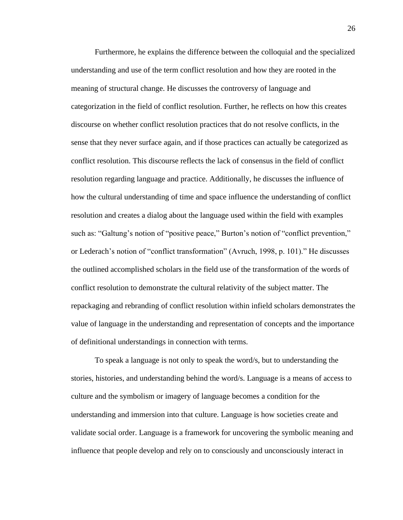Furthermore, he explains the difference between the colloquial and the specialized understanding and use of the term conflict resolution and how they are rooted in the meaning of structural change. He discusses the controversy of language and categorization in the field of conflict resolution. Further, he reflects on how this creates discourse on whether conflict resolution practices that do not resolve conflicts, in the sense that they never surface again, and if those practices can actually be categorized as conflict resolution. This discourse reflects the lack of consensus in the field of conflict resolution regarding language and practice. Additionally, he discusses the influence of how the cultural understanding of time and space influence the understanding of conflict resolution and creates a dialog about the language used within the field with examples such as: "Galtung's notion of "positive peace," Burton's notion of "conflict prevention," or Lederach's notion of "conflict transformation" (Avruch, 1998, p. 101)." He discusses the outlined accomplished scholars in the field use of the transformation of the words of conflict resolution to demonstrate the cultural relativity of the subject matter. The repackaging and rebranding of conflict resolution within infield scholars demonstrates the value of language in the understanding and representation of concepts and the importance of definitional understandings in connection with terms.

To speak a language is not only to speak the word/s, but to understanding the stories, histories, and understanding behind the word/s. Language is a means of access to culture and the symbolism or imagery of language becomes a condition for the understanding and immersion into that culture. Language is how societies create and validate social order. Language is a framework for uncovering the symbolic meaning and influence that people develop and rely on to consciously and unconsciously interact in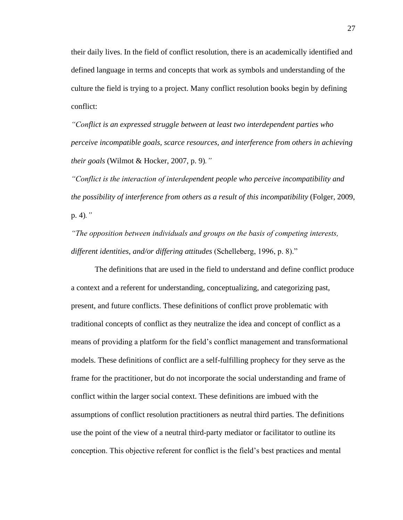their daily lives. In the field of conflict resolution, there is an academically identified and defined language in terms and concepts that work as symbols and understanding of the culture the field is trying to a project. Many conflict resolution books begin by defining conflict:

*"Conflict is an expressed struggle between at least two interdependent parties who perceive incompatible goals, scarce resources, and interference from others in achieving their goals* (Wilmot & Hocker, 2007, p. 9)*."*

*"Conflict is the interaction of interdependent people who perceive incompatibility and the possibility of interference from others as a result of this incompatibility* (Folger, 2009, p. 4)*."*

*"The opposition between individuals and groups on the basis of competing interests, different identities, and/or differing attitudes* (Schelleberg, 1996, p. 8)."

The definitions that are used in the field to understand and define conflict produce a context and a referent for understanding, conceptualizing, and categorizing past, present, and future conflicts. These definitions of conflict prove problematic with traditional concepts of conflict as they neutralize the idea and concept of conflict as a means of providing a platform for the field's conflict management and transformational models. These definitions of conflict are a self-fulfilling prophecy for they serve as the frame for the practitioner, but do not incorporate the social understanding and frame of conflict within the larger social context. These definitions are imbued with the assumptions of conflict resolution practitioners as neutral third parties. The definitions use the point of the view of a neutral third-party mediator or facilitator to outline its conception. This objective referent for conflict is the field's best practices and mental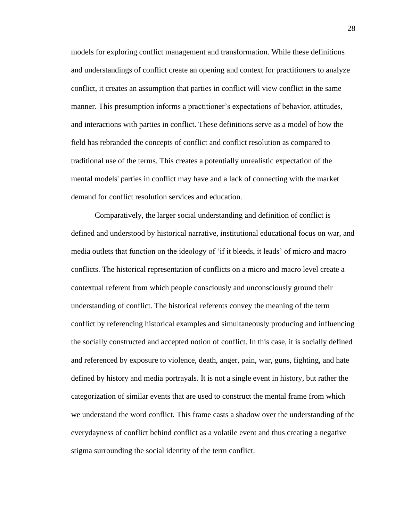models for exploring conflict management and transformation. While these definitions and understandings of conflict create an opening and context for practitioners to analyze conflict, it creates an assumption that parties in conflict will view conflict in the same manner. This presumption informs a practitioner's expectations of behavior, attitudes, and interactions with parties in conflict. These definitions serve as a model of how the field has rebranded the concepts of conflict and conflict resolution as compared to traditional use of the terms. This creates a potentially unrealistic expectation of the mental models' parties in conflict may have and a lack of connecting with the market demand for conflict resolution services and education.

Comparatively, the larger social understanding and definition of conflict is defined and understood by historical narrative, institutional educational focus on war, and media outlets that function on the ideology of 'if it bleeds, it leads' of micro and macro conflicts. The historical representation of conflicts on a micro and macro level create a contextual referent from which people consciously and unconsciously ground their understanding of conflict. The historical referents convey the meaning of the term conflict by referencing historical examples and simultaneously producing and influencing the socially constructed and accepted notion of conflict. In this case, it is socially defined and referenced by exposure to violence, death, anger, pain, war, guns, fighting, and hate defined by history and media portrayals. It is not a single event in history, but rather the categorization of similar events that are used to construct the mental frame from which we understand the word conflict. This frame casts a shadow over the understanding of the everydayness of conflict behind conflict as a volatile event and thus creating a negative stigma surrounding the social identity of the term conflict.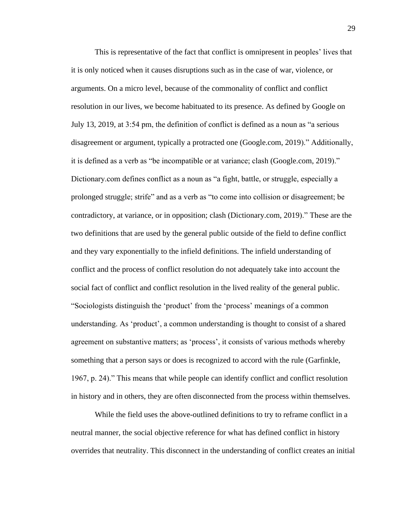This is representative of the fact that conflict is omnipresent in peoples' lives that it is only noticed when it causes disruptions such as in the case of war, violence, or arguments. On a micro level, because of the commonality of conflict and conflict resolution in our lives, we become habituated to its presence. As defined by Google on July 13, 2019, at 3:54 pm, the definition of conflict is defined as a noun as "a serious disagreement or argument, typically a protracted one (Google.com, 2019)." Additionally, it is defined as a verb as "be incompatible or at variance; clash (Google.com, 2019)." Dictionary.com defines conflict as a noun as "a fight, battle, or struggle, especially a prolonged struggle; strife" and as a verb as "to come into collision or disagreement; be contradictory, at variance, or in opposition; clash (Dictionary.com, 2019)." These are the two definitions that are used by the general public outside of the field to define conflict and they vary exponentially to the infield definitions. The infield understanding of conflict and the process of conflict resolution do not adequately take into account the social fact of conflict and conflict resolution in the lived reality of the general public. "Sociologists distinguish the 'product' from the 'process' meanings of a common understanding. As 'product', a common understanding is thought to consist of a shared agreement on substantive matters; as 'process', it consists of various methods whereby something that a person says or does is recognized to accord with the rule (Garfinkle, 1967, p. 24)." This means that while people can identify conflict and conflict resolution in history and in others, they are often disconnected from the process within themselves.

While the field uses the above-outlined definitions to try to reframe conflict in a neutral manner, the social objective reference for what has defined conflict in history overrides that neutrality. This disconnect in the understanding of conflict creates an initial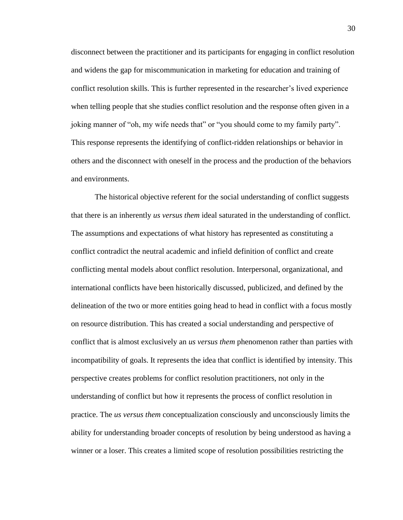disconnect between the practitioner and its participants for engaging in conflict resolution and widens the gap for miscommunication in marketing for education and training of conflict resolution skills. This is further represented in the researcher's lived experience when telling people that she studies conflict resolution and the response often given in a joking manner of "oh, my wife needs that" or "you should come to my family party". This response represents the identifying of conflict-ridden relationships or behavior in others and the disconnect with oneself in the process and the production of the behaviors and environments.

The historical objective referent for the social understanding of conflict suggests that there is an inherently *us versus them* ideal saturated in the understanding of conflict. The assumptions and expectations of what history has represented as constituting a conflict contradict the neutral academic and infield definition of conflict and create conflicting mental models about conflict resolution. Interpersonal, organizational, and international conflicts have been historically discussed, publicized, and defined by the delineation of the two or more entities going head to head in conflict with a focus mostly on resource distribution. This has created a social understanding and perspective of conflict that is almost exclusively an *us versus them* phenomenon rather than parties with incompatibility of goals. It represents the idea that conflict is identified by intensity. This perspective creates problems for conflict resolution practitioners, not only in the understanding of conflict but how it represents the process of conflict resolution in practice. The *us versus them* conceptualization consciously and unconsciously limits the ability for understanding broader concepts of resolution by being understood as having a winner or a loser. This creates a limited scope of resolution possibilities restricting the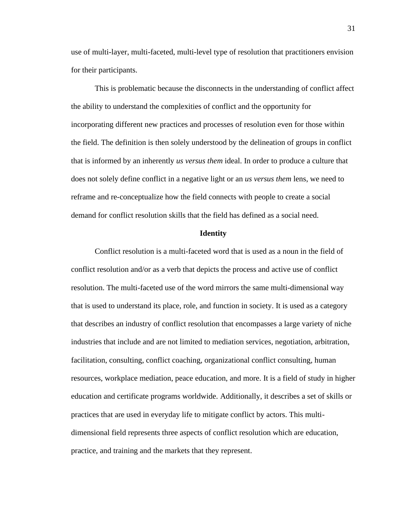use of multi-layer, multi-faceted, multi-level type of resolution that practitioners envision for their participants.

This is problematic because the disconnects in the understanding of conflict affect the ability to understand the complexities of conflict and the opportunity for incorporating different new practices and processes of resolution even for those within the field. The definition is then solely understood by the delineation of groups in conflict that is informed by an inherently *us versus them* ideal. In order to produce a culture that does not solely define conflict in a negative light or an *us versus them* lens, we need to reframe and re-conceptualize how the field connects with people to create a social demand for conflict resolution skills that the field has defined as a social need.

## **Identity**

Conflict resolution is a multi-faceted word that is used as a noun in the field of conflict resolution and/or as a verb that depicts the process and active use of conflict resolution. The multi-faceted use of the word mirrors the same multi-dimensional way that is used to understand its place, role, and function in society. It is used as a category that describes an industry of conflict resolution that encompasses a large variety of niche industries that include and are not limited to mediation services, negotiation, arbitration, facilitation, consulting, conflict coaching, organizational conflict consulting, human resources, workplace mediation, peace education, and more. It is a field of study in higher education and certificate programs worldwide. Additionally, it describes a set of skills or practices that are used in everyday life to mitigate conflict by actors. This multidimensional field represents three aspects of conflict resolution which are education, practice, and training and the markets that they represent.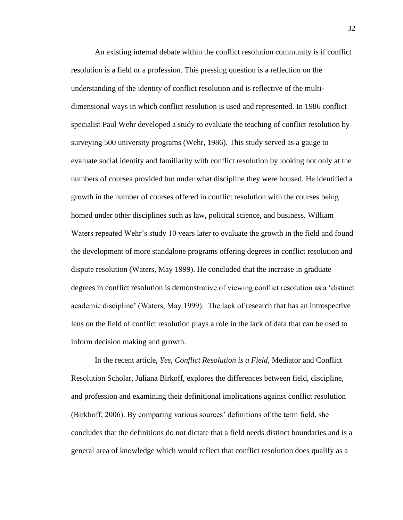An existing internal debate within the conflict resolution community is if conflict resolution is a field or a profession. This pressing question is a reflection on the understanding of the identity of conflict resolution and is reflective of the multidimensional ways in which conflict resolution is used and represented. In 1986 conflict specialist Paul Wehr developed a study to evaluate the teaching of conflict resolution by surveying 500 university programs (Wehr, 1986). This study served as a gauge to evaluate social identity and familiarity with conflict resolution by looking not only at the numbers of courses provided but under what discipline they were housed. He identified a growth in the number of courses offered in conflict resolution with the courses being homed under other disciplines such as law, political science, and business. William Waters repeated Wehr's study 10 years later to evaluate the growth in the field and found the development of more standalone programs offering degrees in conflict resolution and dispute resolution (Waters, May 1999). He concluded that the increase in graduate degrees in conflict resolution is demonstrative of viewing conflict resolution as a 'distinct academic discipline' (Waters, May 1999). The lack of research that has an introspective lens on the field of conflict resolution plays a role in the lack of data that can be used to inform decision making and growth.

In the recent article, *Yes, Conflict Resolution is a Field*, Mediator and Conflict Resolution Scholar, Juliana Birkoff, explores the differences between field, discipline, and profession and examining their definitional implications against conflict resolution (Birkhoff, 2006). By comparing various sources' definitions of the term field, she concludes that the definitions do not dictate that a field needs distinct boundaries and is a general area of knowledge which would reflect that conflict resolution does qualify as a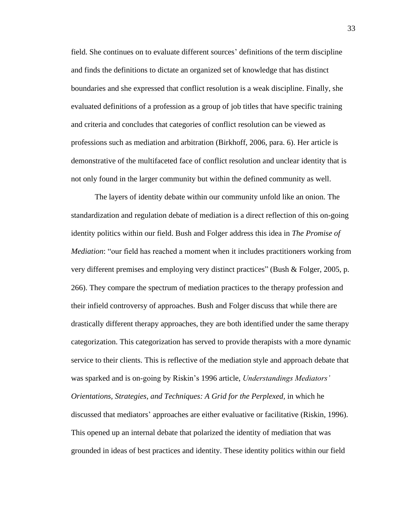field. She continues on to evaluate different sources' definitions of the term discipline and finds the definitions to dictate an organized set of knowledge that has distinct boundaries and she expressed that conflict resolution is a weak discipline. Finally, she evaluated definitions of a profession as a group of job titles that have specific training and criteria and concludes that categories of conflict resolution can be viewed as professions such as mediation and arbitration (Birkhoff, 2006, para. 6). Her article is demonstrative of the multifaceted face of conflict resolution and unclear identity that is not only found in the larger community but within the defined community as well.

The layers of identity debate within our community unfold like an onion. The standardization and regulation debate of mediation is a direct reflection of this on-going identity politics within our field. Bush and Folger address this idea in *The Promise of Mediation*: "our field has reached a moment when it includes practitioners working from very different premises and employing very distinct practices" (Bush & Folger, 2005, p. 266). They compare the spectrum of mediation practices to the therapy profession and their infield controversy of approaches. Bush and Folger discuss that while there are drastically different therapy approaches, they are both identified under the same therapy categorization. This categorization has served to provide therapists with a more dynamic service to their clients. This is reflective of the mediation style and approach debate that was sparked and is on-going by Riskin's 1996 article, *Understandings Mediators' Orientations, Strategies, and Techniques: A Grid for the Perplexed, in which he* discussed that mediators' approaches are either evaluative or facilitative (Riskin, 1996). This opened up an internal debate that polarized the identity of mediation that was grounded in ideas of best practices and identity. These identity politics within our field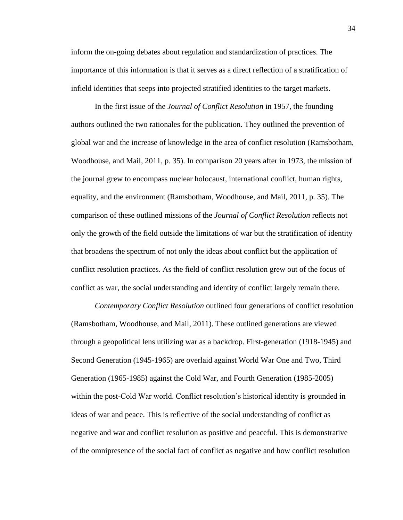inform the on-going debates about regulation and standardization of practices. The importance of this information is that it serves as a direct reflection of a stratification of infield identities that seeps into projected stratified identities to the target markets.

In the first issue of the *Journal of Conflict Resolution* in 1957, the founding authors outlined the two rationales for the publication. They outlined the prevention of global war and the increase of knowledge in the area of conflict resolution (Ramsbotham, Woodhouse, and Mail, 2011, p. 35). In comparison 20 years after in 1973, the mission of the journal grew to encompass nuclear holocaust, international conflict, human rights, equality, and the environment (Ramsbotham, Woodhouse, and Mail, 2011, p. 35). The comparison of these outlined missions of the *Journal of Conflict Resolution* reflects not only the growth of the field outside the limitations of war but the stratification of identity that broadens the spectrum of not only the ideas about conflict but the application of conflict resolution practices. As the field of conflict resolution grew out of the focus of conflict as war, the social understanding and identity of conflict largely remain there.

*Contemporary Conflict Resolution* outlined four generations of conflict resolution (Ramsbotham, Woodhouse, and Mail, 2011). These outlined generations are viewed through a geopolitical lens utilizing war as a backdrop. First-generation (1918-1945) and Second Generation (1945-1965) are overlaid against World War One and Two, Third Generation (1965-1985) against the Cold War, and Fourth Generation (1985-2005) within the post-Cold War world. Conflict resolution's historical identity is grounded in ideas of war and peace. This is reflective of the social understanding of conflict as negative and war and conflict resolution as positive and peaceful. This is demonstrative of the omnipresence of the social fact of conflict as negative and how conflict resolution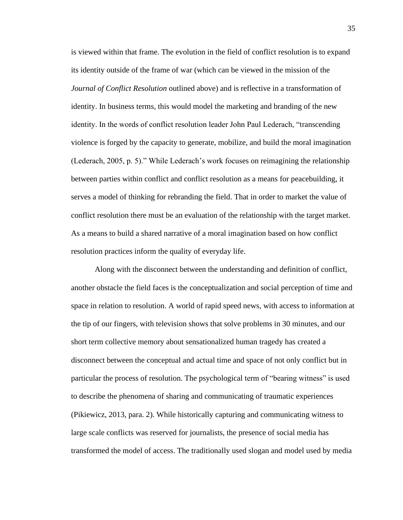is viewed within that frame. The evolution in the field of conflict resolution is to expand its identity outside of the frame of war (which can be viewed in the mission of the *Journal of Conflict Resolution* outlined above) and is reflective in a transformation of identity. In business terms, this would model the marketing and branding of the new identity. In the words of conflict resolution leader John Paul Lederach, "transcending violence is forged by the capacity to generate, mobilize, and build the moral imagination (Lederach, 2005, p. 5)." While Lederach's work focuses on reimagining the relationship between parties within conflict and conflict resolution as a means for peacebuilding, it serves a model of thinking for rebranding the field. That in order to market the value of conflict resolution there must be an evaluation of the relationship with the target market. As a means to build a shared narrative of a moral imagination based on how conflict resolution practices inform the quality of everyday life.

Along with the disconnect between the understanding and definition of conflict, another obstacle the field faces is the conceptualization and social perception of time and space in relation to resolution. A world of rapid speed news, with access to information at the tip of our fingers, with television shows that solve problems in 30 minutes, and our short term collective memory about sensationalized human tragedy has created a disconnect between the conceptual and actual time and space of not only conflict but in particular the process of resolution. The psychological term of "bearing witness" is used to describe the phenomena of sharing and communicating of traumatic experiences (Pikiewicz, 2013, para. 2). While historically capturing and communicating witness to large scale conflicts was reserved for journalists, the presence of social media has transformed the model of access. The traditionally used slogan and model used by media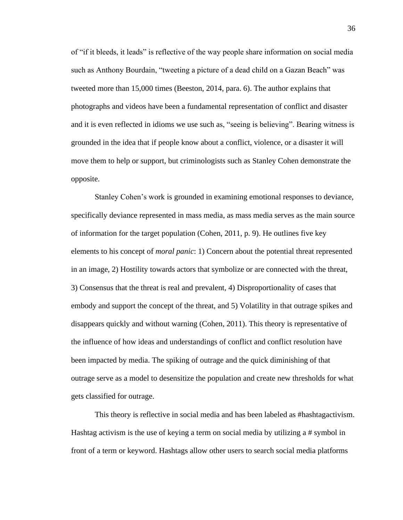of "if it bleeds, it leads" is reflective of the way people share information on social media such as Anthony Bourdain, "tweeting a picture of a dead child on a Gazan Beach" was tweeted more than 15,000 times (Beeston, 2014, para. 6). The author explains that photographs and videos have been a fundamental representation of conflict and disaster and it is even reflected in idioms we use such as, "seeing is believing". Bearing witness is grounded in the idea that if people know about a conflict, violence, or a disaster it will move them to help or support, but criminologists such as Stanley Cohen demonstrate the opposite.

Stanley Cohen's work is grounded in examining emotional responses to deviance, specifically deviance represented in mass media, as mass media serves as the main source of information for the target population (Cohen, 2011, p. 9). He outlines five key elements to his concept of *moral panic*: 1) Concern about the potential threat represented in an image, 2) Hostility towards actors that symbolize or are connected with the threat, 3) Consensus that the threat is real and prevalent, 4) Disproportionality of cases that embody and support the concept of the threat, and 5) Volatility in that outrage spikes and disappears quickly and without warning (Cohen, 2011). This theory is representative of the influence of how ideas and understandings of conflict and conflict resolution have been impacted by media. The spiking of outrage and the quick diminishing of that outrage serve as a model to desensitize the population and create new thresholds for what gets classified for outrage.

This theory is reflective in social media and has been labeled as #hashtagactivism. Hashtag activism is the use of keying a term on social media by utilizing a # symbol in front of a term or keyword. Hashtags allow other users to search social media platforms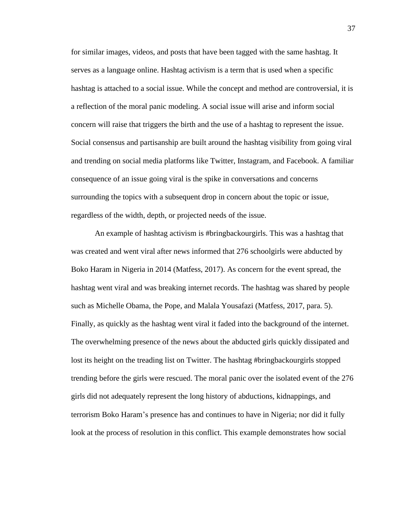for similar images, videos, and posts that have been tagged with the same hashtag. It serves as a language online. Hashtag activism is a term that is used when a specific hashtag is attached to a social issue. While the concept and method are controversial, it is a reflection of the moral panic modeling. A social issue will arise and inform social concern will raise that triggers the birth and the use of a hashtag to represent the issue. Social consensus and partisanship are built around the hashtag visibility from going viral and trending on social media platforms like Twitter, Instagram, and Facebook. A familiar consequence of an issue going viral is the spike in conversations and concerns surrounding the topics with a subsequent drop in concern about the topic or issue, regardless of the width, depth, or projected needs of the issue.

An example of hashtag activism is #bringbackourgirls. This was a hashtag that was created and went viral after news informed that 276 schoolgirls were abducted by Boko Haram in Nigeria in 2014 (Matfess, 2017). As concern for the event spread, the hashtag went viral and was breaking internet records. The hashtag was shared by people such as Michelle Obama, the Pope, and Malala Yousafazi (Matfess, 2017, para. 5). Finally, as quickly as the hashtag went viral it faded into the background of the internet. The overwhelming presence of the news about the abducted girls quickly dissipated and lost its height on the treading list on Twitter. The hashtag #bringbackourgirls stopped trending before the girls were rescued. The moral panic over the isolated event of the 276 girls did not adequately represent the long history of abductions, kidnappings, and terrorism Boko Haram's presence has and continues to have in Nigeria; nor did it fully look at the process of resolution in this conflict. This example demonstrates how social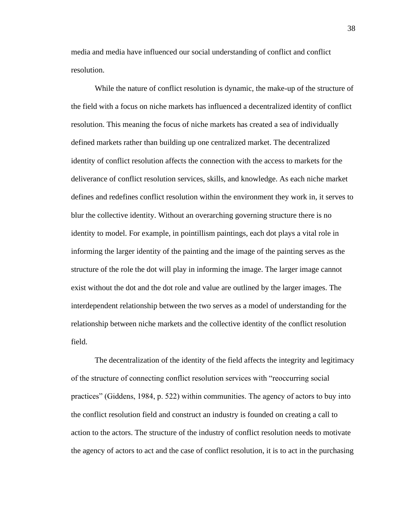media and media have influenced our social understanding of conflict and conflict resolution.

While the nature of conflict resolution is dynamic, the make-up of the structure of the field with a focus on niche markets has influenced a decentralized identity of conflict resolution. This meaning the focus of niche markets has created a sea of individually defined markets rather than building up one centralized market. The decentralized identity of conflict resolution affects the connection with the access to markets for the deliverance of conflict resolution services, skills, and knowledge. As each niche market defines and redefines conflict resolution within the environment they work in, it serves to blur the collective identity. Without an overarching governing structure there is no identity to model. For example, in pointillism paintings, each dot plays a vital role in informing the larger identity of the painting and the image of the painting serves as the structure of the role the dot will play in informing the image. The larger image cannot exist without the dot and the dot role and value are outlined by the larger images. The interdependent relationship between the two serves as a model of understanding for the relationship between niche markets and the collective identity of the conflict resolution field.

The decentralization of the identity of the field affects the integrity and legitimacy of the structure of connecting conflict resolution services with "reoccurring social practices" (Giddens, 1984, p. 522) within communities. The agency of actors to buy into the conflict resolution field and construct an industry is founded on creating a call to action to the actors. The structure of the industry of conflict resolution needs to motivate the agency of actors to act and the case of conflict resolution, it is to act in the purchasing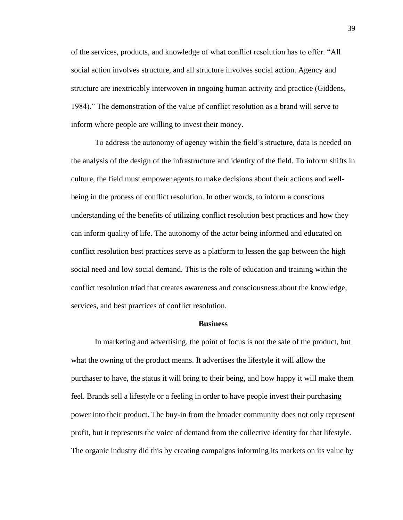of the services, products, and knowledge of what conflict resolution has to offer. "All social action involves structure, and all structure involves social action. Agency and structure are inextricably interwoven in ongoing human activity and practice (Giddens, 1984)." The demonstration of the value of conflict resolution as a brand will serve to inform where people are willing to invest their money.

To address the autonomy of agency within the field's structure, data is needed on the analysis of the design of the infrastructure and identity of the field. To inform shifts in culture, the field must empower agents to make decisions about their actions and wellbeing in the process of conflict resolution. In other words, to inform a conscious understanding of the benefits of utilizing conflict resolution best practices and how they can inform quality of life. The autonomy of the actor being informed and educated on conflict resolution best practices serve as a platform to lessen the gap between the high social need and low social demand. This is the role of education and training within the conflict resolution triad that creates awareness and consciousness about the knowledge, services, and best practices of conflict resolution.

## **Business**

In marketing and advertising, the point of focus is not the sale of the product, but what the owning of the product means. It advertises the lifestyle it will allow the purchaser to have, the status it will bring to their being, and how happy it will make them feel. Brands sell a lifestyle or a feeling in order to have people invest their purchasing power into their product. The buy-in from the broader community does not only represent profit, but it represents the voice of demand from the collective identity for that lifestyle. The organic industry did this by creating campaigns informing its markets on its value by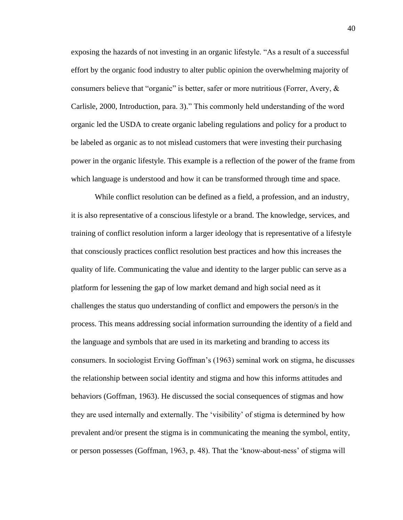exposing the hazards of not investing in an organic lifestyle. "As a result of a successful effort by the organic food industry to alter public opinion the overwhelming majority of consumers believe that "organic" is better, safer or more nutritious (Forrer, Avery, & Carlisle, 2000, Introduction, para. 3)." This commonly held understanding of the word organic led the USDA to create organic labeling regulations and policy for a product to be labeled as organic as to not mislead customers that were investing their purchasing power in the organic lifestyle. This example is a reflection of the power of the frame from which language is understood and how it can be transformed through time and space.

While conflict resolution can be defined as a field, a profession, and an industry, it is also representative of a conscious lifestyle or a brand. The knowledge, services, and training of conflict resolution inform a larger ideology that is representative of a lifestyle that consciously practices conflict resolution best practices and how this increases the quality of life. Communicating the value and identity to the larger public can serve as a platform for lessening the gap of low market demand and high social need as it challenges the status quo understanding of conflict and empowers the person/s in the process. This means addressing social information surrounding the identity of a field and the language and symbols that are used in its marketing and branding to access its consumers. In sociologist Erving Goffman's (1963) seminal work on stigma, he discusses the relationship between social identity and stigma and how this informs attitudes and behaviors (Goffman, 1963). He discussed the social consequences of stigmas and how they are used internally and externally. The 'visibility' of stigma is determined by how prevalent and/or present the stigma is in communicating the meaning the symbol, entity, or person possesses (Goffman, 1963, p. 48). That the 'know-about-ness' of stigma will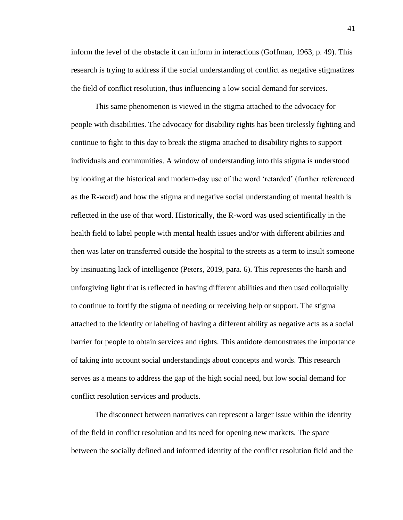inform the level of the obstacle it can inform in interactions (Goffman, 1963, p. 49). This research is trying to address if the social understanding of conflict as negative stigmatizes the field of conflict resolution, thus influencing a low social demand for services.

This same phenomenon is viewed in the stigma attached to the advocacy for people with disabilities. The advocacy for disability rights has been tirelessly fighting and continue to fight to this day to break the stigma attached to disability rights to support individuals and communities. A window of understanding into this stigma is understood by looking at the historical and modern-day use of the word 'retarded' (further referenced as the R-word) and how the stigma and negative social understanding of mental health is reflected in the use of that word. Historically, the R-word was used scientifically in the health field to label people with mental health issues and/or with different abilities and then was later on transferred outside the hospital to the streets as a term to insult someone by insinuating lack of intelligence (Peters, 2019, para. 6). This represents the harsh and unforgiving light that is reflected in having different abilities and then used colloquially to continue to fortify the stigma of needing or receiving help or support. The stigma attached to the identity or labeling of having a different ability as negative acts as a social barrier for people to obtain services and rights. This antidote demonstrates the importance of taking into account social understandings about concepts and words. This research serves as a means to address the gap of the high social need, but low social demand for conflict resolution services and products.

The disconnect between narratives can represent a larger issue within the identity of the field in conflict resolution and its need for opening new markets. The space between the socially defined and informed identity of the conflict resolution field and the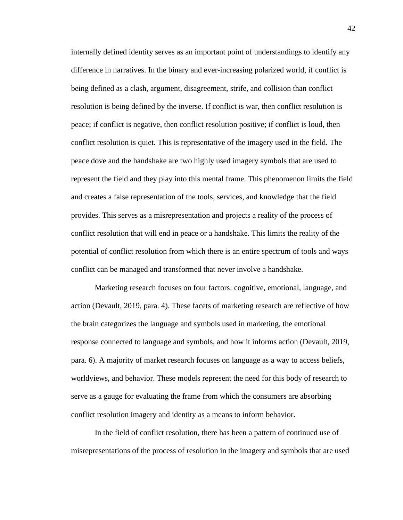internally defined identity serves as an important point of understandings to identify any difference in narratives. In the binary and ever-increasing polarized world, if conflict is being defined as a clash, argument, disagreement, strife, and collision than conflict resolution is being defined by the inverse. If conflict is war, then conflict resolution is peace; if conflict is negative, then conflict resolution positive; if conflict is loud, then conflict resolution is quiet. This is representative of the imagery used in the field. The peace dove and the handshake are two highly used imagery symbols that are used to represent the field and they play into this mental frame. This phenomenon limits the field and creates a false representation of the tools, services, and knowledge that the field provides. This serves as a misrepresentation and projects a reality of the process of conflict resolution that will end in peace or a handshake. This limits the reality of the potential of conflict resolution from which there is an entire spectrum of tools and ways conflict can be managed and transformed that never involve a handshake.

Marketing research focuses on four factors: cognitive, emotional, language, and action (Devault, 2019, para. 4). These facets of marketing research are reflective of how the brain categorizes the language and symbols used in marketing, the emotional response connected to language and symbols, and how it informs action (Devault, 2019, para. 6). A majority of market research focuses on language as a way to access beliefs, worldviews, and behavior. These models represent the need for this body of research to serve as a gauge for evaluating the frame from which the consumers are absorbing conflict resolution imagery and identity as a means to inform behavior.

In the field of conflict resolution, there has been a pattern of continued use of misrepresentations of the process of resolution in the imagery and symbols that are used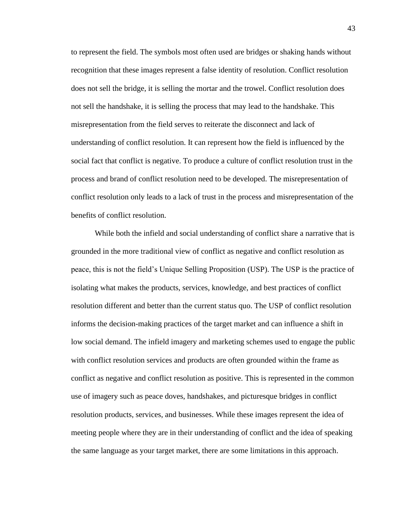to represent the field. The symbols most often used are bridges or shaking hands without recognition that these images represent a false identity of resolution. Conflict resolution does not sell the bridge, it is selling the mortar and the trowel. Conflict resolution does not sell the handshake, it is selling the process that may lead to the handshake. This misrepresentation from the field serves to reiterate the disconnect and lack of understanding of conflict resolution. It can represent how the field is influenced by the social fact that conflict is negative. To produce a culture of conflict resolution trust in the process and brand of conflict resolution need to be developed. The misrepresentation of conflict resolution only leads to a lack of trust in the process and misrepresentation of the benefits of conflict resolution.

While both the infield and social understanding of conflict share a narrative that is grounded in the more traditional view of conflict as negative and conflict resolution as peace, this is not the field's Unique Selling Proposition (USP). The USP is the practice of isolating what makes the products, services, knowledge, and best practices of conflict resolution different and better than the current status quo. The USP of conflict resolution informs the decision-making practices of the target market and can influence a shift in low social demand. The infield imagery and marketing schemes used to engage the public with conflict resolution services and products are often grounded within the frame as conflict as negative and conflict resolution as positive. This is represented in the common use of imagery such as peace doves, handshakes, and picturesque bridges in conflict resolution products, services, and businesses. While these images represent the idea of meeting people where they are in their understanding of conflict and the idea of speaking the same language as your target market, there are some limitations in this approach.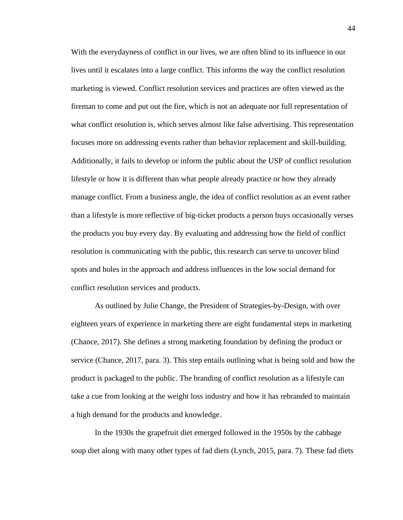With the everydayness of conflict in our lives, we are often blind to its influence in our lives until it escalates into a large conflict. This informs the way the conflict resolution marketing is viewed. Conflict resolution services and practices are often viewed as the fireman to come and put out the fire, which is not an adequate nor full representation of what conflict resolution is, which serves almost like false advertising. This representation focuses more on addressing events rather than behavior replacement and skill-building. Additionally, it fails to develop or inform the public about the USP of conflict resolution lifestyle or how it is different than what people already practice or how they already manage conflict. From a business angle, the idea of conflict resolution as an event rather than a lifestyle is more reflective of big-ticket products a person buys occasionally verses the products you buy every day. By evaluating and addressing how the field of conflict resolution is communicating with the public, this research can serve to uncover blind spots and holes in the approach and address influences in the low social demand for conflict resolution services and products.

As outlined by Julie Change, the President of Strategies-by-Design, with over eighteen years of experience in marketing there are eight fundamental steps in marketing (Chance, 2017). She defines a strong marketing foundation by defining the product or service (Chance, 2017, para. 3). This step entails outlining what is being sold and how the product is packaged to the public. The branding of conflict resolution as a lifestyle can take a cue from looking at the weight loss industry and how it has rebranded to maintain a high demand for the products and knowledge.

In the 1930s the grapefruit diet emerged followed in the 1950s by the cabbage soup diet along with many other types of fad diets (Lynch, 2015, para. 7). These fad diets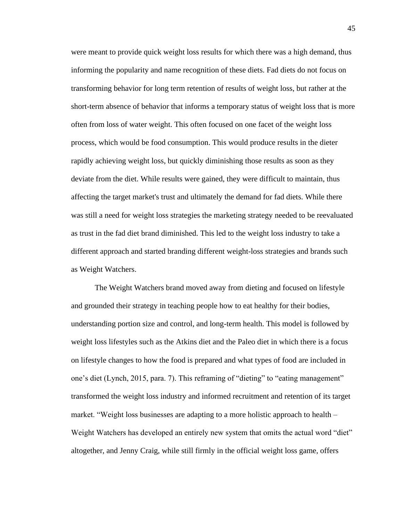were meant to provide quick weight loss results for which there was a high demand, thus informing the popularity and name recognition of these diets. Fad diets do not focus on transforming behavior for long term retention of results of weight loss, but rather at the short-term absence of behavior that informs a temporary status of weight loss that is more often from loss of water weight. This often focused on one facet of the weight loss process, which would be food consumption. This would produce results in the dieter rapidly achieving weight loss, but quickly diminishing those results as soon as they deviate from the diet. While results were gained, they were difficult to maintain, thus affecting the target market's trust and ultimately the demand for fad diets. While there was still a need for weight loss strategies the marketing strategy needed to be reevaluated as trust in the fad diet brand diminished. This led to the weight loss industry to take a different approach and started branding different weight-loss strategies and brands such as Weight Watchers.

The Weight Watchers brand moved away from dieting and focused on lifestyle and grounded their strategy in teaching people how to eat healthy for their bodies, understanding portion size and control, and long-term health. This model is followed by weight loss lifestyles such as the Atkins diet and the Paleo diet in which there is a focus on lifestyle changes to how the food is prepared and what types of food are included in one's diet (Lynch, 2015, para. 7). This reframing of "dieting" to "eating management" transformed the weight loss industry and informed recruitment and retention of its target market. "Weight loss businesses are adapting to a more holistic approach to health – Weight Watchers has developed an entirely new system that omits the actual word "diet" altogether, and Jenny Craig, while still firmly in the official weight loss game, offers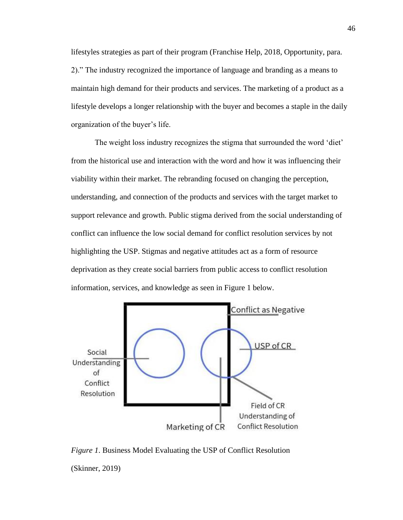lifestyles strategies as part of their program (Franchise Help, 2018, Opportunity, para. 2)." The industry recognized the importance of language and branding as a means to maintain high demand for their products and services. The marketing of a product as a lifestyle develops a longer relationship with the buyer and becomes a staple in the daily organization of the buyer's life.

The weight loss industry recognizes the stigma that surrounded the word 'diet' from the historical use and interaction with the word and how it was influencing their viability within their market. The rebranding focused on changing the perception, understanding, and connection of the products and services with the target market to support relevance and growth. Public stigma derived from the social understanding of conflict can influence the low social demand for conflict resolution services by not highlighting the USP. Stigmas and negative attitudes act as a form of resource deprivation as they create social barriers from public access to conflict resolution information, services, and knowledge as seen in Figure 1 below.



*Figure 1*. Business Model Evaluating the USP of Conflict Resolution (Skinner, 2019)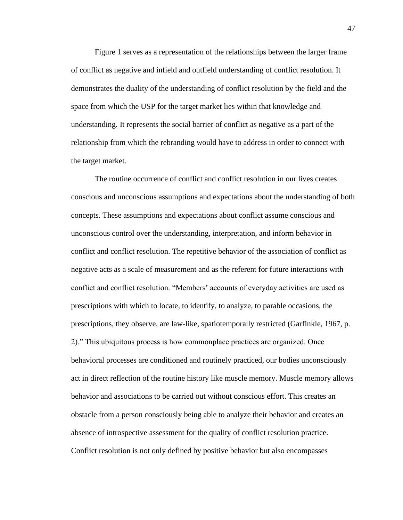Figure 1 serves as a representation of the relationships between the larger frame of conflict as negative and infield and outfield understanding of conflict resolution. It demonstrates the duality of the understanding of conflict resolution by the field and the space from which the USP for the target market lies within that knowledge and understanding. It represents the social barrier of conflict as negative as a part of the relationship from which the rebranding would have to address in order to connect with the target market.

The routine occurrence of conflict and conflict resolution in our lives creates conscious and unconscious assumptions and expectations about the understanding of both concepts. These assumptions and expectations about conflict assume conscious and unconscious control over the understanding, interpretation, and inform behavior in conflict and conflict resolution. The repetitive behavior of the association of conflict as negative acts as a scale of measurement and as the referent for future interactions with conflict and conflict resolution. "Members' accounts of everyday activities are used as prescriptions with which to locate, to identify, to analyze, to parable occasions, the prescriptions, they observe, are law-like, spatiotemporally restricted (Garfinkle, 1967, p. 2)." This ubiquitous process is how commonplace practices are organized. Once behavioral processes are conditioned and routinely practiced, our bodies unconsciously act in direct reflection of the routine history like muscle memory. Muscle memory allows behavior and associations to be carried out without conscious effort. This creates an obstacle from a person consciously being able to analyze their behavior and creates an absence of introspective assessment for the quality of conflict resolution practice. Conflict resolution is not only defined by positive behavior but also encompasses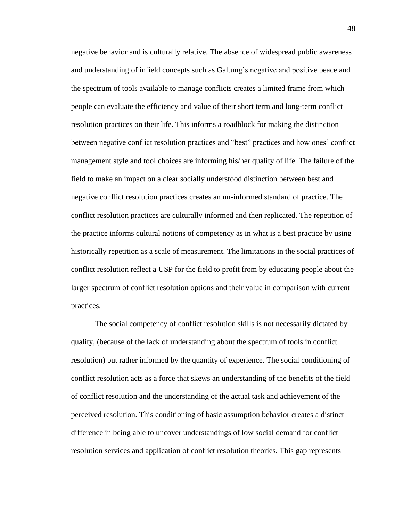negative behavior and is culturally relative. The absence of widespread public awareness and understanding of infield concepts such as Galtung's negative and positive peace and the spectrum of tools available to manage conflicts creates a limited frame from which people can evaluate the efficiency and value of their short term and long-term conflict resolution practices on their life. This informs a roadblock for making the distinction between negative conflict resolution practices and "best" practices and how ones' conflict management style and tool choices are informing his/her quality of life. The failure of the field to make an impact on a clear socially understood distinction between best and negative conflict resolution practices creates an un-informed standard of practice. The conflict resolution practices are culturally informed and then replicated. The repetition of the practice informs cultural notions of competency as in what is a best practice by using historically repetition as a scale of measurement. The limitations in the social practices of conflict resolution reflect a USP for the field to profit from by educating people about the larger spectrum of conflict resolution options and their value in comparison with current practices.

The social competency of conflict resolution skills is not necessarily dictated by quality, (because of the lack of understanding about the spectrum of tools in conflict resolution) but rather informed by the quantity of experience. The social conditioning of conflict resolution acts as a force that skews an understanding of the benefits of the field of conflict resolution and the understanding of the actual task and achievement of the perceived resolution. This conditioning of basic assumption behavior creates a distinct difference in being able to uncover understandings of low social demand for conflict resolution services and application of conflict resolution theories. This gap represents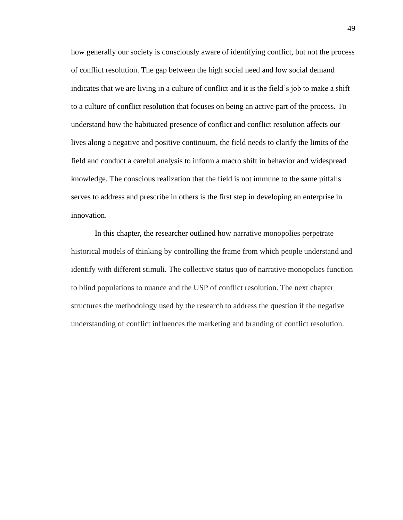how generally our society is consciously aware of identifying conflict, but not the process of conflict resolution. The gap between the high social need and low social demand indicates that we are living in a culture of conflict and it is the field's job to make a shift to a culture of conflict resolution that focuses on being an active part of the process. To understand how the habituated presence of conflict and conflict resolution affects our lives along a negative and positive continuum, the field needs to clarify the limits of the field and conduct a careful analysis to inform a macro shift in behavior and widespread knowledge. The conscious realization that the field is not immune to the same pitfalls serves to address and prescribe in others is the first step in developing an enterprise in innovation.

In this chapter, the researcher outlined how narrative monopolies perpetrate historical models of thinking by controlling the frame from which people understand and identify with different stimuli. The collective status quo of narrative monopolies function to blind populations to nuance and the USP of conflict resolution. The next chapter structures the methodology used by the research to address the question if the negative understanding of conflict influences the marketing and branding of conflict resolution.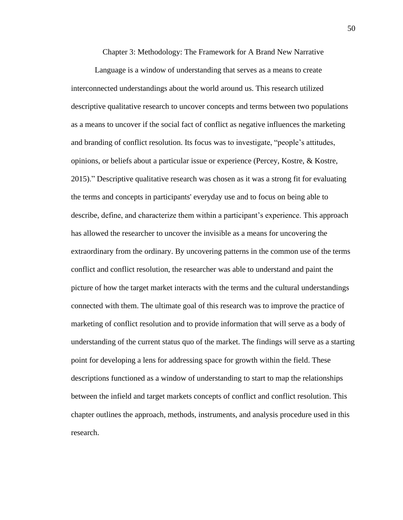Chapter 3: Methodology: The Framework for A Brand New Narrative

Language is a window of understanding that serves as a means to create interconnected understandings about the world around us. This research utilized descriptive qualitative research to uncover concepts and terms between two populations as a means to uncover if the social fact of conflict as negative influences the marketing and branding of conflict resolution. Its focus was to investigate, "people's attitudes, opinions, or beliefs about a particular issue or experience (Percey, Kostre, & Kostre, 2015)." Descriptive qualitative research was chosen as it was a strong fit for evaluating the terms and concepts in participants' everyday use and to focus on being able to describe, define, and characterize them within a participant's experience. This approach has allowed the researcher to uncover the invisible as a means for uncovering the extraordinary from the ordinary. By uncovering patterns in the common use of the terms conflict and conflict resolution, the researcher was able to understand and paint the picture of how the target market interacts with the terms and the cultural understandings connected with them. The ultimate goal of this research was to improve the practice of marketing of conflict resolution and to provide information that will serve as a body of understanding of the current status quo of the market. The findings will serve as a starting point for developing a lens for addressing space for growth within the field. These descriptions functioned as a window of understanding to start to map the relationships between the infield and target markets concepts of conflict and conflict resolution. This chapter outlines the approach, methods, instruments, and analysis procedure used in this research.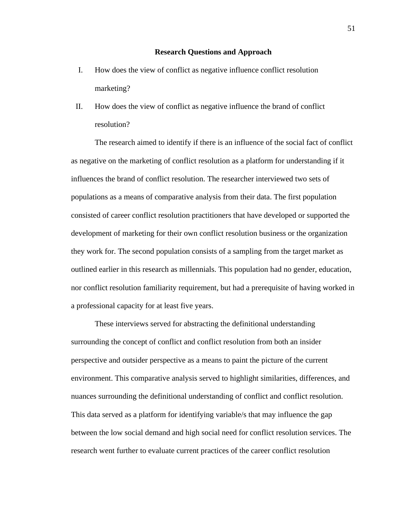## **Research Questions and Approach**

- I. How does the view of conflict as negative influence conflict resolution marketing?
- II. How does the view of conflict as negative influence the brand of conflict resolution?

The research aimed to identify if there is an influence of the social fact of conflict as negative on the marketing of conflict resolution as a platform for understanding if it influences the brand of conflict resolution. The researcher interviewed two sets of populations as a means of comparative analysis from their data. The first population consisted of career conflict resolution practitioners that have developed or supported the development of marketing for their own conflict resolution business or the organization they work for. The second population consists of a sampling from the target market as outlined earlier in this research as millennials. This population had no gender, education, nor conflict resolution familiarity requirement, but had a prerequisite of having worked in a professional capacity for at least five years.

These interviews served for abstracting the definitional understanding surrounding the concept of conflict and conflict resolution from both an insider perspective and outsider perspective as a means to paint the picture of the current environment. This comparative analysis served to highlight similarities, differences, and nuances surrounding the definitional understanding of conflict and conflict resolution. This data served as a platform for identifying variable/s that may influence the gap between the low social demand and high social need for conflict resolution services. The research went further to evaluate current practices of the career conflict resolution

51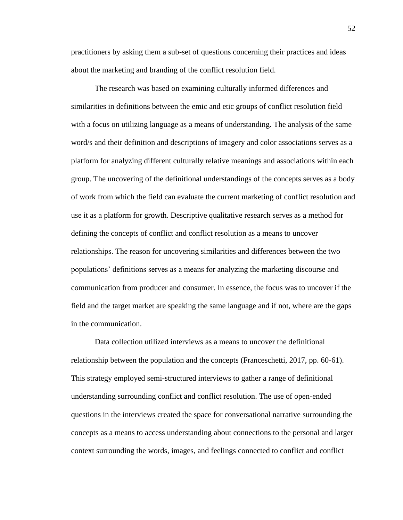practitioners by asking them a sub-set of questions concerning their practices and ideas about the marketing and branding of the conflict resolution field.

The research was based on examining culturally informed differences and similarities in definitions between the emic and etic groups of conflict resolution field with a focus on utilizing language as a means of understanding. The analysis of the same word/s and their definition and descriptions of imagery and color associations serves as a platform for analyzing different culturally relative meanings and associations within each group. The uncovering of the definitional understandings of the concepts serves as a body of work from which the field can evaluate the current marketing of conflict resolution and use it as a platform for growth. Descriptive qualitative research serves as a method for defining the concepts of conflict and conflict resolution as a means to uncover relationships. The reason for uncovering similarities and differences between the two populations' definitions serves as a means for analyzing the marketing discourse and communication from producer and consumer. In essence, the focus was to uncover if the field and the target market are speaking the same language and if not, where are the gaps in the communication.

Data collection utilized interviews as a means to uncover the definitional relationship between the population and the concepts (Franceschetti, 2017, pp. 60-61). This strategy employed semi-structured interviews to gather a range of definitional understanding surrounding conflict and conflict resolution. The use of open-ended questions in the interviews created the space for conversational narrative surrounding the concepts as a means to access understanding about connections to the personal and larger context surrounding the words, images, and feelings connected to conflict and conflict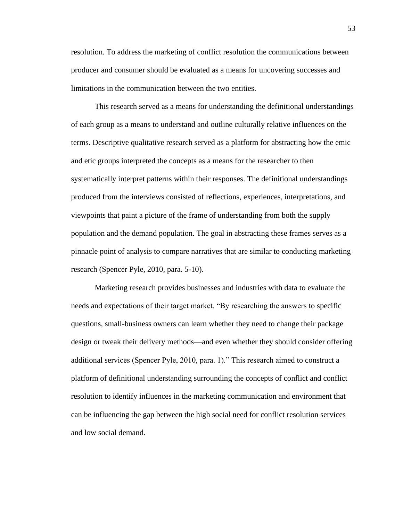resolution. To address the marketing of conflict resolution the communications between producer and consumer should be evaluated as a means for uncovering successes and limitations in the communication between the two entities.

This research served as a means for understanding the definitional understandings of each group as a means to understand and outline culturally relative influences on the terms. Descriptive qualitative research served as a platform for abstracting how the emic and etic groups interpreted the concepts as a means for the researcher to then systematically interpret patterns within their responses. The definitional understandings produced from the interviews consisted of reflections, experiences, interpretations, and viewpoints that paint a picture of the frame of understanding from both the supply population and the demand population. The goal in abstracting these frames serves as a pinnacle point of analysis to compare narratives that are similar to conducting marketing research (Spencer Pyle, 2010, para. 5-10).

Marketing research provides businesses and industries with data to evaluate the needs and expectations of their target market. "By researching the answers to specific questions, small-business owners can learn whether they need to change their package design or tweak their delivery methods—and even whether they should consider offering additional services (Spencer Pyle, 2010, para. 1)." This research aimed to construct a platform of definitional understanding surrounding the concepts of conflict and conflict resolution to identify influences in the marketing communication and environment that can be influencing the gap between the high social need for conflict resolution services and low social demand.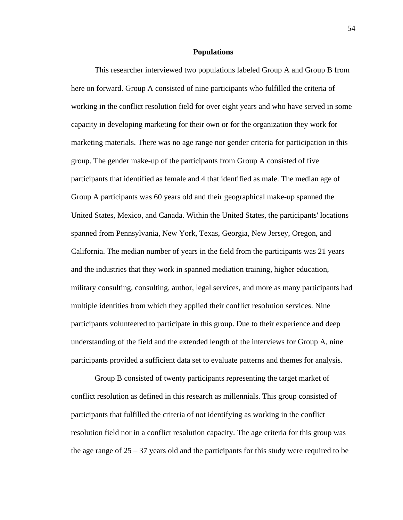## **Populations**

This researcher interviewed two populations labeled Group A and Group B from here on forward. Group A consisted of nine participants who fulfilled the criteria of working in the conflict resolution field for over eight years and who have served in some capacity in developing marketing for their own or for the organization they work for marketing materials. There was no age range nor gender criteria for participation in this group. The gender make-up of the participants from Group A consisted of five participants that identified as female and 4 that identified as male. The median age of Group A participants was 60 years old and their geographical make-up spanned the United States, Mexico, and Canada. Within the United States, the participants' locations spanned from Pennsylvania, New York, Texas, Georgia, New Jersey, Oregon, and California. The median number of years in the field from the participants was 21 years and the industries that they work in spanned mediation training, higher education, military consulting, consulting, author, legal services, and more as many participants had multiple identities from which they applied their conflict resolution services. Nine participants volunteered to participate in this group. Due to their experience and deep understanding of the field and the extended length of the interviews for Group A, nine participants provided a sufficient data set to evaluate patterns and themes for analysis.

Group B consisted of twenty participants representing the target market of conflict resolution as defined in this research as millennials. This group consisted of participants that fulfilled the criteria of not identifying as working in the conflict resolution field nor in a conflict resolution capacity. The age criteria for this group was the age range of  $25 - 37$  years old and the participants for this study were required to be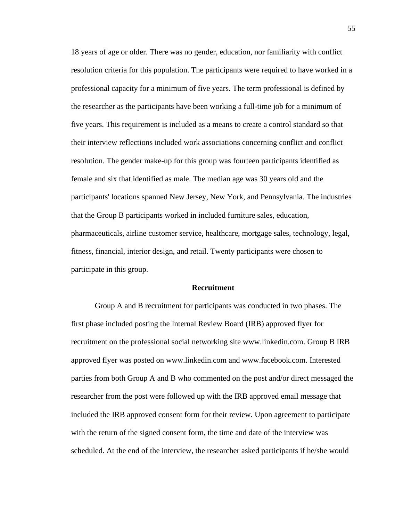18 years of age or older. There was no gender, education, nor familiarity with conflict resolution criteria for this population. The participants were required to have worked in a professional capacity for a minimum of five years. The term professional is defined by the researcher as the participants have been working a full-time job for a minimum of five years. This requirement is included as a means to create a control standard so that their interview reflections included work associations concerning conflict and conflict resolution. The gender make-up for this group was fourteen participants identified as female and six that identified as male. The median age was 30 years old and the participants' locations spanned New Jersey, New York, and Pennsylvania. The industries that the Group B participants worked in included furniture sales, education, pharmaceuticals, airline customer service, healthcare, mortgage sales, technology, legal, fitness, financial, interior design, and retail. Twenty participants were chosen to participate in this group.

## **Recruitment**

Group A and B recruitment for participants was conducted in two phases. The first phase included posting the Internal Review Board (IRB) approved flyer for recruitment on the professional social networking site www.linkedin.com. Group B IRB approved flyer was posted on www.linkedin.com and www.facebook.com. Interested parties from both Group A and B who commented on the post and/or direct messaged the researcher from the post were followed up with the IRB approved email message that included the IRB approved consent form for their review. Upon agreement to participate with the return of the signed consent form, the time and date of the interview was scheduled. At the end of the interview, the researcher asked participants if he/she would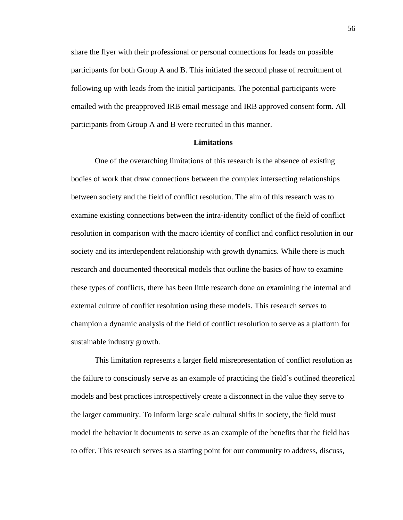share the flyer with their professional or personal connections for leads on possible participants for both Group A and B. This initiated the second phase of recruitment of following up with leads from the initial participants. The potential participants were emailed with the preapproved IRB email message and IRB approved consent form. All participants from Group A and B were recruited in this manner.

# **Limitations**

One of the overarching limitations of this research is the absence of existing bodies of work that draw connections between the complex intersecting relationships between society and the field of conflict resolution. The aim of this research was to examine existing connections between the intra-identity conflict of the field of conflict resolution in comparison with the macro identity of conflict and conflict resolution in our society and its interdependent relationship with growth dynamics. While there is much research and documented theoretical models that outline the basics of how to examine these types of conflicts, there has been little research done on examining the internal and external culture of conflict resolution using these models. This research serves to champion a dynamic analysis of the field of conflict resolution to serve as a platform for sustainable industry growth.

This limitation represents a larger field misrepresentation of conflict resolution as the failure to consciously serve as an example of practicing the field's outlined theoretical models and best practices introspectively create a disconnect in the value they serve to the larger community. To inform large scale cultural shifts in society, the field must model the behavior it documents to serve as an example of the benefits that the field has to offer. This research serves as a starting point for our community to address, discuss,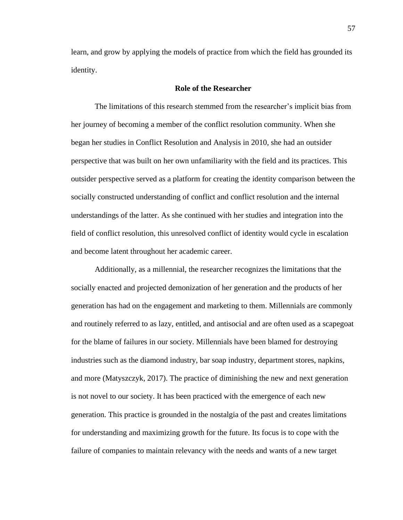learn, and grow by applying the models of practice from which the field has grounded its identity.

## **Role of the Researcher**

The limitations of this research stemmed from the researcher's implicit bias from her journey of becoming a member of the conflict resolution community. When she began her studies in Conflict Resolution and Analysis in 2010, she had an outsider perspective that was built on her own unfamiliarity with the field and its practices. This outsider perspective served as a platform for creating the identity comparison between the socially constructed understanding of conflict and conflict resolution and the internal understandings of the latter. As she continued with her studies and integration into the field of conflict resolution, this unresolved conflict of identity would cycle in escalation and become latent throughout her academic career.

Additionally, as a millennial, the researcher recognizes the limitations that the socially enacted and projected demonization of her generation and the products of her generation has had on the engagement and marketing to them. Millennials are commonly and routinely referred to as lazy, entitled, and antisocial and are often used as a scapegoat for the blame of failures in our society. Millennials have been blamed for destroying industries such as the diamond industry, bar soap industry, department stores, napkins, and more (Matyszczyk, 2017). The practice of diminishing the new and next generation is not novel to our society. It has been practiced with the emergence of each new generation. This practice is grounded in the nostalgia of the past and creates limitations for understanding and maximizing growth for the future. Its focus is to cope with the failure of companies to maintain relevancy with the needs and wants of a new target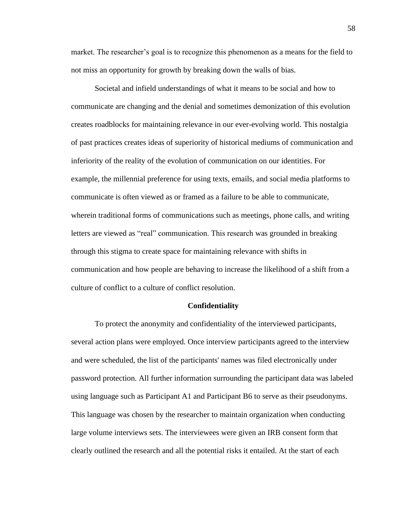market. The researcher's goal is to recognize this phenomenon as a means for the field to not miss an opportunity for growth by breaking down the walls of bias.

Societal and infield understandings of what it means to be social and how to communicate are changing and the denial and sometimes demonization of this evolution creates roadblocks for maintaining relevance in our ever-evolving world. This nostalgia of past practices creates ideas of superiority of historical mediums of communication and inferiority of the reality of the evolution of communication on our identities. For example, the millennial preference for using texts, emails, and social media platforms to communicate is often viewed as or framed as a failure to be able to communicate, wherein traditional forms of communications such as meetings, phone calls, and writing letters are viewed as "real" communication. This research was grounded in breaking through this stigma to create space for maintaining relevance with shifts in communication and how people are behaving to increase the likelihood of a shift from a culture of conflict to a culture of conflict resolution.

### **Confidentiality**

To protect the anonymity and confidentiality of the interviewed participants, several action plans were employed. Once interview participants agreed to the interview and were scheduled, the list of the participants' names was filed electronically under password protection. All further information surrounding the participant data was labeled using language such as Participant A1 and Participant B6 to serve as their pseudonyms. This language was chosen by the researcher to maintain organization when conducting large volume interviews sets. The interviewees were given an IRB consent form that clearly outlined the research and all the potential risks it entailed. At the start of each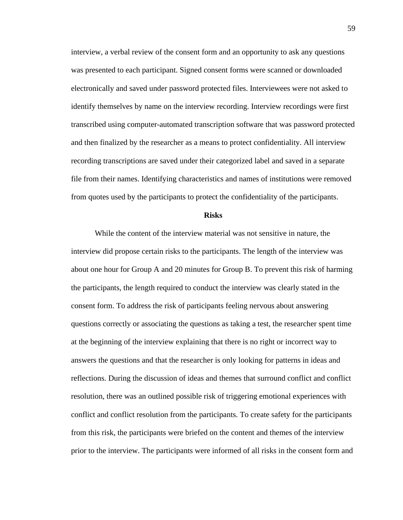interview, a verbal review of the consent form and an opportunity to ask any questions was presented to each participant. Signed consent forms were scanned or downloaded electronically and saved under password protected files. Interviewees were not asked to identify themselves by name on the interview recording. Interview recordings were first transcribed using computer-automated transcription software that was password protected and then finalized by the researcher as a means to protect confidentiality. All interview recording transcriptions are saved under their categorized label and saved in a separate file from their names. Identifying characteristics and names of institutions were removed from quotes used by the participants to protect the confidentiality of the participants.

## **Risks**

While the content of the interview material was not sensitive in nature, the interview did propose certain risks to the participants. The length of the interview was about one hour for Group A and 20 minutes for Group B. To prevent this risk of harming the participants, the length required to conduct the interview was clearly stated in the consent form. To address the risk of participants feeling nervous about answering questions correctly or associating the questions as taking a test, the researcher spent time at the beginning of the interview explaining that there is no right or incorrect way to answers the questions and that the researcher is only looking for patterns in ideas and reflections. During the discussion of ideas and themes that surround conflict and conflict resolution, there was an outlined possible risk of triggering emotional experiences with conflict and conflict resolution from the participants. To create safety for the participants from this risk, the participants were briefed on the content and themes of the interview prior to the interview. The participants were informed of all risks in the consent form and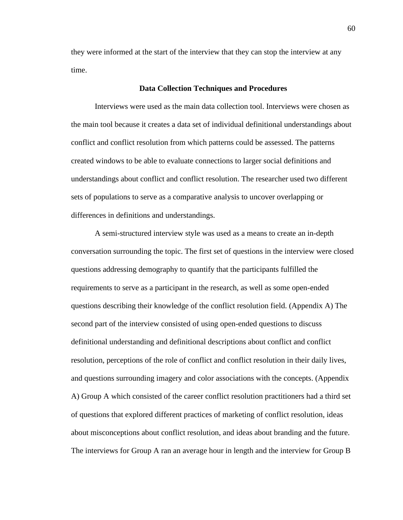they were informed at the start of the interview that they can stop the interview at any time.

## **Data Collection Techniques and Procedures**

Interviews were used as the main data collection tool. Interviews were chosen as the main tool because it creates a data set of individual definitional understandings about conflict and conflict resolution from which patterns could be assessed. The patterns created windows to be able to evaluate connections to larger social definitions and understandings about conflict and conflict resolution. The researcher used two different sets of populations to serve as a comparative analysis to uncover overlapping or differences in definitions and understandings.

A semi-structured interview style was used as a means to create an in-depth conversation surrounding the topic. The first set of questions in the interview were closed questions addressing demography to quantify that the participants fulfilled the requirements to serve as a participant in the research, as well as some open-ended questions describing their knowledge of the conflict resolution field. (Appendix A) The second part of the interview consisted of using open-ended questions to discuss definitional understanding and definitional descriptions about conflict and conflict resolution, perceptions of the role of conflict and conflict resolution in their daily lives, and questions surrounding imagery and color associations with the concepts. (Appendix A) Group A which consisted of the career conflict resolution practitioners had a third set of questions that explored different practices of marketing of conflict resolution, ideas about misconceptions about conflict resolution, and ideas about branding and the future. The interviews for Group A ran an average hour in length and the interview for Group B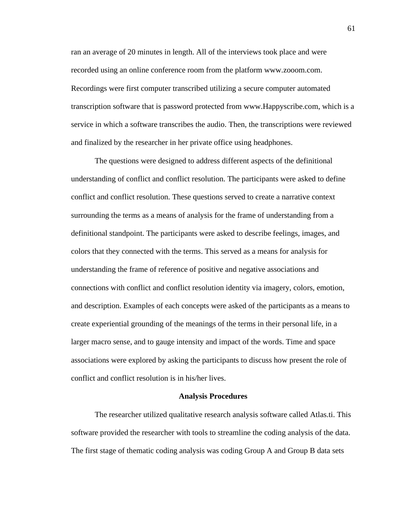ran an average of 20 minutes in length. All of the interviews took place and were recorded using an online conference room from the platform www.zooom.com. Recordings were first computer transcribed utilizing a secure computer automated transcription software that is password protected from www.Happyscribe.com, which is a service in which a software transcribes the audio. Then, the transcriptions were reviewed and finalized by the researcher in her private office using headphones.

The questions were designed to address different aspects of the definitional understanding of conflict and conflict resolution. The participants were asked to define conflict and conflict resolution. These questions served to create a narrative context surrounding the terms as a means of analysis for the frame of understanding from a definitional standpoint. The participants were asked to describe feelings, images, and colors that they connected with the terms. This served as a means for analysis for understanding the frame of reference of positive and negative associations and connections with conflict and conflict resolution identity via imagery, colors, emotion, and description. Examples of each concepts were asked of the participants as a means to create experiential grounding of the meanings of the terms in their personal life, in a larger macro sense, and to gauge intensity and impact of the words. Time and space associations were explored by asking the participants to discuss how present the role of conflict and conflict resolution is in his/her lives.

## **Analysis Procedures**

The researcher utilized qualitative research analysis software called Atlas.ti. This software provided the researcher with tools to streamline the coding analysis of the data. The first stage of thematic coding analysis was coding Group A and Group B data sets

61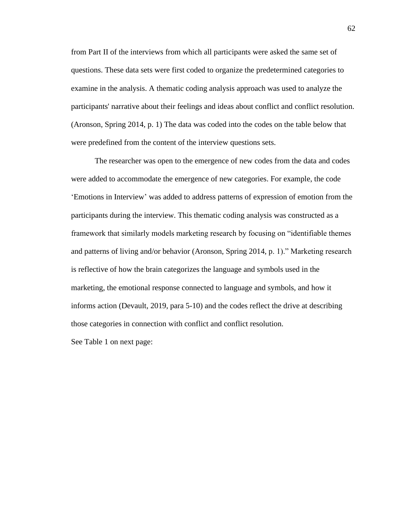from Part II of the interviews from which all participants were asked the same set of questions. These data sets were first coded to organize the predetermined categories to examine in the analysis. A thematic coding analysis approach was used to analyze the participants' narrative about their feelings and ideas about conflict and conflict resolution. (Aronson, Spring 2014, p. 1) The data was coded into the codes on the table below that were predefined from the content of the interview questions sets.

The researcher was open to the emergence of new codes from the data and codes were added to accommodate the emergence of new categories. For example, the code 'Emotions in Interview' was added to address patterns of expression of emotion from the participants during the interview. This thematic coding analysis was constructed as a framework that similarly models marketing research by focusing on "identifiable themes and patterns of living and/or behavior (Aronson, Spring 2014, p. 1)." Marketing research is reflective of how the brain categorizes the language and symbols used in the marketing, the emotional response connected to language and symbols, and how it informs action (Devault, 2019, para 5-10) and the codes reflect the drive at describing those categories in connection with conflict and conflict resolution.

See Table 1 on next page: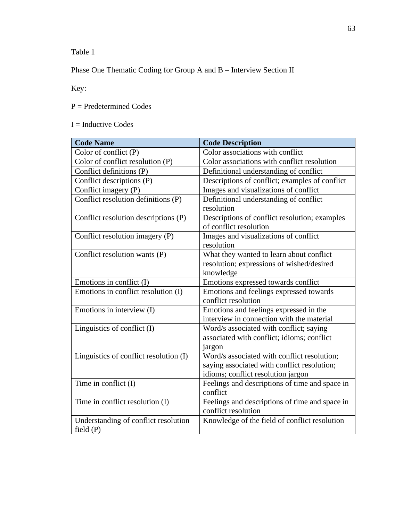Table 1

Phase One Thematic Coding for Group A and B – Interview Section II

Key:

P = Predetermined Codes

# $I = Inductive Codes$

| <b>Code Name</b>                                    | <b>Code Description</b>                                                                                                          |
|-----------------------------------------------------|----------------------------------------------------------------------------------------------------------------------------------|
| Color of conflict $(P)$                             | Color associations with conflict                                                                                                 |
| Color of conflict resolution (P)                    | Color associations with conflict resolution                                                                                      |
| Conflict definitions (P)                            | Definitional understanding of conflict                                                                                           |
| Conflict descriptions (P)                           | Descriptions of conflict; examples of conflict                                                                                   |
| Conflict imagery (P)                                | Images and visualizations of conflict                                                                                            |
| Conflict resolution definitions (P)                 | Definitional understanding of conflict<br>resolution                                                                             |
| Conflict resolution descriptions (P)                | Descriptions of conflict resolution; examples<br>of conflict resolution                                                          |
| Conflict resolution imagery (P)                     | Images and visualizations of conflict<br>resolution                                                                              |
| Conflict resolution wants (P)                       | What they wanted to learn about conflict<br>resolution; expressions of wished/desired<br>knowledge                               |
| Emotions in conflict (I)                            | Emotions expressed towards conflict                                                                                              |
| Emotions in conflict resolution (I)                 | Emotions and feelings expressed towards<br>conflict resolution                                                                   |
| Emotions in interview (I)                           | Emotions and feelings expressed in the<br>interview in connection with the material                                              |
| Linguistics of conflict (I)                         | Word/s associated with conflict; saying<br>associated with conflict; idioms; conflict<br>jargon                                  |
| Linguistics of conflict resolution (I)              | Word/s associated with conflict resolution;<br>saying associated with conflict resolution;<br>idioms; conflict resolution jargon |
| Time in conflict (I)                                | Feelings and descriptions of time and space in<br>conflict                                                                       |
| Time in conflict resolution (I)                     | Feelings and descriptions of time and space in<br>conflict resolution                                                            |
| Understanding of conflict resolution<br>field $(P)$ | Knowledge of the field of conflict resolution                                                                                    |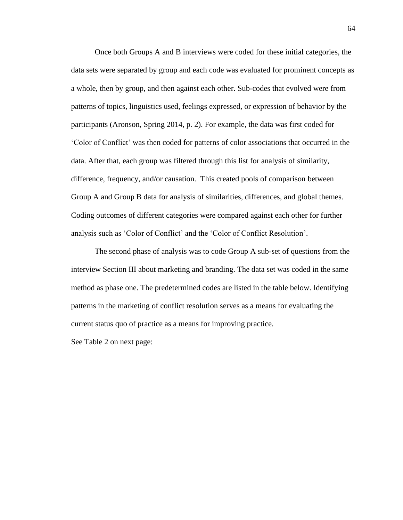Once both Groups A and B interviews were coded for these initial categories, the data sets were separated by group and each code was evaluated for prominent concepts as a whole, then by group, and then against each other. Sub-codes that evolved were from patterns of topics, linguistics used, feelings expressed, or expression of behavior by the participants (Aronson, Spring 2014, p. 2). For example, the data was first coded for 'Color of Conflict' was then coded for patterns of color associations that occurred in the data. After that, each group was filtered through this list for analysis of similarity, difference, frequency, and/or causation. This created pools of comparison between Group A and Group B data for analysis of similarities, differences, and global themes. Coding outcomes of different categories were compared against each other for further analysis such as 'Color of Conflict' and the 'Color of Conflict Resolution'.

The second phase of analysis was to code Group A sub-set of questions from the interview Section III about marketing and branding. The data set was coded in the same method as phase one. The predetermined codes are listed in the table below. Identifying patterns in the marketing of conflict resolution serves as a means for evaluating the current status quo of practice as a means for improving practice.

See Table 2 on next page: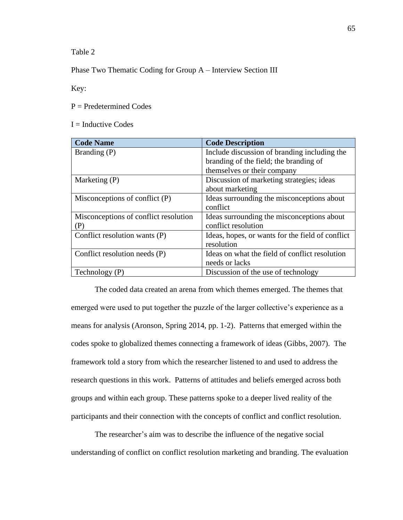Table 2

Phase Two Thematic Coding for Group A – Interview Section III

Key:

 $P =$  Predetermined Codes

 $I = Inductive Codes$ 

| <b>Code Name</b>                      | <b>Code Description</b>                          |  |
|---------------------------------------|--------------------------------------------------|--|
| Branding (P)                          | Include discussion of branding including the     |  |
|                                       | branding of the field; the branding of           |  |
|                                       | themselves or their company                      |  |
| Marketing (P)                         | Discussion of marketing strategies; ideas        |  |
|                                       | about marketing                                  |  |
| Misconceptions of conflict $(P)$      | Ideas surrounding the misconceptions about       |  |
|                                       | conflict                                         |  |
| Misconceptions of conflict resolution | Ideas surrounding the misconceptions about       |  |
| (P)                                   | conflict resolution                              |  |
| Conflict resolution wants (P)         | Ideas, hopes, or wants for the field of conflict |  |
|                                       | resolution                                       |  |
| Conflict resolution needs (P)         | Ideas on what the field of conflict resolution   |  |
|                                       | needs or lacks                                   |  |
| Technology $(P)$                      | Discussion of the use of technology              |  |

The coded data created an arena from which themes emerged. The themes that emerged were used to put together the puzzle of the larger collective's experience as a means for analysis (Aronson, Spring 2014, pp. 1-2). Patterns that emerged within the codes spoke to globalized themes connecting a framework of ideas (Gibbs, 2007). The framework told a story from which the researcher listened to and used to address the research questions in this work. Patterns of attitudes and beliefs emerged across both groups and within each group. These patterns spoke to a deeper lived reality of the participants and their connection with the concepts of conflict and conflict resolution.

The researcher's aim was to describe the influence of the negative social understanding of conflict on conflict resolution marketing and branding. The evaluation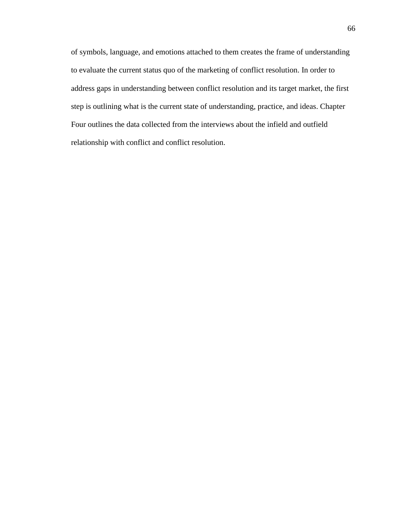of symbols, language, and emotions attached to them creates the frame of understanding to evaluate the current status quo of the marketing of conflict resolution. In order to address gaps in understanding between conflict resolution and its target market, the first step is outlining what is the current state of understanding, practice, and ideas. Chapter Four outlines the data collected from the interviews about the infield and outfield relationship with conflict and conflict resolution.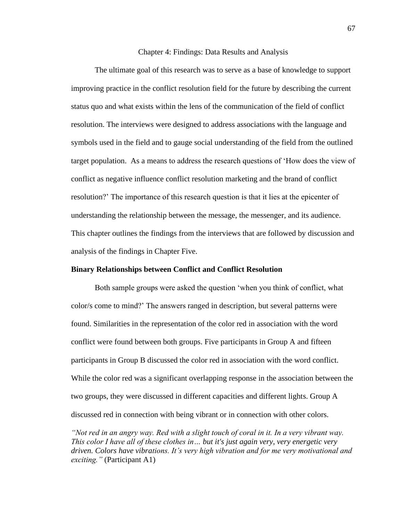#### Chapter 4: Findings: Data Results and Analysis

The ultimate goal of this research was to serve as a base of knowledge to support improving practice in the conflict resolution field for the future by describing the current status quo and what exists within the lens of the communication of the field of conflict resolution. The interviews were designed to address associations with the language and symbols used in the field and to gauge social understanding of the field from the outlined target population. As a means to address the research questions of 'How does the view of conflict as negative influence conflict resolution marketing and the brand of conflict resolution?' The importance of this research question is that it lies at the epicenter of understanding the relationship between the message, the messenger, and its audience. This chapter outlines the findings from the interviews that are followed by discussion and analysis of the findings in Chapter Five.

### **Binary Relationships between Conflict and Conflict Resolution**

Both sample groups were asked the question 'when you think of conflict, what color/s come to mind?' The answers ranged in description, but several patterns were found. Similarities in the representation of the color red in association with the word conflict were found between both groups. Five participants in Group A and fifteen participants in Group B discussed the color red in association with the word conflict. While the color red was a significant overlapping response in the association between the two groups, they were discussed in different capacities and different lights. Group A discussed red in connection with being vibrant or in connection with other colors.

*"Not red in an angry way. Red with a slight touch of coral in it. In a very vibrant way. This color I have all of these clothes in… but it's just again very, very energetic very driven. Colors have vibrations. It's very high vibration and for me very motivational and exciting."* (Participant A1)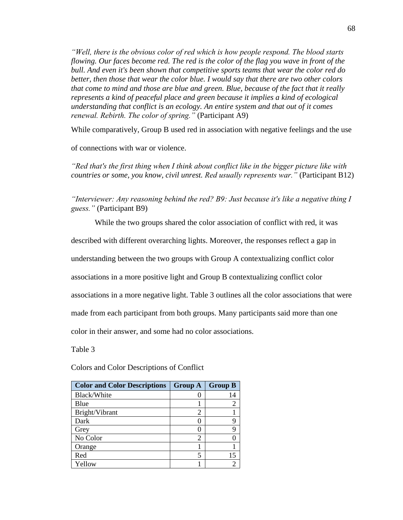*"Well, there is the obvious color of red which is how people respond. The blood starts flowing. Our faces become red. The red is the color of the flag you wave in front of the bull. And even it's been shown that competitive sports teams that wear the color red do better, then those that wear the color blue. I would say that there are two other colors that come to mind and those are blue and green. Blue, because of the fact that it really represents a kind of peaceful place and green because it implies a kind of ecological understanding that conflict is an ecology. An entire system and that out of it comes renewal. Rebirth. The color of spring."* (Participant A9)

While comparatively, Group B used red in association with negative feelings and the use

of connections with war or violence.

*"Red that's the first thing when I think about conflict like in the bigger picture like with countries or some, you know, civil unrest. Red usually represents war."* (Participant B12)

*"Interviewer: Any reasoning behind the red? B9: Just because it's like a negative thing I guess."* (Participant B9)

While the two groups shared the color association of conflict with red, it was

described with different overarching lights. Moreover, the responses reflect a gap in

understanding between the two groups with Group A contextualizing conflict color

associations in a more positive light and Group B contextualizing conflict color

associations in a more negative light. Table 3 outlines all the color associations that were

made from each participant from both groups. Many participants said more than one

color in their answer, and some had no color associations.

Table 3

| <b>Color and Color Descriptions</b> | <b>Group A</b> | <b>Group B</b> |
|-------------------------------------|----------------|----------------|
| Black/White                         |                | 14             |
| Blue                                |                |                |
| Bright/Vibrant                      | 2              |                |
| Dark                                |                |                |
| Grey                                |                |                |
| No Color                            | 2              |                |
| Orange                              |                |                |
| Red                                 | 5              | 15             |
| Yellow                              |                |                |

Colors and Color Descriptions of Conflict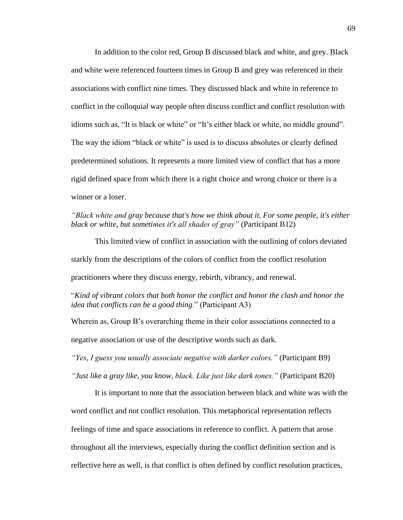In addition to the color red, Group B discussed black and white, and grey. Black and white were referenced fourteen times in Group B and grey was referenced in their associations with conflict nine times. They discussed black and white in reference to conflict in the colloquial way people often discuss conflict and conflict resolution with idioms such as, "It is black or white" or "It's either black or white, no middle ground". The way the idiom "black or white" is used is to discuss absolutes or clearly defined predetermined solutions. It represents a more limited view of conflict that has a more rigid defined space from which there is a right choice and wrong choice or there is a winner or a loser.

*"Black white and gray because that's how we think about it. For some people, it's either black or white, but sometimes it's all shades of gray"* (Participant B12)

This limited view of conflict in association with the outlining of colors deviated starkly from the descriptions of the colors of conflict from the conflict resolution practitioners where they discuss energy, rebirth, vibrancy, and renewal.

"*Kind of vibrant colors that both honor the conflict and honor the clash and honor the idea that conflicts can be a good thing*." (Participant A3)

Wherein as, Group B's overarching theme in their color associations connected to a negative association or use of the descriptive words such as dark.

*"Yes, I guess you usually associate negative with darker colors."* (Participant B9)

*"Just like a gray like, you know, black. Like just like dark tones."* (Participant B20)

It is important to note that the association between black and white was with the word conflict and not conflict resolution. This metaphorical representation reflects feelings of time and space associations in reference to conflict. A pattern that arose throughout all the interviews, especially during the conflict definition section and is reflective here as well, is that conflict is often defined by conflict resolution practices,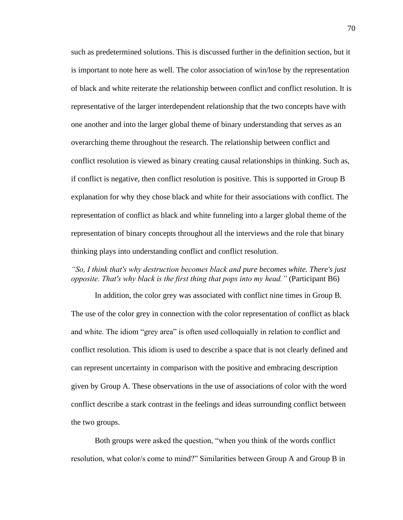such as predetermined solutions. This is discussed further in the definition section, but it is important to note here as well. The color association of win/lose by the representation of black and white reiterate the relationship between conflict and conflict resolution. It is representative of the larger interdependent relationship that the two concepts have with one another and into the larger global theme of binary understanding that serves as an overarching theme throughout the research. The relationship between conflict and conflict resolution is viewed as binary creating causal relationships in thinking. Such as, if conflict is negative, then conflict resolution is positive. This is supported in Group B explanation for why they chose black and white for their associations with conflict. The representation of conflict as black and white funneling into a larger global theme of the representation of binary concepts throughout all the interviews and the role that binary thinking plays into understanding conflict and conflict resolution.

## *"So, I think that's why destruction becomes black and pure becomes white. There's just opposite. That's why black is the first thing that pops into my head."* (Participant B6)

In addition, the color grey was associated with conflict nine times in Group B. The use of the color grey in connection with the color representation of conflict as black and white. The idiom "grey area" is often used colloquially in relation to conflict and conflict resolution. This idiom is used to describe a space that is not clearly defined and can represent uncertainty in comparison with the positive and embracing description given by Group A. These observations in the use of associations of color with the word conflict describe a stark contrast in the feelings and ideas surrounding conflict between the two groups.

Both groups were asked the question, "when you think of the words conflict resolution, what color/s come to mind?" Similarities between Group A and Group B in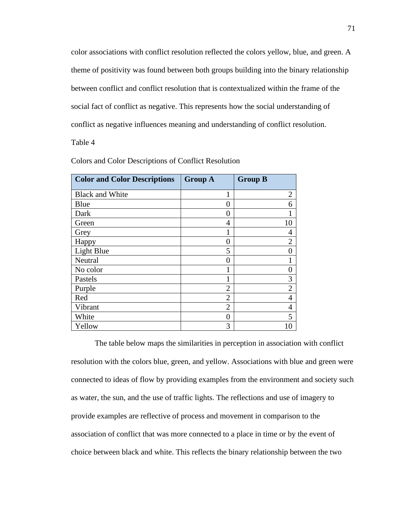color associations with conflict resolution reflected the colors yellow, blue, and green. A theme of positivity was found between both groups building into the binary relationship between conflict and conflict resolution that is contextualized within the frame of the social fact of conflict as negative. This represents how the social understanding of conflict as negative influences meaning and understanding of conflict resolution.

Table 4

| <b>Color and Color Descriptions</b> | <b>Group A</b> | <b>Group B</b> |
|-------------------------------------|----------------|----------------|
| <b>Black and White</b>              |                | $\overline{2}$ |
| Blue                                | 0              | 6              |
| Dark                                | 0              |                |
| Green                               | 4              | 10             |
| Grey                                |                | 4              |
| Happy                               | 0              | $\overline{2}$ |
| Light Blue                          | 5              |                |
| Neutral                             | $\overline{0}$ |                |
| No color                            |                |                |
| Pastels                             | 1              | 3              |
| Purple                              | $\overline{2}$ | $\overline{2}$ |
| Red                                 | $\overline{2}$ | 4              |
| Vibrant                             | $\overline{2}$ | 4              |
| White                               | $\overline{0}$ | 5              |
| Yellow                              | 3              | 10             |

Colors and Color Descriptions of Conflict Resolution

The table below maps the similarities in perception in association with conflict resolution with the colors blue, green, and yellow. Associations with blue and green were connected to ideas of flow by providing examples from the environment and society such as water, the sun, and the use of traffic lights. The reflections and use of imagery to provide examples are reflective of process and movement in comparison to the association of conflict that was more connected to a place in time or by the event of choice between black and white. This reflects the binary relationship between the two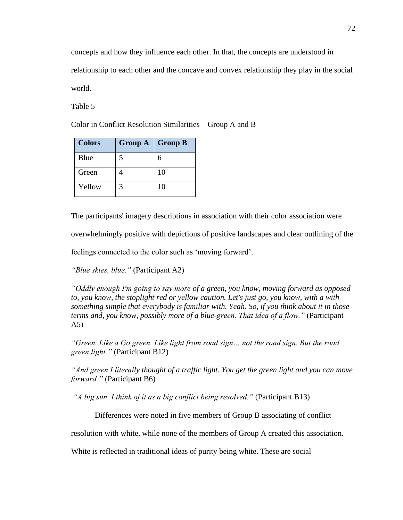concepts and how they influence each other. In that, the concepts are understood in relationship to each other and the concave and convex relationship they play in the social world.

Table 5

Color in Conflict Resolution Similarities – Group A and B

| <b>Colors</b> | <b>Group A</b> | <b>Group B</b> |
|---------------|----------------|----------------|
| Blue          | 5              | 6              |
| Green         |                | 10             |
| Yellow        | 3              | 10             |

The participants' imagery descriptions in association with their color association were

overwhelmingly positive with depictions of positive landscapes and clear outlining of the

feelings connected to the color such as 'moving forward'.

*"Blue skies, blue."* (Participant A2)

*"Oddly enough I'm going to say more of a green, you know, moving forward as opposed to, you know, the stoplight red or yellow caution. Let's just go, you know, with a with something simple that everybody is familiar with. Yeah. So, if you think about it in those terms and, you know, possibly more of a blue-green. That idea of a flow."* (Participant A5)

*"Green. Like a Go green. Like light from road sign… not the road sign. But the road green light."* (Participant B12)

*"And green I literally thought of a traffic light. You get the green light and you can move forward."* (Participant B6)

*"A big sun. I think of it as a big conflict being resolved."* (Participant B13)

Differences were noted in five members of Group B associating of conflict

resolution with white, while none of the members of Group A created this association.

White is reflected in traditional ideas of purity being white. These are social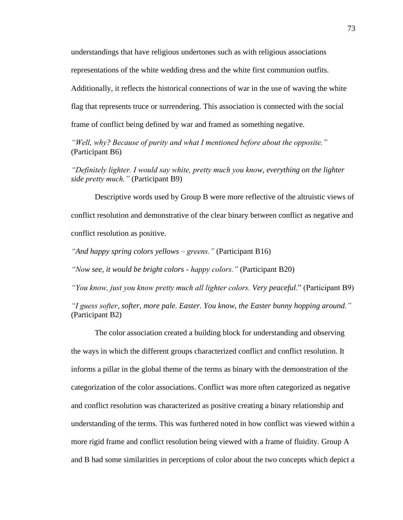understandings that have religious undertones such as with religious associations

representations of the white wedding dress and the white first communion outfits.

Additionally, it reflects the historical connections of war in the use of waving the white

flag that represents truce or surrendering. This association is connected with the social

frame of conflict being defined by war and framed as something negative.

*"Well, why? Because of purity and what I mentioned before about the opposite."* (Participant B6)

*"Definitely lighter. I would say white, pretty much you know, everything on the lighter side pretty much."* (Participant B9)

Descriptive words used by Group B were more reflective of the altruistic views of conflict resolution and demonstrative of the clear binary between conflict as negative and conflict resolution as positive.

*"And happy spring colors yellows – greens."* (Participant B16)

*"Now see, it would be bright colors - happy colors."* (Participant B20)

*"You know, just you know pretty much all lighter colors. Very peaceful*." (Participant B9)

*"I guess softer, softer, more pale. Easter. You know, the Easter bunny hopping around."* (Participant B2)

The color association created a building block for understanding and observing the ways in which the different groups characterized conflict and conflict resolution. It informs a pillar in the global theme of the terms as binary with the demonstration of the categorization of the color associations. Conflict was more often categorized as negative and conflict resolution was characterized as positive creating a binary relationship and understanding of the terms. This was furthered noted in how conflict was viewed within a more rigid frame and conflict resolution being viewed with a frame of fluidity. Group A and B had some similarities in perceptions of color about the two concepts which depict a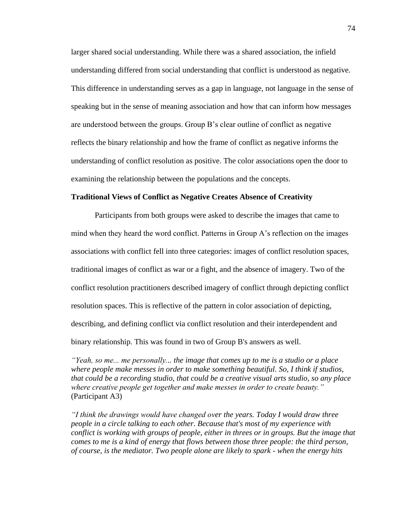larger shared social understanding. While there was a shared association, the infield understanding differed from social understanding that conflict is understood as negative. This difference in understanding serves as a gap in language, not language in the sense of speaking but in the sense of meaning association and how that can inform how messages are understood between the groups. Group B's clear outline of conflict as negative reflects the binary relationship and how the frame of conflict as negative informs the understanding of conflict resolution as positive. The color associations open the door to examining the relationship between the populations and the concepts.

#### **Traditional Views of Conflict as Negative Creates Absence of Creativity**

Participants from both groups were asked to describe the images that came to mind when they heard the word conflict. Patterns in Group A's reflection on the images associations with conflict fell into three categories: images of conflict resolution spaces, traditional images of conflict as war or a fight, and the absence of imagery. Two of the conflict resolution practitioners described imagery of conflict through depicting conflict resolution spaces. This is reflective of the pattern in color association of depicting, describing, and defining conflict via conflict resolution and their interdependent and binary relationship. This was found in two of Group B's answers as well.

*"Yeah, so me... me personally... the image that comes up to me is a studio or a place where people make messes in order to make something beautiful. So, I think if studios, that could be a recording studio, that could be a creative visual arts studio, so any place where creative people get together and make messes in order to create beauty."* (Participant A3)

*"I think the drawings would have changed over the years. Today I would draw three people in a circle talking to each other. Because that's most of my experience with conflict is working with groups of people, either in threes or in groups. But the image that comes to me is a kind of energy that flows between those three people: the third person, of course, is the mediator. Two people alone are likely to spark - when the energy hits*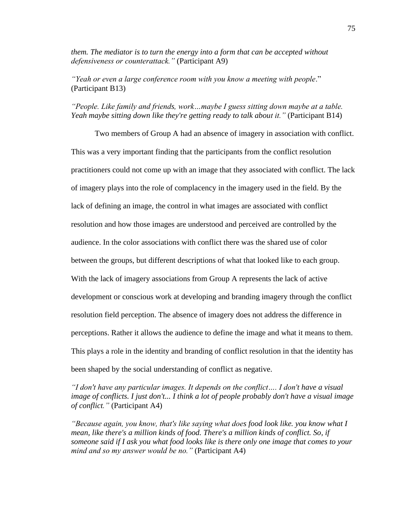*them. The mediator is to turn the energy into a form that can be accepted without defensiveness or counterattack."* (Participant A9)

*"Yeah or even a large conference room with you know a meeting with people*." (Participant B13)

# *"People. Like family and friends, work…maybe I guess sitting down maybe at a table. Yeah maybe sitting down like they're getting ready to talk about it."* (Participant B14)

Two members of Group A had an absence of imagery in association with conflict. This was a very important finding that the participants from the conflict resolution practitioners could not come up with an image that they associated with conflict. The lack of imagery plays into the role of complacency in the imagery used in the field. By the lack of defining an image, the control in what images are associated with conflict resolution and how those images are understood and perceived are controlled by the audience. In the color associations with conflict there was the shared use of color between the groups, but different descriptions of what that looked like to each group. With the lack of imagery associations from Group A represents the lack of active development or conscious work at developing and branding imagery through the conflict resolution field perception. The absence of imagery does not address the difference in perceptions. Rather it allows the audience to define the image and what it means to them. This plays a role in the identity and branding of conflict resolution in that the identity has been shaped by the social understanding of conflict as negative.

*"I don't have any particular images. It depends on the conflict…. I don't have a visual image of conflicts. I just don't... I think a lot of people probably don't have a visual image of conflict."* (Participant A4)

*"Because again, you know, that's like saying what does food look like. you know what I mean, like there's a million kinds of food. There's a million kinds of conflict. So, if someone said if I ask you what food looks like is there only one image that comes to your mind and so my answer would be no."* (Participant A4)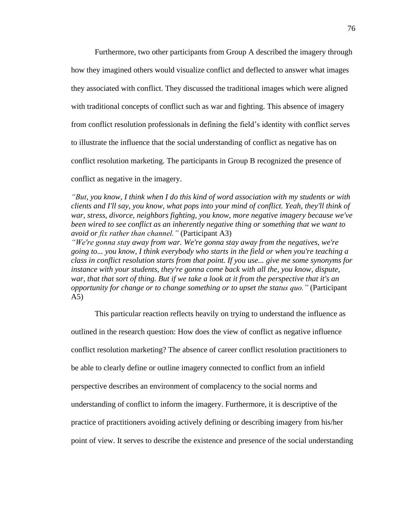Furthermore, two other participants from Group A described the imagery through how they imagined others would visualize conflict and deflected to answer what images they associated with conflict. They discussed the traditional images which were aligned with traditional concepts of conflict such as war and fighting. This absence of imagery from conflict resolution professionals in defining the field's identity with conflict serves to illustrate the influence that the social understanding of conflict as negative has on conflict resolution marketing. The participants in Group B recognized the presence of conflict as negative in the imagery.

*"But, you know, I think when I do this kind of word association with my students or with clients and I'll say, you know, what pops into your mind of conflict. Yeah, they'll think of war, stress, divorce, neighbors fighting, you know, more negative imagery because we've been wired to see conflict as an inherently negative thing or something that we want to avoid or fix rather than channel."* (Participant A3) *"We're gonna stay away from war. We're gonna stay away from the negatives, we're* 

*going to... you know, I think everybody who starts in the field or when you're teaching a class in conflict resolution starts from that point. If you use... give me some synonyms for instance with your students, they're gonna come back with all the, you know, dispute, war, that that sort of thing. But if we take a look at it from the perspective that it's an opportunity for change or to change something or to upset the status quo."* (Participant A5)

This particular reaction reflects heavily on trying to understand the influence as outlined in the research question: How does the view of conflict as negative influence conflict resolution marketing? The absence of career conflict resolution practitioners to be able to clearly define or outline imagery connected to conflict from an infield perspective describes an environment of complacency to the social norms and understanding of conflict to inform the imagery. Furthermore, it is descriptive of the practice of practitioners avoiding actively defining or describing imagery from his/her point of view. It serves to describe the existence and presence of the social understanding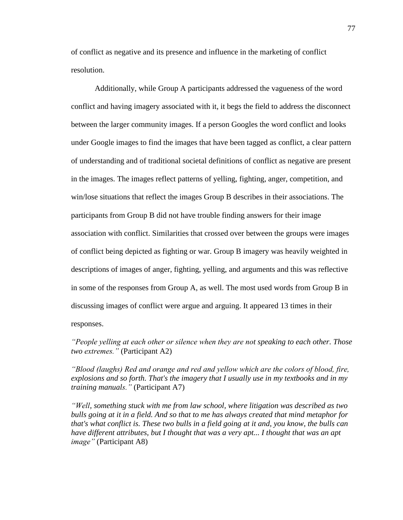of conflict as negative and its presence and influence in the marketing of conflict resolution.

Additionally, while Group A participants addressed the vagueness of the word conflict and having imagery associated with it, it begs the field to address the disconnect between the larger community images. If a person Googles the word conflict and looks under Google images to find the images that have been tagged as conflict, a clear pattern of understanding and of traditional societal definitions of conflict as negative are present in the images. The images reflect patterns of yelling, fighting, anger, competition, and win/lose situations that reflect the images Group B describes in their associations. The participants from Group B did not have trouble finding answers for their image association with conflict. Similarities that crossed over between the groups were images of conflict being depicted as fighting or war. Group B imagery was heavily weighted in descriptions of images of anger, fighting, yelling, and arguments and this was reflective in some of the responses from Group A, as well. The most used words from Group B in discussing images of conflict were argue and arguing. It appeared 13 times in their responses.

*"People yelling at each other or silence when they are not speaking to each other. Those two extremes."* (Participant A2)

*"Blood (laughs) Red and orange and red and yellow which are the colors of blood, fire, explosions and so forth. That's the imagery that I usually use in my textbooks and in my training manuals."* (Participant A7)

*"Well, something stuck with me from law school, where litigation was described as two bulls going at it in a field. And so that to me has always created that mind metaphor for that's what conflict is. These two bulls in a field going at it and, you know, the bulls can have different attributes, but I thought that was a very apt... I thought that was an apt image"* (Participant A8)

77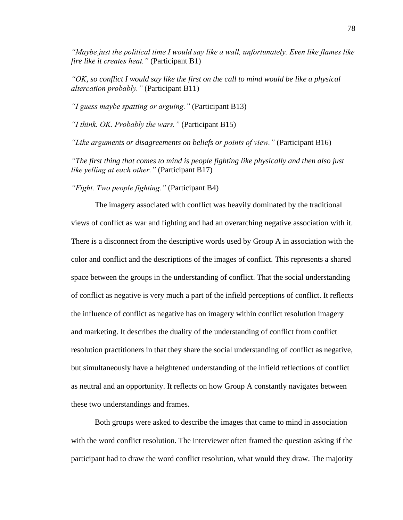*"Maybe just the political time I would say like a wall, unfortunately. Even like flames like fire like it creates heat."* (Participant B1)

*"OK, so conflict I would say like the first on the call to mind would be like a physical altercation probably."* (Participant B11)

*"I guess maybe spatting or arguing."* (Participant B13)

*"I think. OK. Probably the wars."* (Participant B15)

*"Like arguments or disagreements on beliefs or points of view."* (Participant B16)

*"The first thing that comes to mind is people fighting like physically and then also just like yelling at each other."* (Participant B17)

*"Fight. Two people fighting."* (Participant B4)

The imagery associated with conflict was heavily dominated by the traditional views of conflict as war and fighting and had an overarching negative association with it. There is a disconnect from the descriptive words used by Group A in association with the color and conflict and the descriptions of the images of conflict. This represents a shared space between the groups in the understanding of conflict. That the social understanding of conflict as negative is very much a part of the infield perceptions of conflict. It reflects the influence of conflict as negative has on imagery within conflict resolution imagery and marketing. It describes the duality of the understanding of conflict from conflict resolution practitioners in that they share the social understanding of conflict as negative, but simultaneously have a heightened understanding of the infield reflections of conflict as neutral and an opportunity. It reflects on how Group A constantly navigates between these two understandings and frames.

Both groups were asked to describe the images that came to mind in association with the word conflict resolution. The interviewer often framed the question asking if the participant had to draw the word conflict resolution, what would they draw. The majority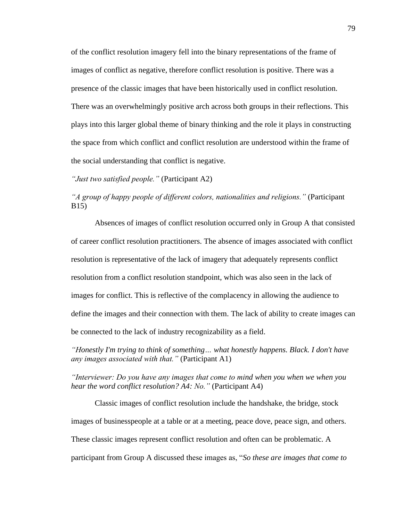of the conflict resolution imagery fell into the binary representations of the frame of images of conflict as negative, therefore conflict resolution is positive. There was a presence of the classic images that have been historically used in conflict resolution. There was an overwhelmingly positive arch across both groups in their reflections. This plays into this larger global theme of binary thinking and the role it plays in constructing the space from which conflict and conflict resolution are understood within the frame of the social understanding that conflict is negative.

*"Just two satisfied people."* (Participant A2)

*"A group of happy people of different colors, nationalities and religions."* (Participant B15)

Absences of images of conflict resolution occurred only in Group A that consisted of career conflict resolution practitioners. The absence of images associated with conflict resolution is representative of the lack of imagery that adequately represents conflict resolution from a conflict resolution standpoint, which was also seen in the lack of images for conflict. This is reflective of the complacency in allowing the audience to define the images and their connection with them. The lack of ability to create images can be connected to the lack of industry recognizability as a field.

*"Honestly I'm trying to think of something… what honestly happens. Black. I don't have any images associated with that."* (Participant A1)

*"Interviewer: Do you have any images that come to mind when you when we when you hear the word conflict resolution? A4: No."* (Participant A4)

Classic images of conflict resolution include the handshake, the bridge, stock images of businesspeople at a table or at a meeting, peace dove, peace sign, and others. These classic images represent conflict resolution and often can be problematic. A participant from Group A discussed these images as, "*So these are images that come to*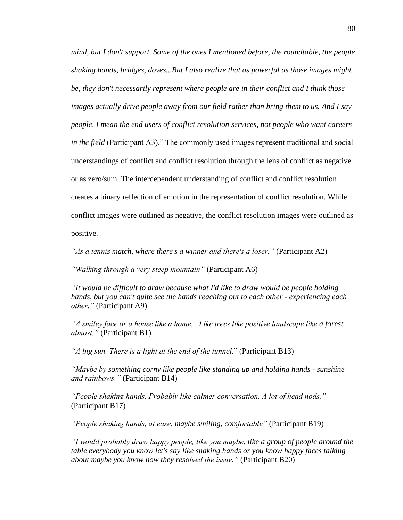*mind, but I don't support. Some of the ones I mentioned before, the roundtable, the people shaking hands, bridges, doves...But I also realize that as powerful as those images might be, they don't necessarily represent where people are in their conflict and I think those images actually drive people away from our field rather than bring them to us. And I say people, I mean the end users of conflict resolution services, not people who want careers in the field* (Participant A3)." The commonly used images represent traditional and social understandings of conflict and conflict resolution through the lens of conflict as negative or as zero/sum. The interdependent understanding of conflict and conflict resolution creates a binary reflection of emotion in the representation of conflict resolution. While conflict images were outlined as negative, the conflict resolution images were outlined as positive.

*"As a tennis match, where there's a winner and there's a loser."* (Participant A2)

*"Walking through a very steep mountain"* (Participant A6)

*"It would be difficult to draw because what I'd like to draw would be people holding hands, but you can't quite see the hands reaching out to each other - experiencing each other."* (Participant A9)

*"A smiley face or a house like a home... Like trees like positive landscape like a forest almost."* (Participant B1)

*"A big sun. There is a light at the end of the tunnel*." (Participant B13)

*"Maybe by something corny like people like standing up and holding hands - sunshine and rainbows."* (Participant B14)

*"People shaking hands. Probably like calmer conversation. A lot of head nods."* (Participant B17)

*"People shaking hands, at ease, maybe smiling, comfortable"* (Participant B19)

*"I would probably draw happy people, like you maybe, like a group of people around the table everybody you know let's say like shaking hands or you know happy faces talking about maybe you know how they resolved the issue."* (Participant B20)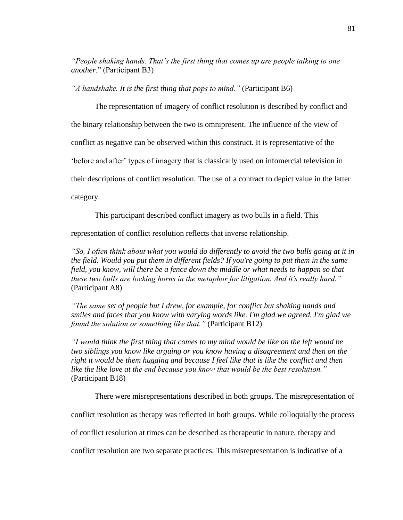*"People shaking hands. That's the first thing that comes up are people talking to one another*." (Participant B3)

*"A handshake. It is the first thing that pops to mind."* (Participant B6)

The representation of imagery of conflict resolution is described by conflict and the binary relationship between the two is omnipresent. The influence of the view of conflict as negative can be observed within this construct. It is representative of the 'before and after' types of imagery that is classically used on infomercial television in their descriptions of conflict resolution. The use of a contract to depict value in the latter category.

This participant described conflict imagery as two bulls in a field. This

representation of conflict resolution reflects that inverse relationship.

*"So, I often think about what you would do differently to avoid the two bulls going at it in the field. Would you put them in different fields? If you're going to put them in the same field, you know, will there be a fence down the middle or what needs to happen so that these two bulls are locking horns in the metaphor for litigation. And it's really hard."*  (Participant A8)

*"The same set of people but I drew, for example, for conflict but shaking hands and smiles and faces that you know with varying words like. I'm glad we agreed. I'm glad we found the solution or something like that."* (Participant B12)

*"I would think the first thing that comes to my mind would be like on the left would be two siblings you know like arguing or you know having a disagreement and then on the right it would be them hugging and because I feel like that is like the conflict and then like the like love at the end because you know that would be the best resolution."* (Participant B18)

There were misrepresentations described in both groups. The misrepresentation of

conflict resolution as therapy was reflected in both groups. While colloquially the process

of conflict resolution at times can be described as therapeutic in nature, therapy and

conflict resolution are two separate practices. This misrepresentation is indicative of a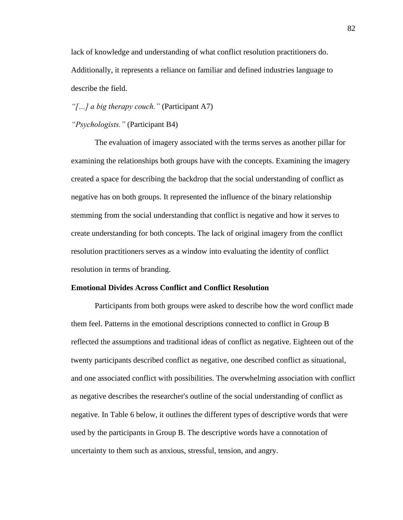lack of knowledge and understanding of what conflict resolution practitioners do. Additionally, it represents a reliance on familiar and defined industries language to describe the field.

*"[…] a big therapy couch."* (Participant A7)

### *"Psychologists."* (Participant B4)

The evaluation of imagery associated with the terms serves as another pillar for examining the relationships both groups have with the concepts. Examining the imagery created a space for describing the backdrop that the social understanding of conflict as negative has on both groups. It represented the influence of the binary relationship stemming from the social understanding that conflict is negative and how it serves to create understanding for both concepts. The lack of original imagery from the conflict resolution practitioners serves as a window into evaluating the identity of conflict resolution in terms of branding.

## **Emotional Divides Across Conflict and Conflict Resolution**

Participants from both groups were asked to describe how the word conflict made them feel. Patterns in the emotional descriptions connected to conflict in Group B reflected the assumptions and traditional ideas of conflict as negative. Eighteen out of the twenty participants described conflict as negative, one described conflict as situational, and one associated conflict with possibilities. The overwhelming association with conflict as negative describes the researcher's outline of the social understanding of conflict as negative. In Table 6 below, it outlines the different types of descriptive words that were used by the participants in Group B. The descriptive words have a connotation of uncertainty to them such as anxious, stressful, tension, and angry.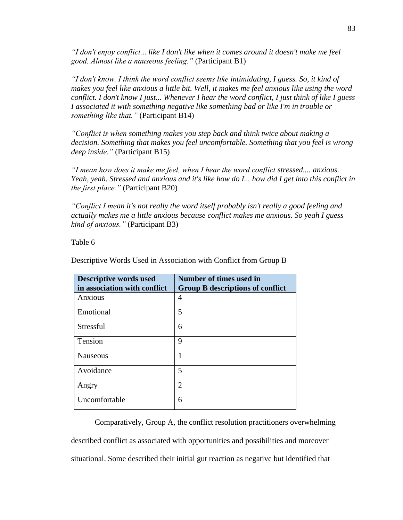*"I don't enjoy conflict... like I don't like when it comes around it doesn't make me feel good. Almost like a nauseous feeling."* (Participant B1)

*"I don't know. I think the word conflict seems like intimidating, I guess. So, it kind of makes you feel like anxious a little bit. Well, it makes me feel anxious like using the word conflict. I don't know I just... Whenever I hear the word conflict, I just think of like I guess I associated it with something negative like something bad or like I'm in trouble or something like that."* (Participant B14)

*"Conflict is when something makes you step back and think twice about making a decision. Something that makes you feel uncomfortable. Something that you feel is wrong deep inside."* (Participant B15)

*"I mean how does it make me feel, when I hear the word conflict stressed.... anxious. Yeah, yeah. Stressed and anxious and it's like how do I... how did I get into this conflict in the first place."* (Participant B20)

*"Conflict I mean it's not really the word itself probably isn't really a good feeling and actually makes me a little anxious because conflict makes me anxious. So yeah I guess kind of anxious."* (Participant B3)

Table 6

| <b>Descriptive words used</b><br>in association with conflict | Number of times used in<br><b>Group B descriptions of conflict</b> |
|---------------------------------------------------------------|--------------------------------------------------------------------|
| Anxious                                                       | 4                                                                  |
| Emotional                                                     | 5                                                                  |
| <b>Stressful</b>                                              | 6                                                                  |
| Tension                                                       | 9                                                                  |
| <b>Nauseous</b>                                               | 1                                                                  |
| Avoidance                                                     | 5                                                                  |
| Angry                                                         | $\mathcal{D}_{\mathcal{A}}$                                        |
| Uncomfortable                                                 | 6                                                                  |

Descriptive Words Used in Association with Conflict from Group B

Comparatively, Group A, the conflict resolution practitioners overwhelming described conflict as associated with opportunities and possibilities and moreover situational. Some described their initial gut reaction as negative but identified that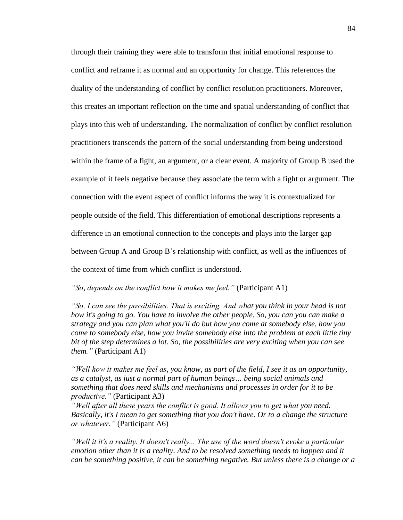through their training they were able to transform that initial emotional response to conflict and reframe it as normal and an opportunity for change. This references the duality of the understanding of conflict by conflict resolution practitioners. Moreover, this creates an important reflection on the time and spatial understanding of conflict that plays into this web of understanding. The normalization of conflict by conflict resolution practitioners transcends the pattern of the social understanding from being understood within the frame of a fight, an argument, or a clear event. A majority of Group B used the example of it feels negative because they associate the term with a fight or argument. The connection with the event aspect of conflict informs the way it is contextualized for people outside of the field. This differentiation of emotional descriptions represents a difference in an emotional connection to the concepts and plays into the larger gap between Group A and Group B's relationship with conflict, as well as the influences of the context of time from which conflict is understood.

*"So, depends on the conflict how it makes me feel."* (Participant A1)

*"So, I can see the possibilities. That is exciting. And what you think in your head is not how it's going to go. You have to involve the other people. So, you can you can make a strategy and you can plan what you'll do but how you come at somebody else, how you come to somebody else, how you invite somebody else into the problem at each little tiny bit of the step determines a lot. So, the possibilities are very exciting when you can see them."* (Participant A1)

*"Well how it makes me feel as, you know, as part of the field, I see it as an opportunity, as a catalyst, as just a normal part of human beings… being social animals and something that does need skills and mechanisms and processes in order for it to be productive."* (Participant A3)

*"Well after all these years the conflict is good. It allows you to get what you need. Basically, it's I mean to get something that you don't have. Or to a change the structure or whatever."* (Participant A6)

*"Well it it's a reality. It doesn't really... The use of the word doesn't evoke a particular emotion other than it is a reality. And to be resolved something needs to happen and it can be something positive, it can be something negative. But unless there is a change or a*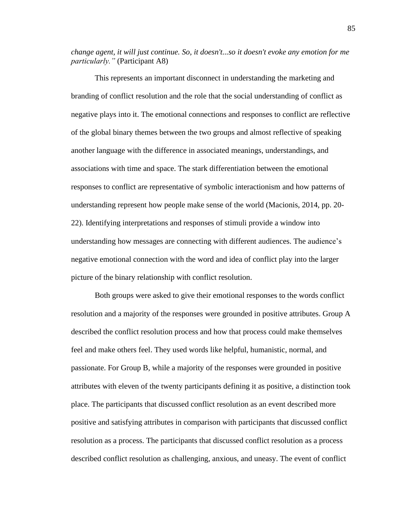*change agent, it will just continue. So, it doesn't...so it doesn't evoke any emotion for me particularly."* (Participant A8)

This represents an important disconnect in understanding the marketing and branding of conflict resolution and the role that the social understanding of conflict as negative plays into it. The emotional connections and responses to conflict are reflective of the global binary themes between the two groups and almost reflective of speaking another language with the difference in associated meanings, understandings, and associations with time and space. The stark differentiation between the emotional responses to conflict are representative of symbolic interactionism and how patterns of understanding represent how people make sense of the world (Macionis, 2014, pp. 20- 22). Identifying interpretations and responses of stimuli provide a window into understanding how messages are connecting with different audiences. The audience's negative emotional connection with the word and idea of conflict play into the larger picture of the binary relationship with conflict resolution.

Both groups were asked to give their emotional responses to the words conflict resolution and a majority of the responses were grounded in positive attributes. Group A described the conflict resolution process and how that process could make themselves feel and make others feel. They used words like helpful, humanistic, normal, and passionate. For Group B, while a majority of the responses were grounded in positive attributes with eleven of the twenty participants defining it as positive, a distinction took place. The participants that discussed conflict resolution as an event described more positive and satisfying attributes in comparison with participants that discussed conflict resolution as a process. The participants that discussed conflict resolution as a process described conflict resolution as challenging, anxious, and uneasy. The event of conflict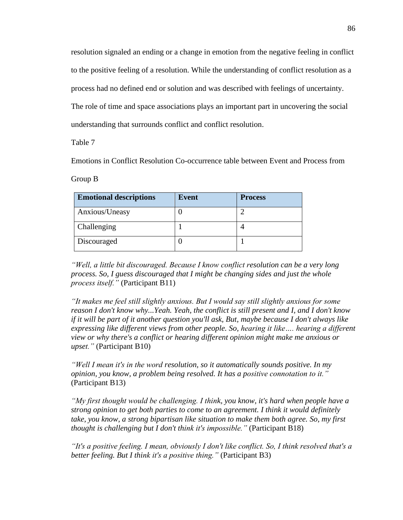resolution signaled an ending or a change in emotion from the negative feeling in conflict to the positive feeling of a resolution. While the understanding of conflict resolution as a process had no defined end or solution and was described with feelings of uncertainty. The role of time and space associations plays an important part in uncovering the social understanding that surrounds conflict and conflict resolution.

Table 7

Emotions in Conflict Resolution Co-occurrence table between Event and Process from

Group B

| <b>Emotional descriptions</b> | <b>Event</b> | <b>Process</b> |
|-------------------------------|--------------|----------------|
| Anxious/Uneasy                |              |                |
| Challenging                   |              |                |
| Discouraged                   |              |                |

*"Well, a little bit discouraged. Because I know conflict resolution can be a very long process. So, I guess discouraged that I might be changing sides and just the whole process itself."* (Participant B11)

*"It makes me feel still slightly anxious. But I would say still slightly anxious for some reason I don't know why...Yeah. Yeah, the conflict is still present and I, and I don't know if it will be part of it another question you'll ask, But, maybe because I don't always like expressing like different views from other people. So, hearing it like…. hearing a different view or why there's a conflict or hearing different opinion might make me anxious or upset."* (Participant B10)

*"Well I mean it's in the word resolution, so it automatically sounds positive. In my opinion, you know, a problem being resolved. It has a positive connotation to it."* (Participant B13)

*"My first thought would be challenging. I think, you know, it's hard when people have a strong opinion to get both parties to come to an agreement. I think it would definitely take, you know, a strong bipartisan like situation to make them both agree. So, my first thought is challenging but I don't think it's impossible."* (Participant B18)

*"It's a positive feeling. I mean, obviously I don't like conflict. So, I think resolved that's a better feeling. But I think it's a positive thing."* (Participant B3)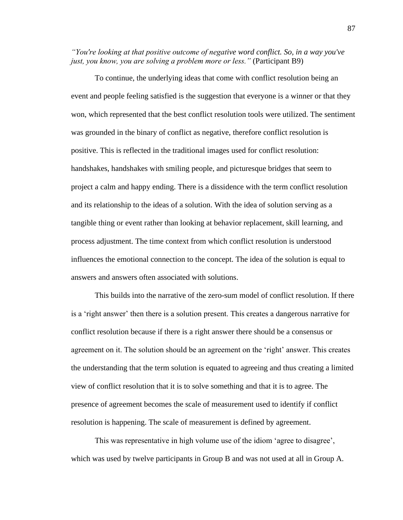*"You're looking at that positive outcome of negative word conflict. So, in a way you've just, you know, you are solving a problem more or less."* (Participant B9)

To continue, the underlying ideas that come with conflict resolution being an event and people feeling satisfied is the suggestion that everyone is a winner or that they won, which represented that the best conflict resolution tools were utilized. The sentiment was grounded in the binary of conflict as negative, therefore conflict resolution is positive. This is reflected in the traditional images used for conflict resolution: handshakes, handshakes with smiling people, and picturesque bridges that seem to project a calm and happy ending. There is a dissidence with the term conflict resolution and its relationship to the ideas of a solution. With the idea of solution serving as a tangible thing or event rather than looking at behavior replacement, skill learning, and process adjustment. The time context from which conflict resolution is understood influences the emotional connection to the concept. The idea of the solution is equal to answers and answers often associated with solutions.

This builds into the narrative of the zero-sum model of conflict resolution. If there is a 'right answer' then there is a solution present. This creates a dangerous narrative for conflict resolution because if there is a right answer there should be a consensus or agreement on it. The solution should be an agreement on the 'right' answer. This creates the understanding that the term solution is equated to agreeing and thus creating a limited view of conflict resolution that it is to solve something and that it is to agree. The presence of agreement becomes the scale of measurement used to identify if conflict resolution is happening. The scale of measurement is defined by agreement.

This was representative in high volume use of the idiom 'agree to disagree', which was used by twelve participants in Group B and was not used at all in Group A.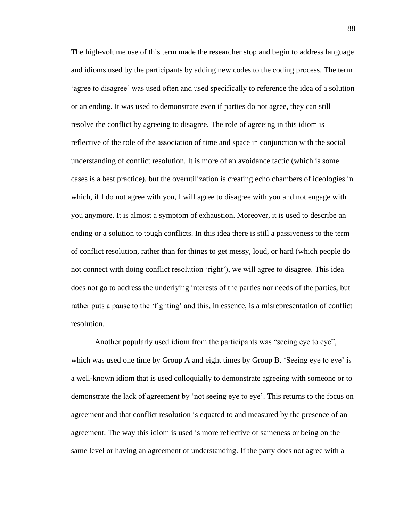The high-volume use of this term made the researcher stop and begin to address language and idioms used by the participants by adding new codes to the coding process. The term 'agree to disagree' was used often and used specifically to reference the idea of a solution or an ending. It was used to demonstrate even if parties do not agree, they can still resolve the conflict by agreeing to disagree. The role of agreeing in this idiom is reflective of the role of the association of time and space in conjunction with the social understanding of conflict resolution. It is more of an avoidance tactic (which is some cases is a best practice), but the overutilization is creating echo chambers of ideologies in which, if I do not agree with you, I will agree to disagree with you and not engage with you anymore. It is almost a symptom of exhaustion. Moreover, it is used to describe an ending or a solution to tough conflicts. In this idea there is still a passiveness to the term of conflict resolution, rather than for things to get messy, loud, or hard (which people do not connect with doing conflict resolution 'right'), we will agree to disagree. This idea does not go to address the underlying interests of the parties nor needs of the parties, but rather puts a pause to the 'fighting' and this, in essence, is a misrepresentation of conflict resolution.

Another popularly used idiom from the participants was "seeing eye to eye", which was used one time by Group A and eight times by Group B. 'Seeing eye to eye' is a well-known idiom that is used colloquially to demonstrate agreeing with someone or to demonstrate the lack of agreement by 'not seeing eye to eye'. This returns to the focus on agreement and that conflict resolution is equated to and measured by the presence of an agreement. The way this idiom is used is more reflective of sameness or being on the same level or having an agreement of understanding. If the party does not agree with a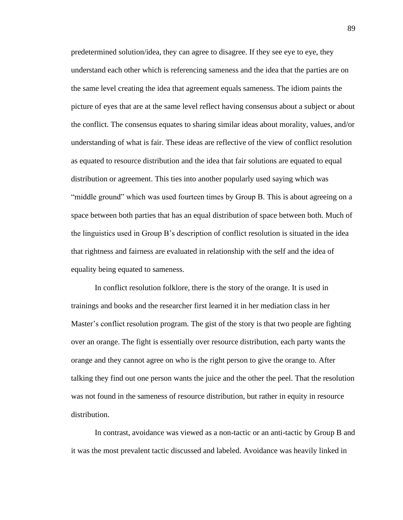predetermined solution/idea, they can agree to disagree. If they see eye to eye, they understand each other which is referencing sameness and the idea that the parties are on the same level creating the idea that agreement equals sameness. The idiom paints the picture of eyes that are at the same level reflect having consensus about a subject or about the conflict. The consensus equates to sharing similar ideas about morality, values, and/or understanding of what is fair. These ideas are reflective of the view of conflict resolution as equated to resource distribution and the idea that fair solutions are equated to equal distribution or agreement. This ties into another popularly used saying which was "middle ground" which was used fourteen times by Group B. This is about agreeing on a space between both parties that has an equal distribution of space between both. Much of the linguistics used in Group B's description of conflict resolution is situated in the idea that rightness and fairness are evaluated in relationship with the self and the idea of equality being equated to sameness.

In conflict resolution folklore, there is the story of the orange. It is used in trainings and books and the researcher first learned it in her mediation class in her Master's conflict resolution program. The gist of the story is that two people are fighting over an orange. The fight is essentially over resource distribution, each party wants the orange and they cannot agree on who is the right person to give the orange to. After talking they find out one person wants the juice and the other the peel. That the resolution was not found in the sameness of resource distribution, but rather in equity in resource distribution.

In contrast, avoidance was viewed as a non-tactic or an anti-tactic by Group B and it was the most prevalent tactic discussed and labeled. Avoidance was heavily linked in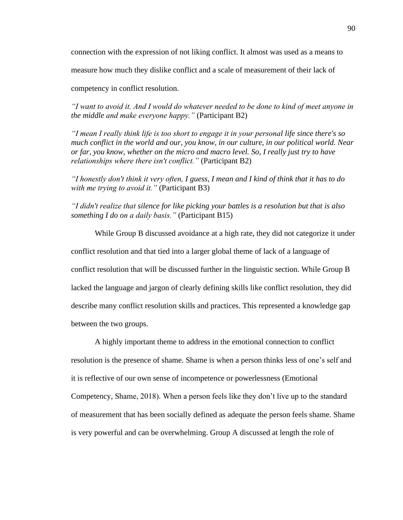connection with the expression of not liking conflict. It almost was used as a means to

measure how much they dislike conflict and a scale of measurement of their lack of

competency in conflict resolution.

*"I want to avoid it. And I would do whatever needed to be done to kind of meet anyone in the middle and make everyone happy."* (Participant B2)

*"I mean I really think life is too short to engage it in your personal life since there's so much conflict in the world and our, you know, in our culture, in our political world. Near or far, you know, whether on the micro and macro level. So, I really just try to have relationships where there isn't conflict."* (Participant B2)

*"I honestly don't think it very often, I guess, I mean and I kind of think that it has to do with me trying to avoid it."* (Participant B3)

*"I didn't realize that silence for like picking your battles is a resolution but that is also something I do on a daily basis."* (Participant B15)

While Group B discussed avoidance at a high rate, they did not categorize it under conflict resolution and that tied into a larger global theme of lack of a language of conflict resolution that will be discussed further in the linguistic section. While Group B lacked the language and jargon of clearly defining skills like conflict resolution, they did describe many conflict resolution skills and practices. This represented a knowledge gap between the two groups.

A highly important theme to address in the emotional connection to conflict resolution is the presence of shame. Shame is when a person thinks less of one's self and it is reflective of our own sense of incompetence or powerlessness (Emotional Competency, Shame, 2018). When a person feels like they don't live up to the standard of measurement that has been socially defined as adequate the person feels shame. Shame is very powerful and can be overwhelming. Group A discussed at length the role of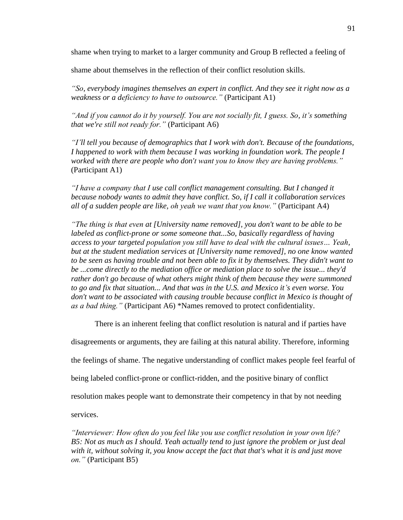shame when trying to market to a larger community and Group B reflected a feeling of

shame about themselves in the reflection of their conflict resolution skills.

*"So, everybody imagines themselves an expert in conflict. And they see it right now as a weakness or a deficiency to have to outsource."* (Participant A1)

*"And if you cannot do it by yourself. You are not socially fit, I guess. So, it's something that we're still not ready for."* (Participant A6)

*"I'll tell you because of demographics that I work with don't. Because of the foundations, I happened to work with them because I was working in foundation work. The people I worked with there are people who don't want you to know they are having problems."*  (Participant A1)

*"I have a company that I use call conflict management consulting. But I changed it because nobody wants to admit they have conflict. So, if I call it collaboration services all of a sudden people are like, oh yeah we want that you know."* (Participant A4)

*"The thing is that even at [University name removed], you don't want to be able to be labeled as conflict-prone or some someone that...So, basically regardless of having access to your targeted population you still have to deal with the cultural issues… Yeah, but at the student mediation services at [University name removed], no one know wanted to be seen as having trouble and not been able to fix it by themselves. They didn't want to be ...come directly to the mediation office or mediation place to solve the issue... they'd rather don't go because of what others might think of them because they were summoned to go and fix that situation... And that was in the U.S. and Mexico it's even worse. You don't want to be associated with causing trouble because conflict in Mexico is thought of as a bad thing."* (Participant A6) \*Names removed to protect confidentiality.

There is an inherent feeling that conflict resolution is natural and if parties have

disagreements or arguments, they are failing at this natural ability. Therefore, informing

the feelings of shame. The negative understanding of conflict makes people feel fearful of

being labeled conflict-prone or conflict-ridden, and the positive binary of conflict

resolution makes people want to demonstrate their competency in that by not needing

services.

*"Interviewer: How often do you feel like you use conflict resolution in your own life? B5: Not as much as I should. Yeah actually tend to just ignore the problem or just deal with it, without solving it, you know accept the fact that that's what it is and just move on."* (Participant B5)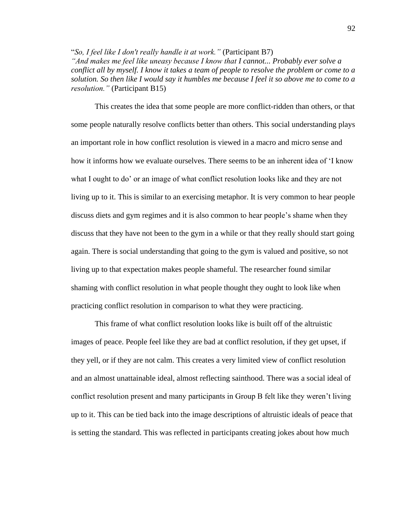"*So, I feel like I don't really handle it at work."* (Participant B7)

*"And makes me feel like uneasy because I know that I cannot... Probably ever solve a conflict all by myself. I know it takes a team of people to resolve the problem or come to a solution. So then like I would say it humbles me because I feel it so above me to come to a resolution."* (Participant B15)

This creates the idea that some people are more conflict-ridden than others, or that some people naturally resolve conflicts better than others. This social understanding plays an important role in how conflict resolution is viewed in a macro and micro sense and how it informs how we evaluate ourselves. There seems to be an inherent idea of 'I know what I ought to do' or an image of what conflict resolution looks like and they are not living up to it. This is similar to an exercising metaphor. It is very common to hear people discuss diets and gym regimes and it is also common to hear people's shame when they discuss that they have not been to the gym in a while or that they really should start going again. There is social understanding that going to the gym is valued and positive, so not living up to that expectation makes people shameful. The researcher found similar shaming with conflict resolution in what people thought they ought to look like when practicing conflict resolution in comparison to what they were practicing.

This frame of what conflict resolution looks like is built off of the altruistic images of peace. People feel like they are bad at conflict resolution, if they get upset, if they yell, or if they are not calm. This creates a very limited view of conflict resolution and an almost unattainable ideal, almost reflecting sainthood. There was a social ideal of conflict resolution present and many participants in Group B felt like they weren't living up to it. This can be tied back into the image descriptions of altruistic ideals of peace that is setting the standard. This was reflected in participants creating jokes about how much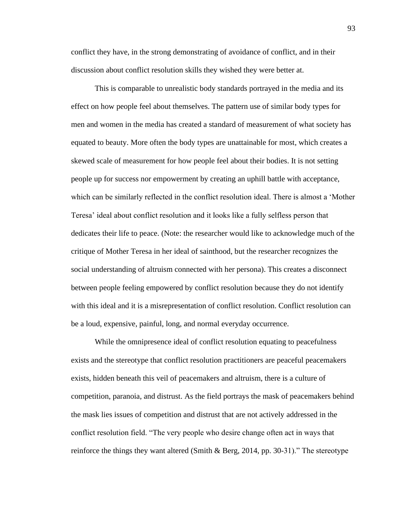conflict they have, in the strong demonstrating of avoidance of conflict, and in their discussion about conflict resolution skills they wished they were better at.

This is comparable to unrealistic body standards portrayed in the media and its effect on how people feel about themselves. The pattern use of similar body types for men and women in the media has created a standard of measurement of what society has equated to beauty. More often the body types are unattainable for most, which creates a skewed scale of measurement for how people feel about their bodies. It is not setting people up for success nor empowerment by creating an uphill battle with acceptance, which can be similarly reflected in the conflict resolution ideal. There is almost a 'Mother Teresa' ideal about conflict resolution and it looks like a fully selfless person that dedicates their life to peace. (Note: the researcher would like to acknowledge much of the critique of Mother Teresa in her ideal of sainthood, but the researcher recognizes the social understanding of altruism connected with her persona). This creates a disconnect between people feeling empowered by conflict resolution because they do not identify with this ideal and it is a misrepresentation of conflict resolution. Conflict resolution can be a loud, expensive, painful, long, and normal everyday occurrence.

While the omnipresence ideal of conflict resolution equating to peacefulness exists and the stereotype that conflict resolution practitioners are peaceful peacemakers exists, hidden beneath this veil of peacemakers and altruism, there is a culture of competition, paranoia, and distrust. As the field portrays the mask of peacemakers behind the mask lies issues of competition and distrust that are not actively addressed in the conflict resolution field. "The very people who desire change often act in ways that reinforce the things they want altered (Smith & Berg, 2014, pp. 30-31)." The stereotype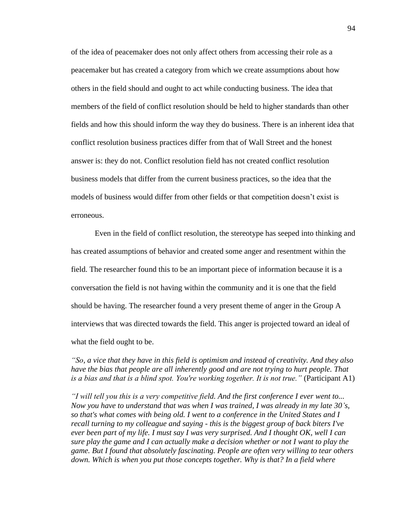of the idea of peacemaker does not only affect others from accessing their role as a peacemaker but has created a category from which we create assumptions about how others in the field should and ought to act while conducting business. The idea that members of the field of conflict resolution should be held to higher standards than other fields and how this should inform the way they do business. There is an inherent idea that conflict resolution business practices differ from that of Wall Street and the honest answer is: they do not. Conflict resolution field has not created conflict resolution business models that differ from the current business practices, so the idea that the models of business would differ from other fields or that competition doesn't exist is erroneous.

Even in the field of conflict resolution, the stereotype has seeped into thinking and has created assumptions of behavior and created some anger and resentment within the field. The researcher found this to be an important piece of information because it is a conversation the field is not having within the community and it is one that the field should be having. The researcher found a very present theme of anger in the Group A interviews that was directed towards the field. This anger is projected toward an ideal of what the field ought to be.

*"So, a vice that they have in this field is optimism and instead of creativity. And they also have the bias that people are all inherently good and are not trying to hurt people. That is a bias and that is a blind spot. You're working together. It is not true."* (Participant A1)

*"I will tell you this is a very competitive field. And the first conference I ever went to... Now you have to understand that was when I was trained, I was already in my late 30's, so that's what comes with being old. I went to a conference in the United States and I recall turning to my colleague and saying - this is the biggest group of back biters I've ever been part of my life. I must say I was very surprised. And I thought OK, well I can sure play the game and I can actually make a decision whether or not I want to play the game. But I found that absolutely fascinating. People are often very willing to tear others down. Which is when you put those concepts together. Why is that? In a field where*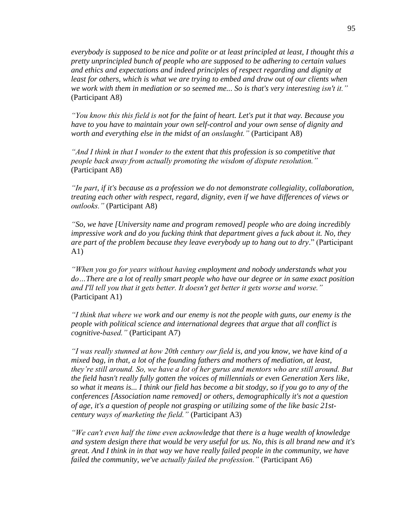*everybody is supposed to be nice and polite or at least principled at least, I thought this a pretty unprincipled bunch of people who are supposed to be adhering to certain values and ethics and expectations and indeed principles of respect regarding and dignity at*  least for others, which is what we are trying to embed and draw out of our clients when *we work with them in mediation or so seemed me... So is that's very interesting isn't it."* (Participant A8)

*"You know this this field is not for the faint of heart. Let's put it that way. Because you have to you have to maintain your own self-control and your own sense of dignity and worth and everything else in the midst of an onslaught."* (Participant A8)

*"And I think in that I wonder to the extent that this profession is so competitive that people back away from actually promoting the wisdom of dispute resolution."* (Participant A8)

*"In part, if it's because as a profession we do not demonstrate collegiality, collaboration, treating each other with respect, regard, dignity, even if we have differences of views or outlooks."* (Participant A8)

*"So, we have [University name and program removed] people who are doing incredibly impressive work and do you fucking think that department gives a fuck about it. No, they are part of the problem because they leave everybody up to hang out to dry*." (Participant A1)

*"When you go for years without having employment and nobody understands what you do…There are a lot of really smart people who have our degree or in same exact position and I'll tell you that it gets better. It doesn't get better it gets worse and worse."*  (Participant A1)

*"I think that where we work and our enemy is not the people with guns, our enemy is the people with political science and international degrees that argue that all conflict is cognitive-based."* (Participant A7)

*"I was really stunned at how 20th century our field is, and you know, we have kind of a mixed bag, in that, a lot of the founding fathers and mothers of mediation, at least, they're still around. So, we have a lot of her gurus and mentors who are still around. But the field hasn't really fully gotten the voices of millennials or even Generation Xers like, so what it means is... I think our field has become a bit stodgy, so if you go to any of the conferences [Association name removed] or others, demographically it's not a question of age, it's a question of people not grasping or utilizing some of the like basic 21stcentury ways of marketing the field."* (Participant A3)

*"We can't even half the time even acknowledge that there is a huge wealth of knowledge and system design there that would be very useful for us. No, this is all brand new and it's great. And I think in in that way we have really failed people in the community, we have failed the community, we've actually failed the profession."* (Participant A6)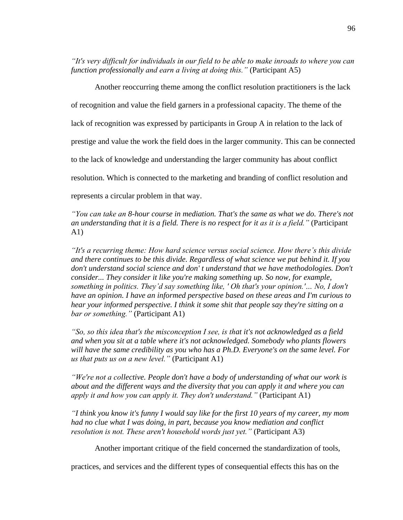*"It's very difficult for individuals in our field to be able to make inroads to where you can function professionally and earn a living at doing this."* (Participant A5)

Another reoccurring theme among the conflict resolution practitioners is the lack of recognition and value the field garners in a professional capacity. The theme of the lack of recognition was expressed by participants in Group A in relation to the lack of prestige and value the work the field does in the larger community. This can be connected to the lack of knowledge and understanding the larger community has about conflict resolution. Which is connected to the marketing and branding of conflict resolution and represents a circular problem in that way.

*"You can take an 8-hour course in mediation. That's the same as what we do. There's not an understanding that it is a field. There is no respect for it as it is a field."* (Participant A1)

*"It's a recurring theme: How hard science versus social science. How there's this divide and there continues to be this divide. Regardless of what science we put behind it. If you don't understand social science and don' t understand that we have methodologies. Don't consider... They consider it like you're making something up. So now, for example, something in politics. They'd say something like, ' Oh that's your opinion.'… No, I don't have an opinion. I have an informed perspective based on these areas and I'm curious to hear your informed perspective. I think it some shit that people say they're sitting on a bar or something."* (Participant A1)

*"So, so this idea that's the misconception I see, is that it's not acknowledged as a field and when you sit at a table where it's not acknowledged. Somebody who plants flowers will have the same credibility as you who has a Ph.D. Everyone's on the same level. For us that puts us on a new level."* (Participant A1)

*"We're not a collective. People don't have a body of understanding of what our work is about and the different ways and the diversity that you can apply it and where you can apply it and how you can apply it. They don't understand."* (Participant A1)

*"I think you know it's funny I would say like for the first 10 years of my career, my mom had no clue what I was doing, in part, because you know mediation and conflict resolution is not. These aren't household words just yet."* (Participant A3)

Another important critique of the field concerned the standardization of tools,

practices, and services and the different types of consequential effects this has on the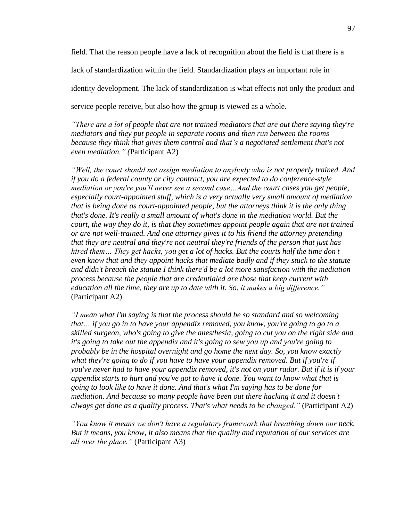field. That the reason people have a lack of recognition about the field is that there is a lack of standardization within the field. Standardization plays an important role in identity development. The lack of standardization is what effects not only the product and service people receive, but also how the group is viewed as a whole.

*"There are a lot of people that are not trained mediators that are out there saying they're mediators and they put people in separate rooms and then run between the rooms because they think that gives them control and that's a negotiated settlement that's not even mediation." (*Participant A2)

*"Well, the court should not assign mediation to anybody who is not properly trained. And if you do a federal county or city contract, you are expected to do conference-style mediation or you're you'll never see a second case…And the court cases you get people, especially court-appointed stuff, which is a very actually very small amount of mediation that is being done as court-appointed people, but the attorneys think it is the only thing that's done. It's really a small amount of what's done in the mediation world. But the court, the way they do it, is that they sometimes appoint people again that are not trained or are not well-trained. And one attorney gives it to his friend the attorney pretending that they are neutral and they're not neutral they're friends of the person that just has hired them… They get hacks, you get a lot of hacks. But the courts half the time don't even know that and they appoint hacks that mediate badly and if they stuck to the statute and didn't breach the statute I think there'd be a lot more satisfaction with the mediation process because the people that are credentialed are those that keep current with education all the time, they are up to date with it. So, it makes a big difference."* (Participant A2)

*"I mean what I'm saying is that the process should be so standard and so welcoming that… if you go in to have your appendix removed, you know, you're going to go to a skilled surgeon, who's going to give the anesthesia, going to cut you on the right side and it's going to take out the appendix and it's going to sew you up and you're going to probably be in the hospital overnight and go home the next day. So, you know exactly what they're going to do if you have to have your appendix removed. But if you're if you've never had to have your appendix removed, it's not on your radar. But if it is if your appendix starts to hurt and you've got to have it done. You want to know what that is going to look like to have it done. And that's what I'm saying has to be done for mediation. And because so many people have been out there hacking it and it doesn't always get done as a quality process. That's what needs to be changed."* (Participant A2)

*"You know it means we don't have a regulatory framework that breathing down our neck. But it means, you know, it also means that the quality and reputation of our services are all over the place."* (Participant A3)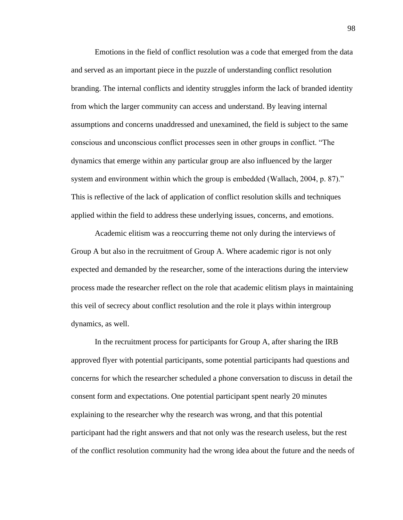Emotions in the field of conflict resolution was a code that emerged from the data and served as an important piece in the puzzle of understanding conflict resolution branding. The internal conflicts and identity struggles inform the lack of branded identity from which the larger community can access and understand. By leaving internal assumptions and concerns unaddressed and unexamined, the field is subject to the same conscious and unconscious conflict processes seen in other groups in conflict. "The dynamics that emerge within any particular group are also influenced by the larger system and environment within which the group is embedded (Wallach, 2004, p. 87)." This is reflective of the lack of application of conflict resolution skills and techniques applied within the field to address these underlying issues, concerns, and emotions.

Academic elitism was a reoccurring theme not only during the interviews of Group A but also in the recruitment of Group A. Where academic rigor is not only expected and demanded by the researcher, some of the interactions during the interview process made the researcher reflect on the role that academic elitism plays in maintaining this veil of secrecy about conflict resolution and the role it plays within intergroup dynamics, as well.

In the recruitment process for participants for Group A, after sharing the IRB approved flyer with potential participants, some potential participants had questions and concerns for which the researcher scheduled a phone conversation to discuss in detail the consent form and expectations. One potential participant spent nearly 20 minutes explaining to the researcher why the research was wrong, and that this potential participant had the right answers and that not only was the research useless, but the rest of the conflict resolution community had the wrong idea about the future and the needs of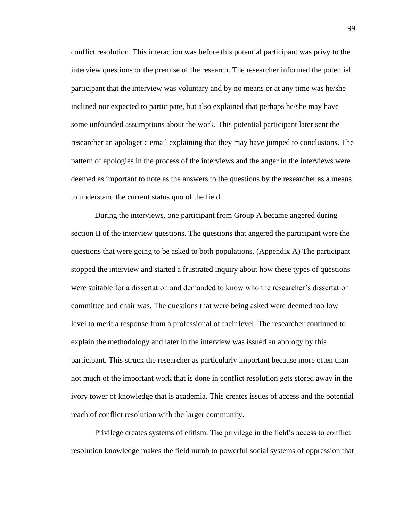conflict resolution. This interaction was before this potential participant was privy to the interview questions or the premise of the research. The researcher informed the potential participant that the interview was voluntary and by no means or at any time was he/she inclined nor expected to participate, but also explained that perhaps he/she may have some unfounded assumptions about the work. This potential participant later sent the researcher an apologetic email explaining that they may have jumped to conclusions. The pattern of apologies in the process of the interviews and the anger in the interviews were deemed as important to note as the answers to the questions by the researcher as a means to understand the current status quo of the field.

During the interviews, one participant from Group A became angered during section II of the interview questions. The questions that angered the participant were the questions that were going to be asked to both populations. (Appendix A) The participant stopped the interview and started a frustrated inquiry about how these types of questions were suitable for a dissertation and demanded to know who the researcher's dissertation committee and chair was. The questions that were being asked were deemed too low level to merit a response from a professional of their level. The researcher continued to explain the methodology and later in the interview was issued an apology by this participant. This struck the researcher as particularly important because more often than not much of the important work that is done in conflict resolution gets stored away in the ivory tower of knowledge that is academia. This creates issues of access and the potential reach of conflict resolution with the larger community.

Privilege creates systems of elitism. The privilege in the field's access to conflict resolution knowledge makes the field numb to powerful social systems of oppression that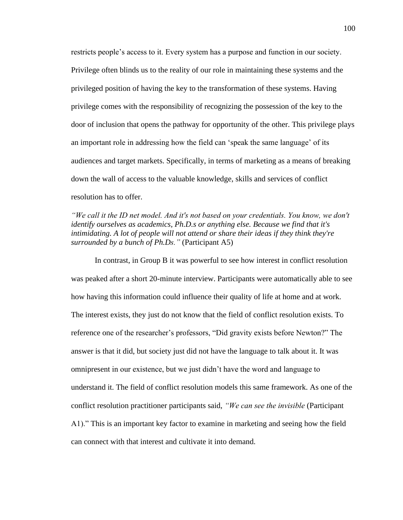restricts people's access to it. Every system has a purpose and function in our society. Privilege often blinds us to the reality of our role in maintaining these systems and the privileged position of having the key to the transformation of these systems. Having privilege comes with the responsibility of recognizing the possession of the key to the door of inclusion that opens the pathway for opportunity of the other. This privilege plays an important role in addressing how the field can 'speak the same language' of its audiences and target markets. Specifically, in terms of marketing as a means of breaking down the wall of access to the valuable knowledge, skills and services of conflict resolution has to offer.

*"We call it the ID net model. And it's not based on your credentials. You know, we don't identify ourselves as academics, Ph.D.s or anything else. Because we find that it's intimidating. A lot of people will not attend or share their ideas if they think they're surrounded by a bunch of Ph.Ds."* (Participant A5)

In contrast, in Group B it was powerful to see how interest in conflict resolution was peaked after a short 20-minute interview. Participants were automatically able to see how having this information could influence their quality of life at home and at work. The interest exists, they just do not know that the field of conflict resolution exists. To reference one of the researcher's professors, "Did gravity exists before Newton?" The answer is that it did, but society just did not have the language to talk about it. It was omnipresent in our existence, but we just didn't have the word and language to understand it. The field of conflict resolution models this same framework. As one of the conflict resolution practitioner participants said, *"We can see the invisible* (Participant A1)." This is an important key factor to examine in marketing and seeing how the field can connect with that interest and cultivate it into demand.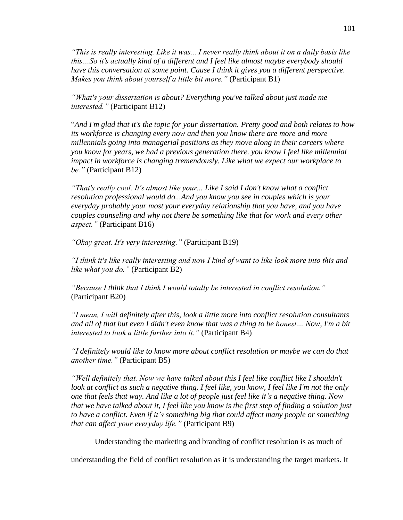*"This is really interesting. Like it was... I never really think about it on a daily basis like this…So it's actually kind of a different and I feel like almost maybe everybody should have this conversation at some point. Cause I think it gives you a different perspective. Makes you think about yourself a little bit more."* (Participant B1)

*"What's your dissertation is about? Everything you've talked about just made me interested."* (Participant B12)

"*And I'm glad that it's the topic for your dissertation. Pretty good and both relates to how its workforce is changing every now and then you know there are more and more millennials going into managerial positions as they move along in their careers where you know for years, we had a previous generation there. you know I feel like millennial impact in workforce is changing tremendously. Like what we expect our workplace to be."* (Participant B12)

*"That's really cool. It's almost like your... Like I said I don't know what a conflict resolution professional would do...And you know you see in couples which is your everyday probably your most your everyday relationship that you have, and you have couples counseling and why not there be something like that for work and every other aspect."* (Participant B16)

*"Okay great. It's very interesting."* (Participant B19)

*"I think it's like really interesting and now I kind of want to like look more into this and like what you do."* (Participant B2)

*"Because I think that I think I would totally be interested in conflict resolution."* (Participant B20)

*"I mean, I will definitely after this, look a little more into conflict resolution consultants and all of that but even I didn't even know that was a thing to be honest… Now, I'm a bit interested to look a little further into it."* (Participant B4)

*"I definitely would like to know more about conflict resolution or maybe we can do that another time."* (Participant B5)

*"Well definitely that. Now we have talked about this I feel like conflict like I shouldn't*  look at conflict as such a negative thing. I feel like, you know, I feel like I'm not the only *one that feels that way. And like a lot of people just feel like it's a negative thing. Now that we have talked about it, I feel like you know is the first step of finding a solution just to have a conflict. Even if it's something big that could affect many people or something that can affect your everyday life."* (Participant B9)

Understanding the marketing and branding of conflict resolution is as much of

understanding the field of conflict resolution as it is understanding the target markets. It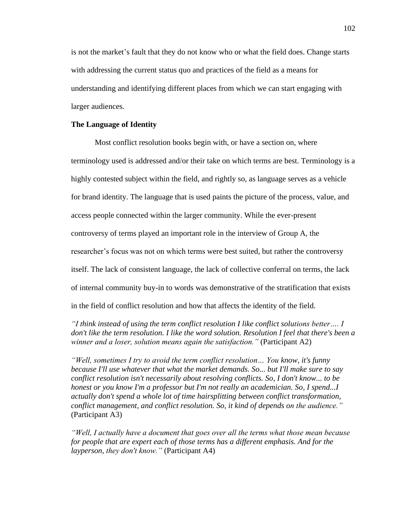is not the market's fault that they do not know who or what the field does. Change starts with addressing the current status quo and practices of the field as a means for understanding and identifying different places from which we can start engaging with larger audiences.

## **The Language of Identity**

Most conflict resolution books begin with, or have a section on, where terminology used is addressed and/or their take on which terms are best. Terminology is a highly contested subject within the field, and rightly so, as language serves as a vehicle for brand identity. The language that is used paints the picture of the process, value, and access people connected within the larger community. While the ever-present controversy of terms played an important role in the interview of Group A, the researcher's focus was not on which terms were best suited, but rather the controversy itself. The lack of consistent language, the lack of collective conferral on terms, the lack of internal community buy-in to words was demonstrative of the stratification that exists in the field of conflict resolution and how that affects the identity of the field.

*"I think instead of using the term conflict resolution I like conflict solutions better…. I don't like the term resolution. I like the word solution. Resolution I feel that there's been a winner and a loser, solution means again the satisfaction."* (Participant A2)

*"Well, sometimes I try to avoid the term conflict resolution… You know, it's funny because I'll use whatever that what the market demands. So... but I'll make sure to say conflict resolution isn't necessarily about resolving conflicts. So, I don't know... to be honest or you know I'm a professor but I'm not really an academician. So, I spend...I actually don't spend a whole lot of time hairsplitting between conflict transformation, conflict management, and conflict resolution. So, it kind of depends on the audience."* (Participant A3)

*"Well, I actually have a document that goes over all the terms what those mean because for people that are expert each of those terms has a different emphasis. And for the layperson, they don't know."* (Participant A4)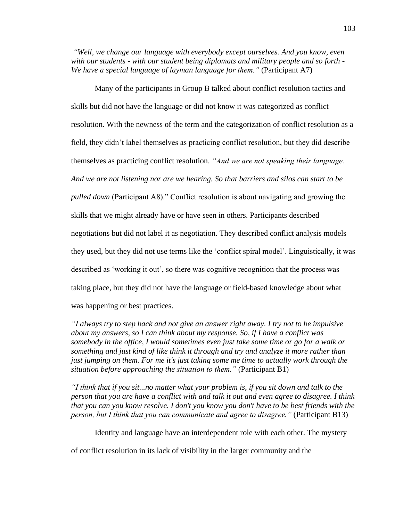*"Well, we change our language with everybody except ourselves. And you know, even with our students - with our student being diplomats and military people and so forth - We have a special language of layman language for them."* (Participant A7)

Many of the participants in Group B talked about conflict resolution tactics and skills but did not have the language or did not know it was categorized as conflict resolution. With the newness of the term and the categorization of conflict resolution as a field, they didn't label themselves as practicing conflict resolution, but they did describe themselves as practicing conflict resolution. *"And we are not speaking their language. And we are not listening nor are we hearing. So that barriers and silos can start to be pulled down* (Participant A8)." Conflict resolution is about navigating and growing the skills that we might already have or have seen in others. Participants described negotiations but did not label it as negotiation. They described conflict analysis models they used, but they did not use terms like the 'conflict spiral model'. Linguistically, it was described as 'working it out', so there was cognitive recognition that the process was taking place, but they did not have the language or field-based knowledge about what was happening or best practices.

*"I always try to step back and not give an answer right away. I try not to be impulsive about my answers, so I can think about my response. So, if I have a conflict was somebody in the office, I would sometimes even just take some time or go for a walk or something and just kind of like think it through and try and analyze it more rather than just jumping on them. For me it's just taking some me time to actually work through the situation before approaching the situation to them."* (Participant B1)

*"I think that if you sit...no matter what your problem is, if you sit down and talk to the person that you are have a conflict with and talk it out and even agree to disagree. I think that you can you know resolve. I don't you know you don't have to be best friends with the person, but I think that you can communicate and agree to disagree."* (Participant B13)

Identity and language have an interdependent role with each other. The mystery

of conflict resolution in its lack of visibility in the larger community and the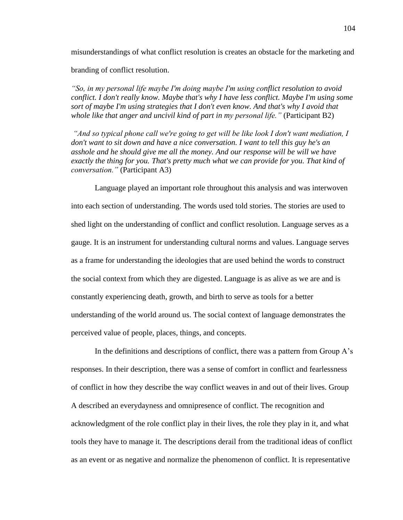misunderstandings of what conflict resolution is creates an obstacle for the marketing and branding of conflict resolution.

*"So, in my personal life maybe I'm doing maybe I'm using conflict resolution to avoid conflict. I don't really know. Maybe that's why I have less conflict. Maybe I'm using some sort of maybe I'm using strategies that I don't even know. And that's why I avoid that whole like that anger and uncivil kind of part in my personal life."* (Participant B2)

*"And so typical phone call we're going to get will be like look I don't want mediation, I don't want to sit down and have a nice conversation. I want to tell this guy he's an asshole and he should give me all the money. And our response will be will we have exactly the thing for you. That's pretty much what we can provide for you. That kind of conversation."* (Participant A3)

Language played an important role throughout this analysis and was interwoven into each section of understanding. The words used told stories. The stories are used to shed light on the understanding of conflict and conflict resolution. Language serves as a gauge. It is an instrument for understanding cultural norms and values. Language serves as a frame for understanding the ideologies that are used behind the words to construct the social context from which they are digested. Language is as alive as we are and is constantly experiencing death, growth, and birth to serve as tools for a better understanding of the world around us. The social context of language demonstrates the perceived value of people, places, things, and concepts.

In the definitions and descriptions of conflict, there was a pattern from Group A's responses. In their description, there was a sense of comfort in conflict and fearlessness of conflict in how they describe the way conflict weaves in and out of their lives. Group A described an everydayness and omnipresence of conflict. The recognition and acknowledgment of the role conflict play in their lives, the role they play in it, and what tools they have to manage it. The descriptions derail from the traditional ideas of conflict as an event or as negative and normalize the phenomenon of conflict. It is representative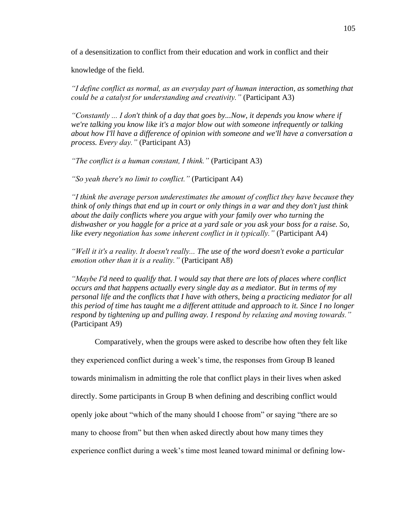of a desensitization to conflict from their education and work in conflict and their

knowledge of the field.

*"I define conflict as normal, as an everyday part of human interaction, as something that could be a catalyst for understanding and creativity."* (Participant A3)

*"Constantly ... I don't think of a day that goes by...Now, it depends you know where if we're talking you know like it's a major blow out with someone infrequently or talking about how I'll have a difference of opinion with someone and we'll have a conversation a process. Every day."* (Participant A3)

*"The conflict is a human constant, I think."* (Participant A3)

*"So yeah there's no limit to conflict."* (Participant A4)

*"I think the average person underestimates the amount of conflict they have because they think of only things that end up in court or only things in a war and they don't just think about the daily conflicts where you argue with your family over who turning the dishwasher or you haggle for a price at a yard sale or you ask your boss for a raise. So, like every negotiation has some inherent conflict in it typically."* (Participant A4)

*"Well it it's a reality. It doesn't really... The use of the word doesn't evoke a particular emotion other than it is a reality."* (Participant A8)

*"Maybe I'd need to qualify that. I would say that there are lots of places where conflict occurs and that happens actually every single day as a mediator. But in terms of my personal life and the conflicts that I have with others, being a practicing mediator for all this period of time has taught me a different attitude and approach to it. Since I no longer respond by tightening up and pulling away. I respond by relaxing and moving towards."* (Participant A9)

Comparatively, when the groups were asked to describe how often they felt like

they experienced conflict during a week's time, the responses from Group B leaned

towards minimalism in admitting the role that conflict plays in their lives when asked

directly. Some participants in Group B when defining and describing conflict would

openly joke about "which of the many should I choose from" or saying "there are so

many to choose from" but then when asked directly about how many times they

experience conflict during a week's time most leaned toward minimal or defining low-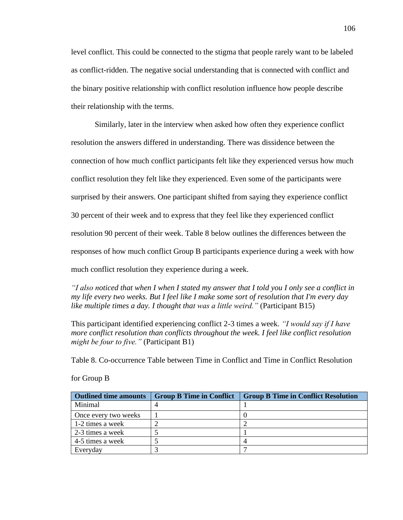level conflict. This could be connected to the stigma that people rarely want to be labeled as conflict-ridden. The negative social understanding that is connected with conflict and the binary positive relationship with conflict resolution influence how people describe their relationship with the terms.

Similarly, later in the interview when asked how often they experience conflict resolution the answers differed in understanding. There was dissidence between the connection of how much conflict participants felt like they experienced versus how much conflict resolution they felt like they experienced. Even some of the participants were surprised by their answers. One participant shifted from saying they experience conflict 30 percent of their week and to express that they feel like they experienced conflict resolution 90 percent of their week. Table 8 below outlines the differences between the responses of how much conflict Group B participants experience during a week with how much conflict resolution they experience during a week.

*"I also noticed that when I when I stated my answer that I told you I only see a conflict in my life every two weeks. But I feel like I make some sort of resolution that I'm every day like multiple times a day. I thought that was a little weird."* (Participant B15)

This participant identified experiencing conflict 2-3 times a week. *"I would say if I have more conflict resolution than conflicts throughout the week. I feel like conflict resolution might be four to five."* (Participant B1)

Table 8. Co-occurrence Table between Time in Conflict and Time in Conflict Resolution

| <b>Outlined time amounts</b> | <b>Group B Time in Conflict</b> | <b>Group B Time in Conflict Resolution</b> |
|------------------------------|---------------------------------|--------------------------------------------|
| Minimal                      |                                 |                                            |
| Once every two weeks         |                                 |                                            |
| 1-2 times a week             |                                 |                                            |
| 2-3 times a week             |                                 |                                            |
| 4-5 times a week             |                                 |                                            |
| Everyday                     |                                 |                                            |

for Group B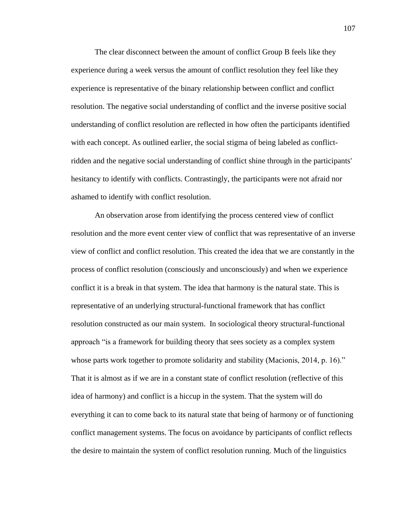The clear disconnect between the amount of conflict Group B feels like they experience during a week versus the amount of conflict resolution they feel like they experience is representative of the binary relationship between conflict and conflict resolution. The negative social understanding of conflict and the inverse positive social understanding of conflict resolution are reflected in how often the participants identified with each concept. As outlined earlier, the social stigma of being labeled as conflictridden and the negative social understanding of conflict shine through in the participants' hesitancy to identify with conflicts. Contrastingly, the participants were not afraid nor ashamed to identify with conflict resolution.

An observation arose from identifying the process centered view of conflict resolution and the more event center view of conflict that was representative of an inverse view of conflict and conflict resolution. This created the idea that we are constantly in the process of conflict resolution (consciously and unconsciously) and when we experience conflict it is a break in that system. The idea that harmony is the natural state. This is representative of an underlying structural-functional framework that has conflict resolution constructed as our main system. In sociological theory structural-functional approach "is a framework for building theory that sees society as a complex system whose parts work together to promote solidarity and stability (Macionis, 2014, p. 16)." That it is almost as if we are in a constant state of conflict resolution (reflective of this idea of harmony) and conflict is a hiccup in the system. That the system will do everything it can to come back to its natural state that being of harmony or of functioning conflict management systems. The focus on avoidance by participants of conflict reflects the desire to maintain the system of conflict resolution running. Much of the linguistics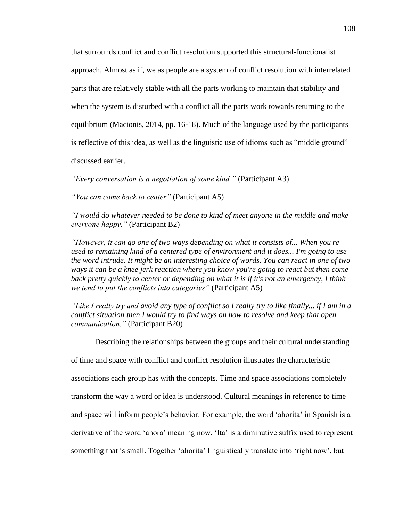that surrounds conflict and conflict resolution supported this structural-functionalist approach. Almost as if, we as people are a system of conflict resolution with interrelated parts that are relatively stable with all the parts working to maintain that stability and when the system is disturbed with a conflict all the parts work towards returning to the equilibrium (Macionis, 2014, pp. 16-18). Much of the language used by the participants is reflective of this idea, as well as the linguistic use of idioms such as "middle ground" discussed earlier.

*"Every conversation is a negotiation of some kind."* (Participant A3)

*"You can come back to center"* (Participant A5)

*"I would do whatever needed to be done to kind of meet anyone in the middle and make everyone happy."* (Participant B2)

*"However, it can go one of two ways depending on what it consists of... When you're used to remaining kind of a centered type of environment and it does... I'm going to use the word intrude. It might be an interesting choice of words. You can react in one of two ways it can be a knee jerk reaction where you know you're going to react but then come back pretty quickly to center or depending on what it is if it's not an emergency, I think we tend to put the conflicts into categories"* (Participant A5)

*"Like I really try and avoid any type of conflict so I really try to like finally... if I am in a conflict situation then I would try to find ways on how to resolve and keep that open communication."* (Participant B20)

Describing the relationships between the groups and their cultural understanding

of time and space with conflict and conflict resolution illustrates the characteristic associations each group has with the concepts. Time and space associations completely transform the way a word or idea is understood. Cultural meanings in reference to time and space will inform people's behavior. For example, the word 'ahorita' in Spanish is a derivative of the word 'ahora' meaning now. 'Ita' is a diminutive suffix used to represent something that is small. Together 'ahorita' linguistically translate into 'right now', but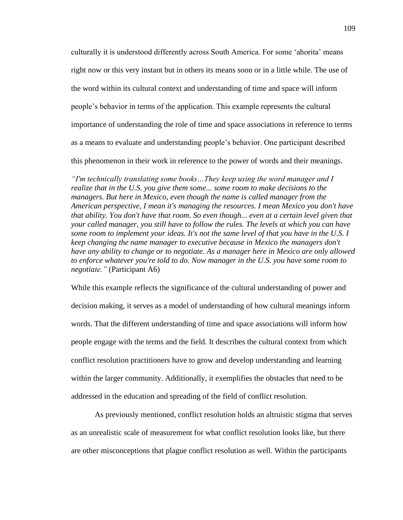culturally it is understood differently across South America. For some 'ahorita' means right now or this very instant but in others its means soon or in a little while. The use of the word within its cultural context and understanding of time and space will inform people's behavior in terms of the application. This example represents the cultural importance of understanding the role of time and space associations in reference to terms as a means to evaluate and understanding people's behavior. One participant described this phenomenon in their work in reference to the power of words and their meanings.

*"I'm technically translating some books…They keep using the word manager and I realize that in the U.S. you give them some... some room to make decisions to the managers. But here in Mexico, even though the name is called manager from the American perspective, I mean it's managing the resources. I mean Mexico you don't have that ability. You don't have that room. So even though... even at a certain level given that your called manager, you still have to follow the rules. The levels at which you can have some room to implement your ideas. It's not the same level of that you have in the U.S. I keep changing the name manager to executive because in Mexico the managers don't have any ability to change or to negotiate. As a manager here in Mexico are only allowed to enforce whatever you're told to do. Now manager in the U.S. you have some room to negotiate."* (Participant A6)

While this example reflects the significance of the cultural understanding of power and decision making, it serves as a model of understanding of how cultural meanings inform words. That the different understanding of time and space associations will inform how people engage with the terms and the field. It describes the cultural context from which conflict resolution practitioners have to grow and develop understanding and learning within the larger community. Additionally, it exemplifies the obstacles that need to be addressed in the education and spreading of the field of conflict resolution.

As previously mentioned, conflict resolution holds an altruistic stigma that serves as an unrealistic scale of measurement for what conflict resolution looks like, but there are other misconceptions that plague conflict resolution as well. Within the participants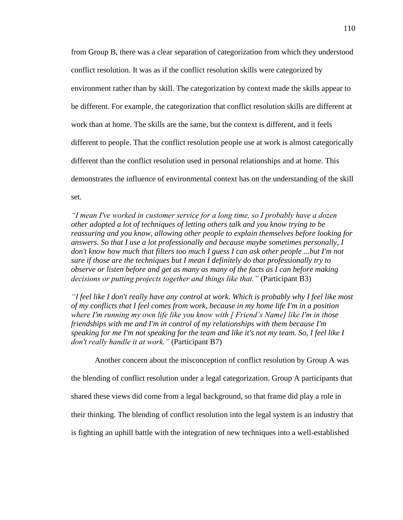from Group B, there was a clear separation of categorization from which they understood conflict resolution. It was as if the conflict resolution skills were categorized by environment rather than by skill. The categorization by context made the skills appear to be different. For example, the categorization that conflict resolution skills are different at work than at home. The skills are the same, but the context is different, and it feels different to people. That the conflict resolution people use at work is almost categorically different than the conflict resolution used in personal relationships and at home. This demonstrates the influence of environmental context has on the understanding of the skill set.

*"I mean I've worked in customer service for a long time, so I probably have a dozen other adopted a lot of techniques of letting others talk and you know trying to be reassuring and you know, allowing other people to explain themselves before looking for answers. So that I use a lot professionally and because maybe sometimes personally, I don't know how much that filters too much I guess I can ask other people ...but I'm not sure if those are the techniques but I mean I definitely do that professionally try to observe or listen before and get as many as many of the facts as I can before making decisions or putting projects together and things like that."* (Participant B3)

*"I feel like I don't really have any control at work. Which is probably why I feel like most of my conflicts that I feel comes from work, because in my home life I'm in a position where I'm running my own life like you know with [ Friend's Name] like I'm in those friendships with me and I'm in control of my relationships with them because I'm speaking for me I'm not speaking for the team and like it's not my team. So, I feel like I don't really handle it at work."* (Participant B7)

Another concern about the misconception of conflict resolution by Group A was the blending of conflict resolution under a legal categorization. Group A participants that shared these views did come from a legal background, so that frame did play a role in their thinking. The blending of conflict resolution into the legal system is an industry that is fighting an uphill battle with the integration of new techniques into a well-established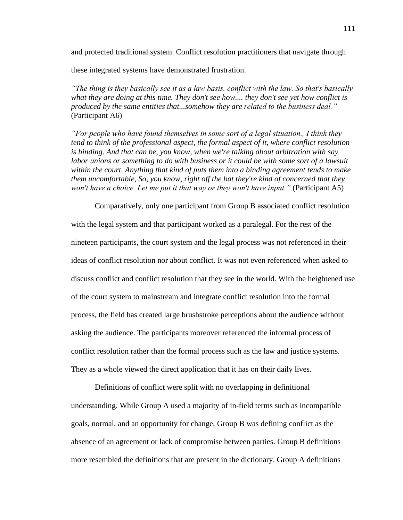and protected traditional system. Conflict resolution practitioners that navigate through

these integrated systems have demonstrated frustration.

*"The thing is they basically see it as a law basis. conflict with the law. So that's basically what they are doing at this time. They don't see how.... they don't see yet how conflict is produced by the same entities that...somehow they are related to the business deal."* (Participant A6)

*"For people who have found themselves in some sort of a legal situation., I think they tend to think of the professional aspect, the formal aspect of it, where conflict resolution is binding. And that can be, you know, when we're talking about arbitration with say*  labor unions or something to do with business or it could be with some sort of a lawsuit *within the court. Anything that kind of puts them into a binding agreement tends to make them uncomfortable, So, you know, right off the bat they're kind of concerned that they won't have a choice. Let me put it that way or they won't have input."* (Participant A5)

Comparatively, only one participant from Group B associated conflict resolution with the legal system and that participant worked as a paralegal. For the rest of the nineteen participants, the court system and the legal process was not referenced in their ideas of conflict resolution nor about conflict. It was not even referenced when asked to discuss conflict and conflict resolution that they see in the world. With the heightened use of the court system to mainstream and integrate conflict resolution into the formal process, the field has created large brushstroke perceptions about the audience without asking the audience. The participants moreover referenced the informal process of conflict resolution rather than the formal process such as the law and justice systems. They as a whole viewed the direct application that it has on their daily lives.

Definitions of conflict were split with no overlapping in definitional understanding. While Group A used a majority of in-field terms such as incompatible goals, normal, and an opportunity for change, Group B was defining conflict as the absence of an agreement or lack of compromise between parties. Group B definitions more resembled the definitions that are present in the dictionary. Group A definitions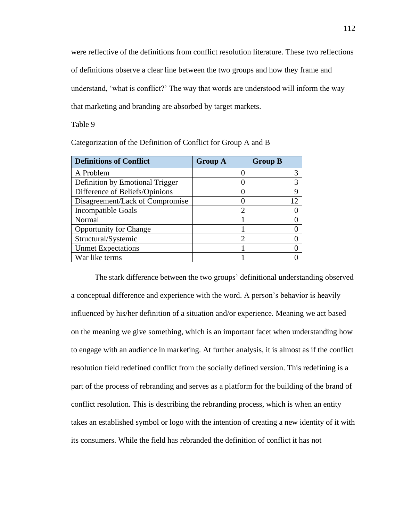were reflective of the definitions from conflict resolution literature. These two reflections of definitions observe a clear line between the two groups and how they frame and understand, 'what is conflict?' The way that words are understood will inform the way that marketing and branding are absorbed by target markets.

Table 9

| <b>Definitions of Conflict</b>  | <b>Group A</b> | <b>Group B</b> |
|---------------------------------|----------------|----------------|
| A Problem                       |                |                |
| Definition by Emotional Trigger |                |                |
| Difference of Beliefs/Opinions  |                |                |
| Disagreement/Lack of Compromise |                | 12             |
| <b>Incompatible Goals</b>       | ി              |                |
| Normal                          |                |                |
| <b>Opportunity for Change</b>   |                |                |
| Structural/Systemic             | ി              |                |
| <b>Unmet Expectations</b>       |                |                |
| War like terms                  |                |                |

Categorization of the Definition of Conflict for Group A and B

The stark difference between the two groups' definitional understanding observed a conceptual difference and experience with the word. A person's behavior is heavily influenced by his/her definition of a situation and/or experience. Meaning we act based on the meaning we give something, which is an important facet when understanding how to engage with an audience in marketing. At further analysis, it is almost as if the conflict resolution field redefined conflict from the socially defined version. This redefining is a part of the process of rebranding and serves as a platform for the building of the brand of conflict resolution. This is describing the rebranding process, which is when an entity takes an established symbol or logo with the intention of creating a new identity of it with its consumers. While the field has rebranded the definition of conflict it has not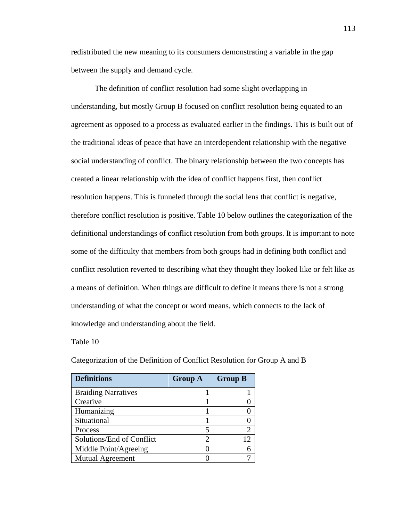redistributed the new meaning to its consumers demonstrating a variable in the gap between the supply and demand cycle.

The definition of conflict resolution had some slight overlapping in understanding, but mostly Group B focused on conflict resolution being equated to an agreement as opposed to a process as evaluated earlier in the findings. This is built out of the traditional ideas of peace that have an interdependent relationship with the negative social understanding of conflict. The binary relationship between the two concepts has created a linear relationship with the idea of conflict happens first, then conflict resolution happens. This is funneled through the social lens that conflict is negative, therefore conflict resolution is positive. Table 10 below outlines the categorization of the definitional understandings of conflict resolution from both groups. It is important to note some of the difficulty that members from both groups had in defining both conflict and conflict resolution reverted to describing what they thought they looked like or felt like as a means of definition. When things are difficult to define it means there is not a strong understanding of what the concept or word means, which connects to the lack of knowledge and understanding about the field.

Table 10

| <b>Definitions</b>         | <b>Group A</b> | <b>Group B</b> |
|----------------------------|----------------|----------------|
| <b>Braiding Narratives</b> |                |                |
| Creative                   |                |                |
| Humanizing                 |                |                |
| Situational                |                |                |
| Process                    |                | $\overline{2}$ |
| Solutions/End of Conflict  | 2              | 12             |
| Middle Point/Agreeing      |                |                |
| <b>Mutual Agreement</b>    |                |                |

Categorization of the Definition of Conflict Resolution for Group A and B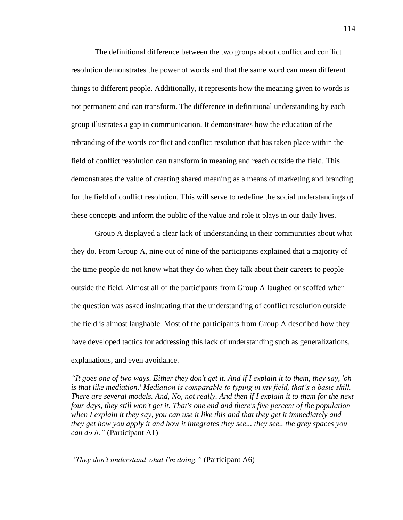The definitional difference between the two groups about conflict and conflict resolution demonstrates the power of words and that the same word can mean different things to different people. Additionally, it represents how the meaning given to words is not permanent and can transform. The difference in definitional understanding by each group illustrates a gap in communication. It demonstrates how the education of the rebranding of the words conflict and conflict resolution that has taken place within the field of conflict resolution can transform in meaning and reach outside the field. This demonstrates the value of creating shared meaning as a means of marketing and branding for the field of conflict resolution. This will serve to redefine the social understandings of these concepts and inform the public of the value and role it plays in our daily lives.

Group A displayed a clear lack of understanding in their communities about what they do. From Group A, nine out of nine of the participants explained that a majority of the time people do not know what they do when they talk about their careers to people outside the field. Almost all of the participants from Group A laughed or scoffed when the question was asked insinuating that the understanding of conflict resolution outside the field is almost laughable. Most of the participants from Group A described how they have developed tactics for addressing this lack of understanding such as generalizations, explanations, and even avoidance.

*"It goes one of two ways. Either they don't get it. And if I explain it to them, they say, 'oh is that like mediation.' Mediation is comparable to typing in my field, that's a basic skill. There are several models. And, No, not really. And then if I explain it to them for the next four days, they still won't get it. That's one end and there's five percent of the population when I explain it they say, you can use it like this and that they get it immediately and they get how you apply it and how it integrates they see... they see.. the grey spaces you can do it."* (Participant A1)

*"They don't understand what I'm doing."* (Participant A6)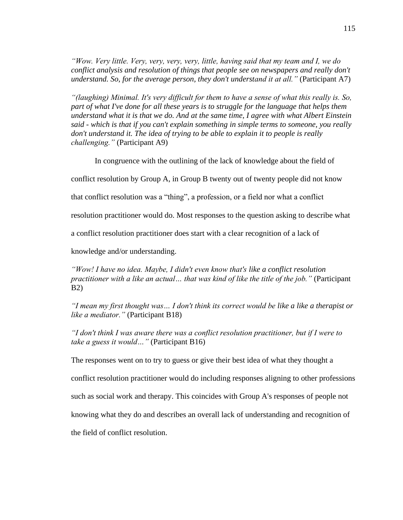*"Wow. Very little. Very, very, very, very, little, having said that my team and I, we do conflict analysis and resolution of things that people see on newspapers and really don't understand. So, for the average person, they don't understand it at all."* (Participant A7)

*"(laughing) Minimal. It's very difficult for them to have a sense of what this really is. So, part of what I've done for all these years is to struggle for the language that helps them understand what it is that we do. And at the same time, I agree with what Albert Einstein said - which is that if you can't explain something in simple terms to someone, you really don't understand it. The idea of trying to be able to explain it to people is really challenging."* (Participant A9)

In congruence with the outlining of the lack of knowledge about the field of

conflict resolution by Group A, in Group B twenty out of twenty people did not know

that conflict resolution was a "thing", a profession, or a field nor what a conflict

resolution practitioner would do. Most responses to the question asking to describe what

a conflict resolution practitioner does start with a clear recognition of a lack of

knowledge and/or understanding.

*"Wow! I have no idea. Maybe, I didn't even know that's like a conflict resolution practitioner with a like an actual… that was kind of like the title of the job."* (Participant B2)

*"I mean my first thought was… I don't think its correct would be like a like a therapist or like a mediator."* (Participant B18)

*"I don't think I was aware there was a conflict resolution practitioner, but if I were to take a guess it would…"* (Participant B16)

The responses went on to try to guess or give their best idea of what they thought a

conflict resolution practitioner would do including responses aligning to other professions

such as social work and therapy. This coincides with Group A's responses of people not

knowing what they do and describes an overall lack of understanding and recognition of

the field of conflict resolution.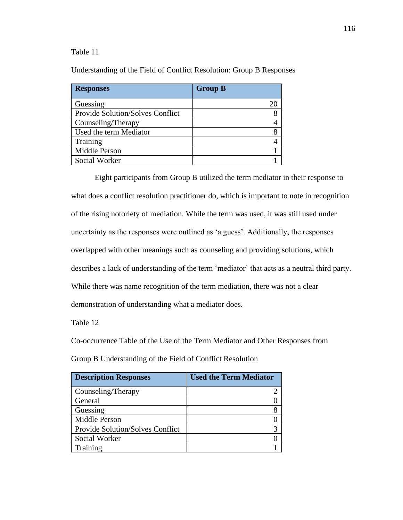## Table 11

Understanding of the Field of Conflict Resolution: Group B Responses

| <b>Responses</b>                 | <b>Group B</b> |
|----------------------------------|----------------|
| Guessing                         |                |
| Provide Solution/Solves Conflict |                |
| Counseling/Therapy               |                |
| Used the term Mediator           |                |
| Training                         |                |
| Middle Person                    |                |
| Social Worker                    |                |

Eight participants from Group B utilized the term mediator in their response to what does a conflict resolution practitioner do, which is important to note in recognition of the rising notoriety of mediation. While the term was used, it was still used under uncertainty as the responses were outlined as 'a guess'. Additionally, the responses overlapped with other meanings such as counseling and providing solutions, which describes a lack of understanding of the term 'mediator' that acts as a neutral third party. While there was name recognition of the term mediation, there was not a clear demonstration of understanding what a mediator does.

Table 12

Co-occurrence Table of the Use of the Term Mediator and Other Responses from

Group B Understanding of the Field of Conflict Resolution

| <b>Description Responses</b>            | <b>Used the Term Mediator</b> |
|-----------------------------------------|-------------------------------|
| Counseling/Therapy                      |                               |
| General                                 |                               |
| Guessing                                |                               |
| Middle Person                           |                               |
| <b>Provide Solution/Solves Conflict</b> |                               |
| Social Worker                           |                               |
| Training                                |                               |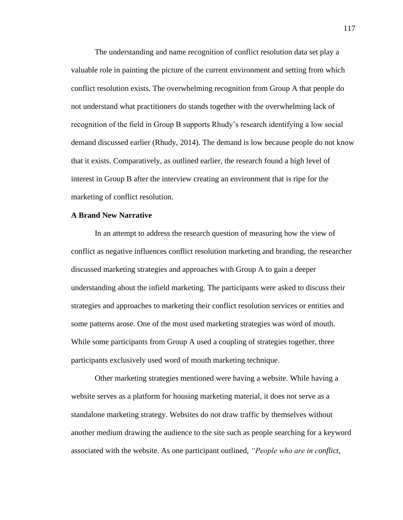The understanding and name recognition of conflict resolution data set play a valuable role in painting the picture of the current environment and setting from which conflict resolution exists. The overwhelming recognition from Group A that people do not understand what practitioners do stands together with the overwhelming lack of recognition of the field in Group B supports Rhudy's research identifying a low social demand discussed earlier (Rhudy, 2014). The demand is low because people do not know that it exists. Comparatively, as outlined earlier, the research found a high level of interest in Group B after the interview creating an environment that is ripe for the marketing of conflict resolution.

## **A Brand New Narrative**

In an attempt to address the research question of measuring how the view of conflict as negative influences conflict resolution marketing and branding, the researcher discussed marketing strategies and approaches with Group A to gain a deeper understanding about the infield marketing. The participants were asked to discuss their strategies and approaches to marketing their conflict resolution services or entities and some patterns arose. One of the most used marketing strategies was word of mouth. While some participants from Group A used a coupling of strategies together, three participants exclusively used word of mouth marketing technique.

Other marketing strategies mentioned were having a website. While having a website serves as a platform for housing marketing material, it does not serve as a standalone marketing strategy. Websites do not draw traffic by themselves without another medium drawing the audience to the site such as people searching for a keyword associated with the website. As one participant outlined, *"People who are in conflict,*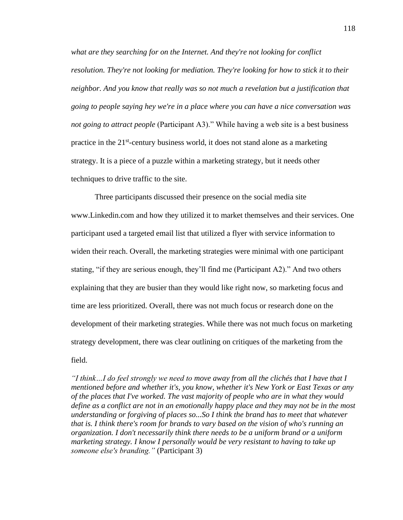*what are they searching for on the Internet. And they're not looking for conflict resolution. They're not looking for mediation. They're looking for how to stick it to their neighbor. And you know that really was so not much a revelation but a justification that going to people saying hey we're in a place where you can have a nice conversation was not going to attract people* (Participant A3)." While having a web site is a best business practice in the 21<sup>st</sup>-century business world, it does not stand alone as a marketing strategy. It is a piece of a puzzle within a marketing strategy, but it needs other techniques to drive traffic to the site.

Three participants discussed their presence on the social media site www.Linkedin.com and how they utilized it to market themselves and their services. One participant used a targeted email list that utilized a flyer with service information to widen their reach. Overall, the marketing strategies were minimal with one participant stating, "if they are serious enough, they'll find me (Participant A2)." And two others explaining that they are busier than they would like right now, so marketing focus and time are less prioritized. Overall, there was not much focus or research done on the development of their marketing strategies. While there was not much focus on marketing strategy development, there was clear outlining on critiques of the marketing from the field.

*"I think…I do feel strongly we need to move away from all the clichés that I have that I mentioned before and whether it's, you know, whether it's New York or East Texas or any of the places that I've worked. The vast majority of people who are in what they would define as a conflict are not in an emotionally happy place and they may not be in the most understanding or forgiving of places so...So I think the brand has to meet that whatever that is. I think there's room for brands to vary based on the vision of who's running an organization. I don't necessarily think there needs to be a uniform brand or a uniform marketing strategy. I know I personally would be very resistant to having to take up someone else's branding."* (Participant 3)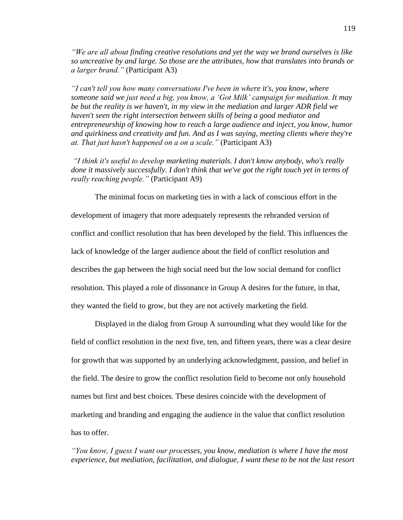*"We are all about finding creative resolutions and yet the way we brand ourselves is like so uncreative by and large. So those are the attributes, how that translates into brands or a larger brand."* (Participant A3)

*"I can't tell you how many conversations I've been in where it's, you know, where someone said we just need a big, you know, a 'Got Milk' campaign for mediation. It may be but the reality is we haven't, in my view in the mediation and larger ADR field we haven't seen the right intersection between skills of being a good mediator and entrepreneurship of knowing how to reach a large audience and inject, you know, humor and quirkiness and creativity and fun. And as I was saying, meeting clients where they're at. That just hasn't happened on a on a scale."* (Participant A3)

*"I think it's useful to develop marketing materials. I don't know anybody, who's really done it massively successfully. I don't think that we've got the right touch yet in terms of really reaching people."* (Participant A9)

The minimal focus on marketing ties in with a lack of conscious effort in the development of imagery that more adequately represents the rebranded version of conflict and conflict resolution that has been developed by the field. This influences the lack of knowledge of the larger audience about the field of conflict resolution and describes the gap between the high social need but the low social demand for conflict resolution. This played a role of dissonance in Group A desires for the future, in that, they wanted the field to grow, but they are not actively marketing the field.

Displayed in the dialog from Group A surrounding what they would like for the field of conflict resolution in the next five, ten, and fifteen years, there was a clear desire for growth that was supported by an underlying acknowledgment, passion, and belief in the field. The desire to grow the conflict resolution field to become not only household names but first and best choices. These desires coincide with the development of marketing and branding and engaging the audience in the value that conflict resolution has to offer.

*"You know, I guess I want our processes, you know, mediation is where I have the most experience, but mediation, facilitation, and dialogue, I want these to be not the last resort*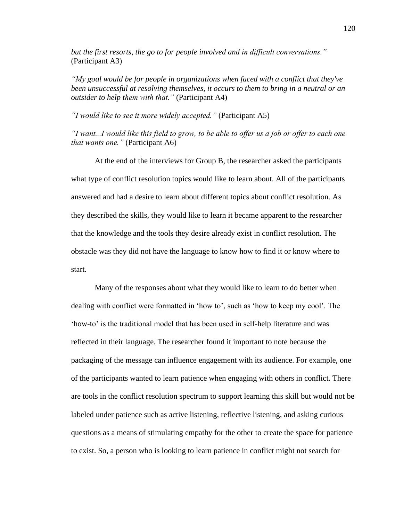*but the first resorts, the go to for people involved and in difficult conversations."* (Participant A3)

*"My goal would be for people in organizations when faced with a conflict that they've been unsuccessful at resolving themselves, it occurs to them to bring in a neutral or an outsider to help them with that."* (Participant A4)

*"I would like to see it more widely accepted."* (Participant A5)

*"I want...I would like this field to grow, to be able to offer us a job or offer to each one that wants one."* (Participant A6)

At the end of the interviews for Group B, the researcher asked the participants what type of conflict resolution topics would like to learn about. All of the participants answered and had a desire to learn about different topics about conflict resolution. As they described the skills, they would like to learn it became apparent to the researcher that the knowledge and the tools they desire already exist in conflict resolution. The obstacle was they did not have the language to know how to find it or know where to start.

Many of the responses about what they would like to learn to do better when dealing with conflict were formatted in 'how to', such as 'how to keep my cool'. The 'how-to' is the traditional model that has been used in self-help literature and was reflected in their language. The researcher found it important to note because the packaging of the message can influence engagement with its audience. For example, one of the participants wanted to learn patience when engaging with others in conflict. There are tools in the conflict resolution spectrum to support learning this skill but would not be labeled under patience such as active listening, reflective listening, and asking curious questions as a means of stimulating empathy for the other to create the space for patience to exist. So, a person who is looking to learn patience in conflict might not search for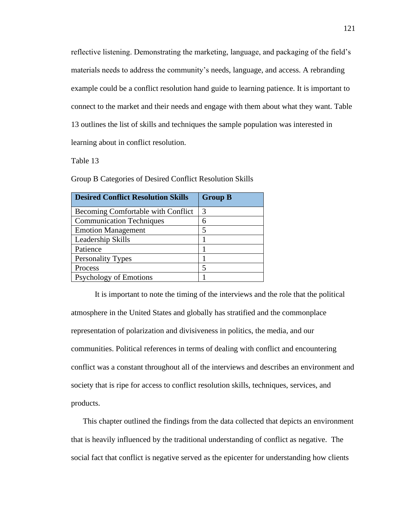reflective listening. Demonstrating the marketing, language, and packaging of the field's materials needs to address the community's needs, language, and access. A rebranding example could be a conflict resolution hand guide to learning patience. It is important to connect to the market and their needs and engage with them about what they want. Table 13 outlines the list of skills and techniques the sample population was interested in learning about in conflict resolution.

Table 13

Group B Categories of Desired Conflict Resolution Skills

| <b>Desired Conflict Resolution Skills</b> | <b>Group B</b> |
|-------------------------------------------|----------------|
| Becoming Comfortable with Conflict        | 3              |
| <b>Communication Techniques</b>           | 6              |
| <b>Emotion Management</b>                 | 5              |
| Leadership Skills                         |                |
| Patience                                  |                |
| <b>Personality Types</b>                  |                |
| Process                                   | 5              |
| <b>Psychology of Emotions</b>             |                |

It is important to note the timing of the interviews and the role that the political atmosphere in the United States and globally has stratified and the commonplace representation of polarization and divisiveness in politics, the media, and our communities. Political references in terms of dealing with conflict and encountering conflict was a constant throughout all of the interviews and describes an environment and society that is ripe for access to conflict resolution skills, techniques, services, and products.

This chapter outlined the findings from the data collected that depicts an environment that is heavily influenced by the traditional understanding of conflict as negative. The social fact that conflict is negative served as the epicenter for understanding how clients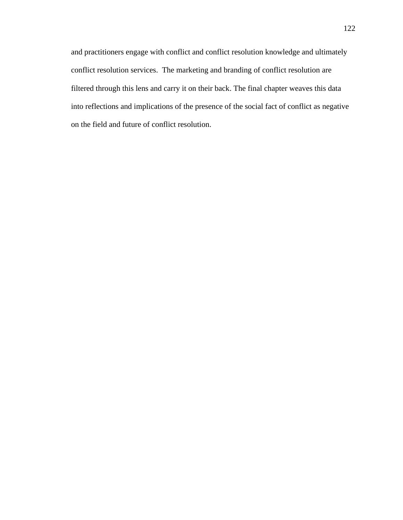and practitioners engage with conflict and conflict resolution knowledge and ultimately conflict resolution services. The marketing and branding of conflict resolution are filtered through this lens and carry it on their back. The final chapter weaves this data into reflections and implications of the presence of the social fact of conflict as negative on the field and future of conflict resolution.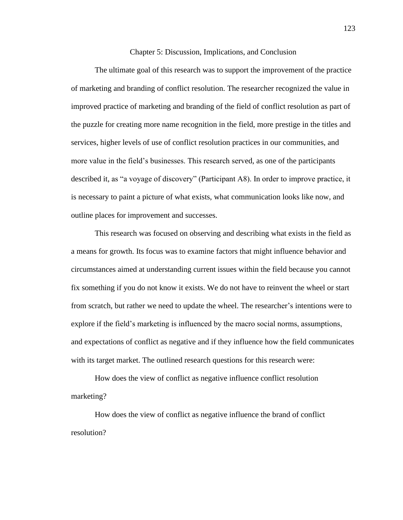Chapter 5: Discussion, Implications, and Conclusion

The ultimate goal of this research was to support the improvement of the practice of marketing and branding of conflict resolution. The researcher recognized the value in improved practice of marketing and branding of the field of conflict resolution as part of the puzzle for creating more name recognition in the field, more prestige in the titles and services, higher levels of use of conflict resolution practices in our communities, and more value in the field's businesses. This research served, as one of the participants described it, as "a voyage of discovery" (Participant A8). In order to improve practice, it is necessary to paint a picture of what exists, what communication looks like now, and outline places for improvement and successes.

This research was focused on observing and describing what exists in the field as a means for growth. Its focus was to examine factors that might influence behavior and circumstances aimed at understanding current issues within the field because you cannot fix something if you do not know it exists. We do not have to reinvent the wheel or start from scratch, but rather we need to update the wheel. The researcher's intentions were to explore if the field's marketing is influenced by the macro social norms, assumptions, and expectations of conflict as negative and if they influence how the field communicates with its target market. The outlined research questions for this research were:

How does the view of conflict as negative influence conflict resolution marketing?

How does the view of conflict as negative influence the brand of conflict resolution?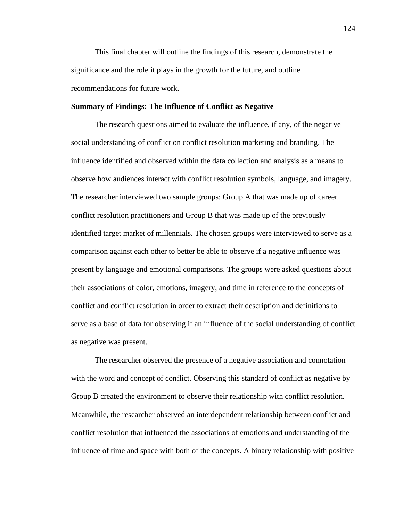This final chapter will outline the findings of this research, demonstrate the significance and the role it plays in the growth for the future, and outline recommendations for future work.

## **Summary of Findings: The Influence of Conflict as Negative**

The research questions aimed to evaluate the influence, if any, of the negative social understanding of conflict on conflict resolution marketing and branding. The influence identified and observed within the data collection and analysis as a means to observe how audiences interact with conflict resolution symbols, language, and imagery. The researcher interviewed two sample groups: Group A that was made up of career conflict resolution practitioners and Group B that was made up of the previously identified target market of millennials. The chosen groups were interviewed to serve as a comparison against each other to better be able to observe if a negative influence was present by language and emotional comparisons. The groups were asked questions about their associations of color, emotions, imagery, and time in reference to the concepts of conflict and conflict resolution in order to extract their description and definitions to serve as a base of data for observing if an influence of the social understanding of conflict as negative was present.

The researcher observed the presence of a negative association and connotation with the word and concept of conflict. Observing this standard of conflict as negative by Group B created the environment to observe their relationship with conflict resolution. Meanwhile, the researcher observed an interdependent relationship between conflict and conflict resolution that influenced the associations of emotions and understanding of the influence of time and space with both of the concepts. A binary relationship with positive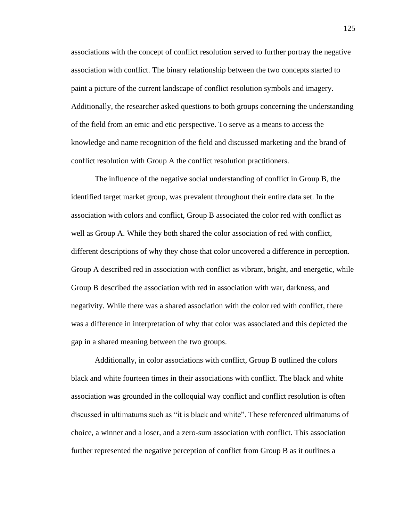associations with the concept of conflict resolution served to further portray the negative association with conflict. The binary relationship between the two concepts started to paint a picture of the current landscape of conflict resolution symbols and imagery. Additionally, the researcher asked questions to both groups concerning the understanding of the field from an emic and etic perspective. To serve as a means to access the knowledge and name recognition of the field and discussed marketing and the brand of conflict resolution with Group A the conflict resolution practitioners.

The influence of the negative social understanding of conflict in Group B, the identified target market group, was prevalent throughout their entire data set. In the association with colors and conflict, Group B associated the color red with conflict as well as Group A. While they both shared the color association of red with conflict, different descriptions of why they chose that color uncovered a difference in perception. Group A described red in association with conflict as vibrant, bright, and energetic, while Group B described the association with red in association with war, darkness, and negativity. While there was a shared association with the color red with conflict, there was a difference in interpretation of why that color was associated and this depicted the gap in a shared meaning between the two groups.

Additionally, in color associations with conflict, Group B outlined the colors black and white fourteen times in their associations with conflict. The black and white association was grounded in the colloquial way conflict and conflict resolution is often discussed in ultimatums such as "it is black and white". These referenced ultimatums of choice, a winner and a loser, and a zero-sum association with conflict. This association further represented the negative perception of conflict from Group B as it outlines a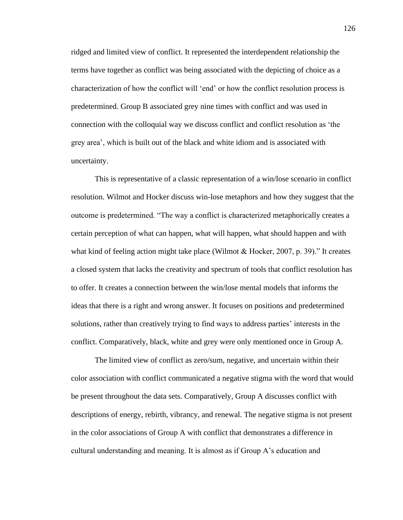ridged and limited view of conflict. It represented the interdependent relationship the terms have together as conflict was being associated with the depicting of choice as a characterization of how the conflict will 'end' or how the conflict resolution process is predetermined. Group B associated grey nine times with conflict and was used in connection with the colloquial way we discuss conflict and conflict resolution as 'the grey area', which is built out of the black and white idiom and is associated with uncertainty.

This is representative of a classic representation of a win/lose scenario in conflict resolution. Wilmot and Hocker discuss win-lose metaphors and how they suggest that the outcome is predetermined. "The way a conflict is characterized metaphorically creates a certain perception of what can happen, what will happen, what should happen and with what kind of feeling action might take place (Wilmot & Hocker, 2007, p. 39)." It creates a closed system that lacks the creativity and spectrum of tools that conflict resolution has to offer. It creates a connection between the win/lose mental models that informs the ideas that there is a right and wrong answer. It focuses on positions and predetermined solutions, rather than creatively trying to find ways to address parties' interests in the conflict. Comparatively, black, white and grey were only mentioned once in Group A.

The limited view of conflict as zero/sum, negative, and uncertain within their color association with conflict communicated a negative stigma with the word that would be present throughout the data sets. Comparatively, Group A discusses conflict with descriptions of energy, rebirth, vibrancy, and renewal. The negative stigma is not present in the color associations of Group A with conflict that demonstrates a difference in cultural understanding and meaning. It is almost as if Group A's education and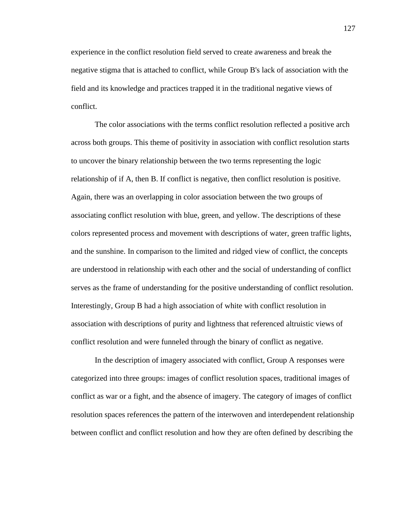experience in the conflict resolution field served to create awareness and break the negative stigma that is attached to conflict, while Group B's lack of association with the field and its knowledge and practices trapped it in the traditional negative views of conflict.

The color associations with the terms conflict resolution reflected a positive arch across both groups. This theme of positivity in association with conflict resolution starts to uncover the binary relationship between the two terms representing the logic relationship of if A, then B. If conflict is negative, then conflict resolution is positive. Again, there was an overlapping in color association between the two groups of associating conflict resolution with blue, green, and yellow. The descriptions of these colors represented process and movement with descriptions of water, green traffic lights, and the sunshine. In comparison to the limited and ridged view of conflict, the concepts are understood in relationship with each other and the social of understanding of conflict serves as the frame of understanding for the positive understanding of conflict resolution. Interestingly, Group B had a high association of white with conflict resolution in association with descriptions of purity and lightness that referenced altruistic views of conflict resolution and were funneled through the binary of conflict as negative.

In the description of imagery associated with conflict, Group A responses were categorized into three groups: images of conflict resolution spaces, traditional images of conflict as war or a fight, and the absence of imagery. The category of images of conflict resolution spaces references the pattern of the interwoven and interdependent relationship between conflict and conflict resolution and how they are often defined by describing the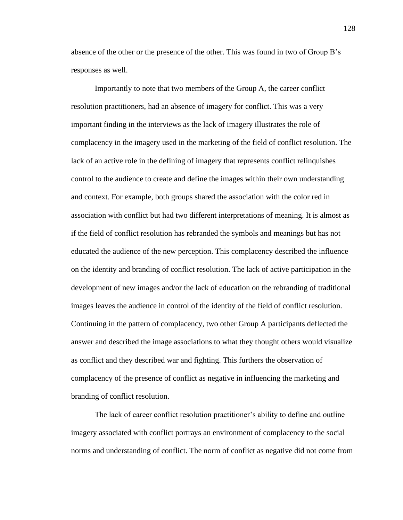absence of the other or the presence of the other. This was found in two of Group B's responses as well.

Importantly to note that two members of the Group A, the career conflict resolution practitioners, had an absence of imagery for conflict. This was a very important finding in the interviews as the lack of imagery illustrates the role of complacency in the imagery used in the marketing of the field of conflict resolution. The lack of an active role in the defining of imagery that represents conflict relinquishes control to the audience to create and define the images within their own understanding and context. For example, both groups shared the association with the color red in association with conflict but had two different interpretations of meaning. It is almost as if the field of conflict resolution has rebranded the symbols and meanings but has not educated the audience of the new perception. This complacency described the influence on the identity and branding of conflict resolution. The lack of active participation in the development of new images and/or the lack of education on the rebranding of traditional images leaves the audience in control of the identity of the field of conflict resolution. Continuing in the pattern of complacency, two other Group A participants deflected the answer and described the image associations to what they thought others would visualize as conflict and they described war and fighting. This furthers the observation of complacency of the presence of conflict as negative in influencing the marketing and branding of conflict resolution.

The lack of career conflict resolution practitioner's ability to define and outline imagery associated with conflict portrays an environment of complacency to the social norms and understanding of conflict. The norm of conflict as negative did not come from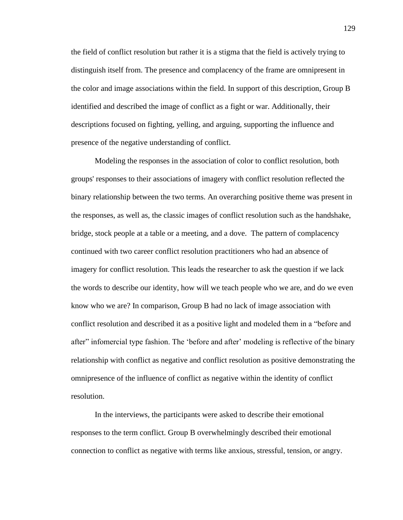the field of conflict resolution but rather it is a stigma that the field is actively trying to distinguish itself from. The presence and complacency of the frame are omnipresent in the color and image associations within the field. In support of this description, Group B identified and described the image of conflict as a fight or war. Additionally, their descriptions focused on fighting, yelling, and arguing, supporting the influence and presence of the negative understanding of conflict.

Modeling the responses in the association of color to conflict resolution, both groups' responses to their associations of imagery with conflict resolution reflected the binary relationship between the two terms. An overarching positive theme was present in the responses, as well as, the classic images of conflict resolution such as the handshake, bridge, stock people at a table or a meeting, and a dove. The pattern of complacency continued with two career conflict resolution practitioners who had an absence of imagery for conflict resolution. This leads the researcher to ask the question if we lack the words to describe our identity, how will we teach people who we are, and do we even know who we are? In comparison, Group B had no lack of image association with conflict resolution and described it as a positive light and modeled them in a "before and after" infomercial type fashion. The 'before and after' modeling is reflective of the binary relationship with conflict as negative and conflict resolution as positive demonstrating the omnipresence of the influence of conflict as negative within the identity of conflict resolution.

In the interviews, the participants were asked to describe their emotional responses to the term conflict. Group B overwhelmingly described their emotional connection to conflict as negative with terms like anxious, stressful, tension, or angry.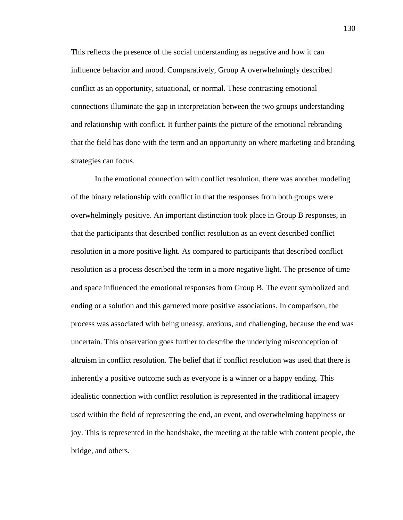This reflects the presence of the social understanding as negative and how it can influence behavior and mood. Comparatively, Group A overwhelmingly described conflict as an opportunity, situational, or normal. These contrasting emotional connections illuminate the gap in interpretation between the two groups understanding and relationship with conflict. It further paints the picture of the emotional rebranding that the field has done with the term and an opportunity on where marketing and branding strategies can focus.

In the emotional connection with conflict resolution, there was another modeling of the binary relationship with conflict in that the responses from both groups were overwhelmingly positive. An important distinction took place in Group B responses, in that the participants that described conflict resolution as an event described conflict resolution in a more positive light. As compared to participants that described conflict resolution as a process described the term in a more negative light. The presence of time and space influenced the emotional responses from Group B. The event symbolized and ending or a solution and this garnered more positive associations. In comparison, the process was associated with being uneasy, anxious, and challenging, because the end was uncertain. This observation goes further to describe the underlying misconception of altruism in conflict resolution. The belief that if conflict resolution was used that there is inherently a positive outcome such as everyone is a winner or a happy ending. This idealistic connection with conflict resolution is represented in the traditional imagery used within the field of representing the end, an event, and overwhelming happiness or joy. This is represented in the handshake, the meeting at the table with content people, the bridge, and others.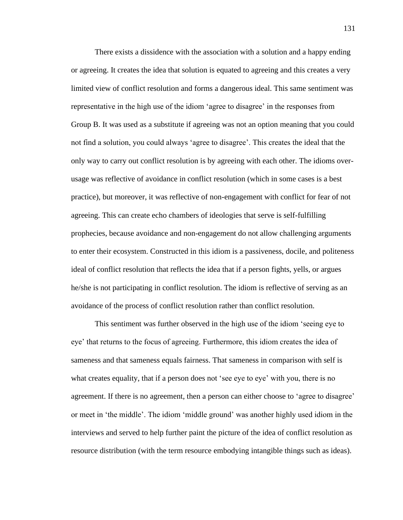There exists a dissidence with the association with a solution and a happy ending or agreeing. It creates the idea that solution is equated to agreeing and this creates a very limited view of conflict resolution and forms a dangerous ideal. This same sentiment was representative in the high use of the idiom 'agree to disagree' in the responses from Group B. It was used as a substitute if agreeing was not an option meaning that you could not find a solution, you could always 'agree to disagree'. This creates the ideal that the only way to carry out conflict resolution is by agreeing with each other. The idioms overusage was reflective of avoidance in conflict resolution (which in some cases is a best practice), but moreover, it was reflective of non-engagement with conflict for fear of not agreeing. This can create echo chambers of ideologies that serve is self-fulfilling prophecies, because avoidance and non-engagement do not allow challenging arguments to enter their ecosystem. Constructed in this idiom is a passiveness, docile, and politeness ideal of conflict resolution that reflects the idea that if a person fights, yells, or argues he/she is not participating in conflict resolution. The idiom is reflective of serving as an avoidance of the process of conflict resolution rather than conflict resolution.

This sentiment was further observed in the high use of the idiom 'seeing eye to eye' that returns to the focus of agreeing. Furthermore, this idiom creates the idea of sameness and that sameness equals fairness. That sameness in comparison with self is what creates equality, that if a person does not 'see eye to eye' with you, there is no agreement. If there is no agreement, then a person can either choose to 'agree to disagree' or meet in 'the middle'. The idiom 'middle ground' was another highly used idiom in the interviews and served to help further paint the picture of the idea of conflict resolution as resource distribution (with the term resource embodying intangible things such as ideas).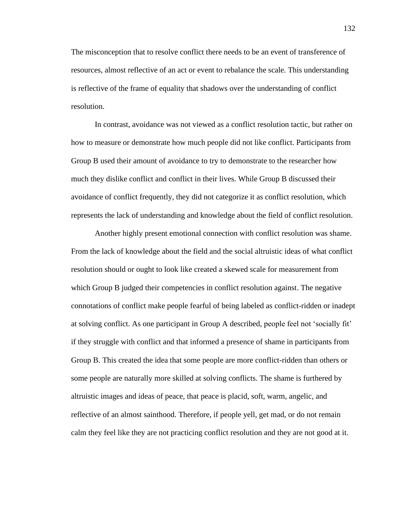The misconception that to resolve conflict there needs to be an event of transference of resources, almost reflective of an act or event to rebalance the scale. This understanding is reflective of the frame of equality that shadows over the understanding of conflict resolution.

In contrast, avoidance was not viewed as a conflict resolution tactic, but rather on how to measure or demonstrate how much people did not like conflict. Participants from Group B used their amount of avoidance to try to demonstrate to the researcher how much they dislike conflict and conflict in their lives. While Group B discussed their avoidance of conflict frequently, they did not categorize it as conflict resolution, which represents the lack of understanding and knowledge about the field of conflict resolution.

Another highly present emotional connection with conflict resolution was shame. From the lack of knowledge about the field and the social altruistic ideas of what conflict resolution should or ought to look like created a skewed scale for measurement from which Group B judged their competencies in conflict resolution against. The negative connotations of conflict make people fearful of being labeled as conflict-ridden or inadept at solving conflict. As one participant in Group A described, people feel not 'socially fit' if they struggle with conflict and that informed a presence of shame in participants from Group B. This created the idea that some people are more conflict-ridden than others or some people are naturally more skilled at solving conflicts. The shame is furthered by altruistic images and ideas of peace, that peace is placid, soft, warm, angelic, and reflective of an almost sainthood. Therefore, if people yell, get mad, or do not remain calm they feel like they are not practicing conflict resolution and they are not good at it.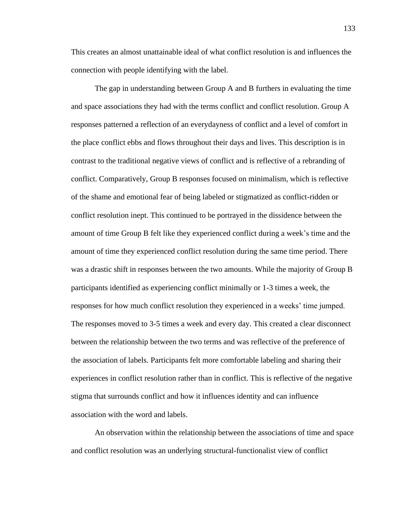This creates an almost unattainable ideal of what conflict resolution is and influences the connection with people identifying with the label.

The gap in understanding between Group A and B furthers in evaluating the time and space associations they had with the terms conflict and conflict resolution. Group A responses patterned a reflection of an everydayness of conflict and a level of comfort in the place conflict ebbs and flows throughout their days and lives. This description is in contrast to the traditional negative views of conflict and is reflective of a rebranding of conflict. Comparatively, Group B responses focused on minimalism, which is reflective of the shame and emotional fear of being labeled or stigmatized as conflict-ridden or conflict resolution inept. This continued to be portrayed in the dissidence between the amount of time Group B felt like they experienced conflict during a week's time and the amount of time they experienced conflict resolution during the same time period. There was a drastic shift in responses between the two amounts. While the majority of Group B participants identified as experiencing conflict minimally or 1-3 times a week, the responses for how much conflict resolution they experienced in a weeks' time jumped. The responses moved to 3-5 times a week and every day. This created a clear disconnect between the relationship between the two terms and was reflective of the preference of the association of labels. Participants felt more comfortable labeling and sharing their experiences in conflict resolution rather than in conflict. This is reflective of the negative stigma that surrounds conflict and how it influences identity and can influence association with the word and labels.

An observation within the relationship between the associations of time and space and conflict resolution was an underlying structural-functionalist view of conflict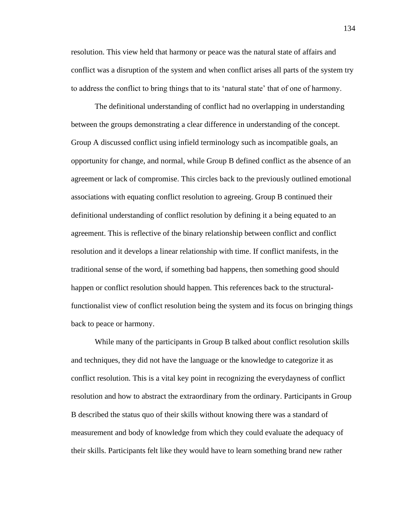resolution. This view held that harmony or peace was the natural state of affairs and conflict was a disruption of the system and when conflict arises all parts of the system try to address the conflict to bring things that to its 'natural state' that of one of harmony.

The definitional understanding of conflict had no overlapping in understanding between the groups demonstrating a clear difference in understanding of the concept. Group A discussed conflict using infield terminology such as incompatible goals, an opportunity for change, and normal, while Group B defined conflict as the absence of an agreement or lack of compromise. This circles back to the previously outlined emotional associations with equating conflict resolution to agreeing. Group B continued their definitional understanding of conflict resolution by defining it a being equated to an agreement. This is reflective of the binary relationship between conflict and conflict resolution and it develops a linear relationship with time. If conflict manifests, in the traditional sense of the word, if something bad happens, then something good should happen or conflict resolution should happen. This references back to the structuralfunctionalist view of conflict resolution being the system and its focus on bringing things back to peace or harmony.

While many of the participants in Group B talked about conflict resolution skills and techniques, they did not have the language or the knowledge to categorize it as conflict resolution. This is a vital key point in recognizing the everydayness of conflict resolution and how to abstract the extraordinary from the ordinary. Participants in Group B described the status quo of their skills without knowing there was a standard of measurement and body of knowledge from which they could evaluate the adequacy of their skills. Participants felt like they would have to learn something brand new rather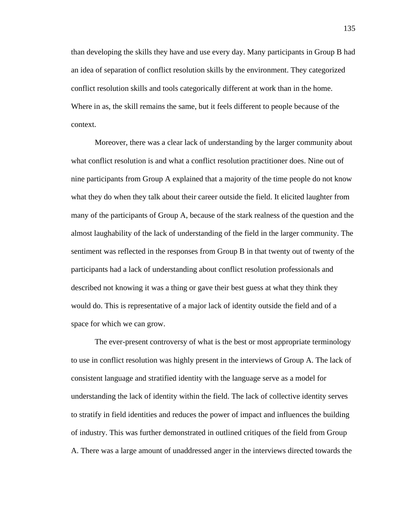than developing the skills they have and use every day. Many participants in Group B had an idea of separation of conflict resolution skills by the environment. They categorized conflict resolution skills and tools categorically different at work than in the home. Where in as, the skill remains the same, but it feels different to people because of the context.

Moreover, there was a clear lack of understanding by the larger community about what conflict resolution is and what a conflict resolution practitioner does. Nine out of nine participants from Group A explained that a majority of the time people do not know what they do when they talk about their career outside the field. It elicited laughter from many of the participants of Group A, because of the stark realness of the question and the almost laughability of the lack of understanding of the field in the larger community. The sentiment was reflected in the responses from Group B in that twenty out of twenty of the participants had a lack of understanding about conflict resolution professionals and described not knowing it was a thing or gave their best guess at what they think they would do. This is representative of a major lack of identity outside the field and of a space for which we can grow.

The ever-present controversy of what is the best or most appropriate terminology to use in conflict resolution was highly present in the interviews of Group A. The lack of consistent language and stratified identity with the language serve as a model for understanding the lack of identity within the field. The lack of collective identity serves to stratify in field identities and reduces the power of impact and influences the building of industry. This was further demonstrated in outlined critiques of the field from Group A. There was a large amount of unaddressed anger in the interviews directed towards the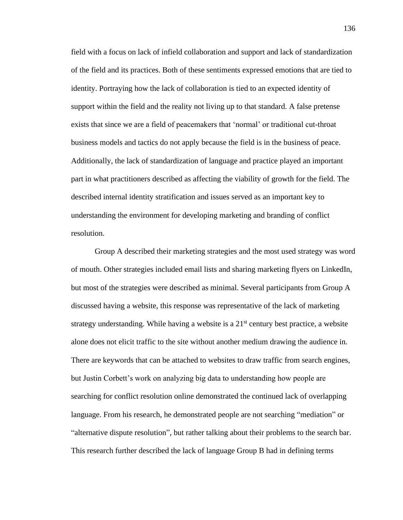field with a focus on lack of infield collaboration and support and lack of standardization of the field and its practices. Both of these sentiments expressed emotions that are tied to identity. Portraying how the lack of collaboration is tied to an expected identity of support within the field and the reality not living up to that standard. A false pretense exists that since we are a field of peacemakers that 'normal' or traditional cut-throat business models and tactics do not apply because the field is in the business of peace. Additionally, the lack of standardization of language and practice played an important part in what practitioners described as affecting the viability of growth for the field. The described internal identity stratification and issues served as an important key to understanding the environment for developing marketing and branding of conflict resolution.

Group A described their marketing strategies and the most used strategy was word of mouth. Other strategies included email lists and sharing marketing flyers on LinkedIn, but most of the strategies were described as minimal. Several participants from Group A discussed having a website, this response was representative of the lack of marketing strategy understanding. While having a website is a  $21<sup>st</sup>$  century best practice, a website alone does not elicit traffic to the site without another medium drawing the audience in. There are keywords that can be attached to websites to draw traffic from search engines, but Justin Corbett's work on analyzing big data to understanding how people are searching for conflict resolution online demonstrated the continued lack of overlapping language. From his research, he demonstrated people are not searching "mediation" or "alternative dispute resolution", but rather talking about their problems to the search bar. This research further described the lack of language Group B had in defining terms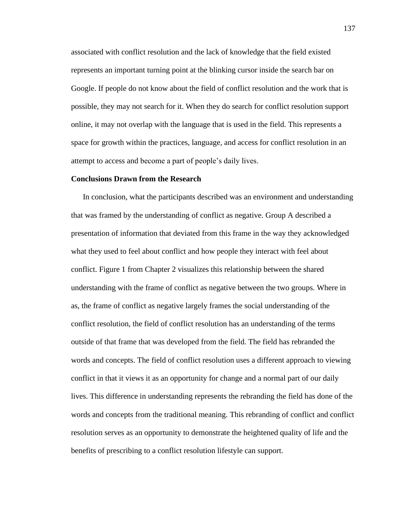associated with conflict resolution and the lack of knowledge that the field existed represents an important turning point at the blinking cursor inside the search bar on Google. If people do not know about the field of conflict resolution and the work that is possible, they may not search for it. When they do search for conflict resolution support online, it may not overlap with the language that is used in the field. This represents a space for growth within the practices, language, and access for conflict resolution in an attempt to access and become a part of people's daily lives.

### **Conclusions Drawn from the Research**

In conclusion, what the participants described was an environment and understanding that was framed by the understanding of conflict as negative. Group A described a presentation of information that deviated from this frame in the way they acknowledged what they used to feel about conflict and how people they interact with feel about conflict. Figure 1 from Chapter 2 visualizes this relationship between the shared understanding with the frame of conflict as negative between the two groups. Where in as, the frame of conflict as negative largely frames the social understanding of the conflict resolution, the field of conflict resolution has an understanding of the terms outside of that frame that was developed from the field. The field has rebranded the words and concepts. The field of conflict resolution uses a different approach to viewing conflict in that it views it as an opportunity for change and a normal part of our daily lives. This difference in understanding represents the rebranding the field has done of the words and concepts from the traditional meaning. This rebranding of conflict and conflict resolution serves as an opportunity to demonstrate the heightened quality of life and the benefits of prescribing to a conflict resolution lifestyle can support.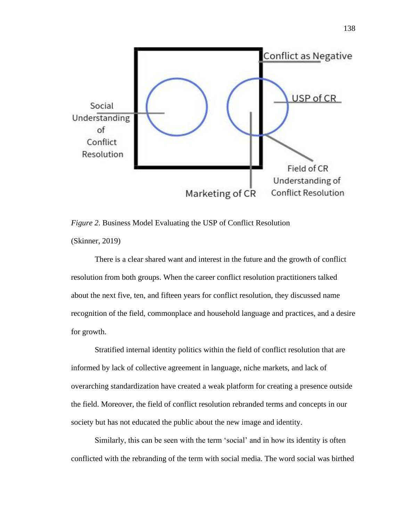

*Figure 2*. Business Model Evaluating the USP of Conflict Resolution (Skinner, 2019)

There is a clear shared want and interest in the future and the growth of conflict resolution from both groups. When the career conflict resolution practitioners talked about the next five, ten, and fifteen years for conflict resolution, they discussed name recognition of the field, commonplace and household language and practices, and a desire for growth.

Stratified internal identity politics within the field of conflict resolution that are informed by lack of collective agreement in language, niche markets, and lack of overarching standardization have created a weak platform for creating a presence outside the field. Moreover, the field of conflict resolution rebranded terms and concepts in our society but has not educated the public about the new image and identity.

Similarly, this can be seen with the term 'social' and in how its identity is often conflicted with the rebranding of the term with social media. The word social was birthed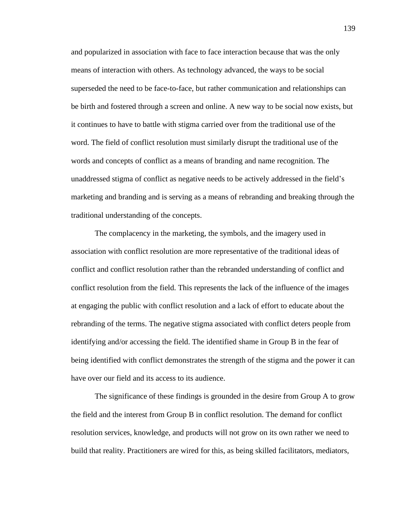and popularized in association with face to face interaction because that was the only means of interaction with others. As technology advanced, the ways to be social superseded the need to be face-to-face, but rather communication and relationships can be birth and fostered through a screen and online. A new way to be social now exists, but it continues to have to battle with stigma carried over from the traditional use of the word. The field of conflict resolution must similarly disrupt the traditional use of the words and concepts of conflict as a means of branding and name recognition. The unaddressed stigma of conflict as negative needs to be actively addressed in the field's marketing and branding and is serving as a means of rebranding and breaking through the traditional understanding of the concepts.

The complacency in the marketing, the symbols, and the imagery used in association with conflict resolution are more representative of the traditional ideas of conflict and conflict resolution rather than the rebranded understanding of conflict and conflict resolution from the field. This represents the lack of the influence of the images at engaging the public with conflict resolution and a lack of effort to educate about the rebranding of the terms. The negative stigma associated with conflict deters people from identifying and/or accessing the field. The identified shame in Group B in the fear of being identified with conflict demonstrates the strength of the stigma and the power it can have over our field and its access to its audience.

The significance of these findings is grounded in the desire from Group A to grow the field and the interest from Group B in conflict resolution. The demand for conflict resolution services, knowledge, and products will not grow on its own rather we need to build that reality. Practitioners are wired for this, as being skilled facilitators, mediators,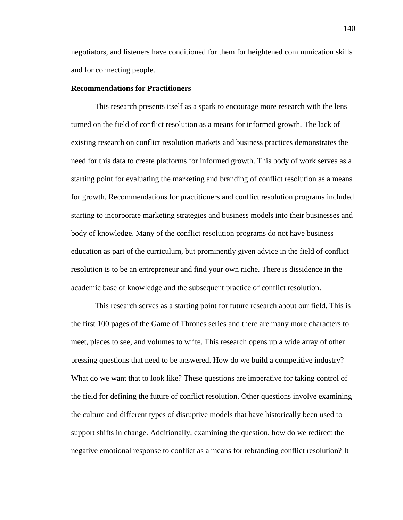negotiators, and listeners have conditioned for them for heightened communication skills and for connecting people.

### **Recommendations for Practitioners**

This research presents itself as a spark to encourage more research with the lens turned on the field of conflict resolution as a means for informed growth. The lack of existing research on conflict resolution markets and business practices demonstrates the need for this data to create platforms for informed growth. This body of work serves as a starting point for evaluating the marketing and branding of conflict resolution as a means for growth. Recommendations for practitioners and conflict resolution programs included starting to incorporate marketing strategies and business models into their businesses and body of knowledge. Many of the conflict resolution programs do not have business education as part of the curriculum, but prominently given advice in the field of conflict resolution is to be an entrepreneur and find your own niche. There is dissidence in the academic base of knowledge and the subsequent practice of conflict resolution.

This research serves as a starting point for future research about our field. This is the first 100 pages of the Game of Thrones series and there are many more characters to meet, places to see, and volumes to write. This research opens up a wide array of other pressing questions that need to be answered. How do we build a competitive industry? What do we want that to look like? These questions are imperative for taking control of the field for defining the future of conflict resolution. Other questions involve examining the culture and different types of disruptive models that have historically been used to support shifts in change. Additionally, examining the question, how do we redirect the negative emotional response to conflict as a means for rebranding conflict resolution? It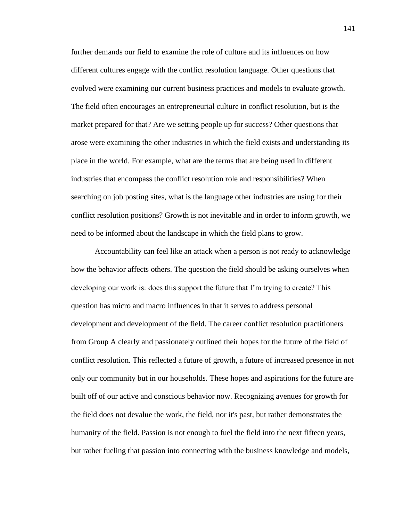further demands our field to examine the role of culture and its influences on how different cultures engage with the conflict resolution language. Other questions that evolved were examining our current business practices and models to evaluate growth. The field often encourages an entrepreneurial culture in conflict resolution, but is the market prepared for that? Are we setting people up for success? Other questions that arose were examining the other industries in which the field exists and understanding its place in the world. For example, what are the terms that are being used in different industries that encompass the conflict resolution role and responsibilities? When searching on job posting sites, what is the language other industries are using for their conflict resolution positions? Growth is not inevitable and in order to inform growth, we need to be informed about the landscape in which the field plans to grow.

Accountability can feel like an attack when a person is not ready to acknowledge how the behavior affects others. The question the field should be asking ourselves when developing our work is: does this support the future that I'm trying to create? This question has micro and macro influences in that it serves to address personal development and development of the field. The career conflict resolution practitioners from Group A clearly and passionately outlined their hopes for the future of the field of conflict resolution. This reflected a future of growth, a future of increased presence in not only our community but in our households. These hopes and aspirations for the future are built off of our active and conscious behavior now. Recognizing avenues for growth for the field does not devalue the work, the field, nor it's past, but rather demonstrates the humanity of the field. Passion is not enough to fuel the field into the next fifteen years, but rather fueling that passion into connecting with the business knowledge and models,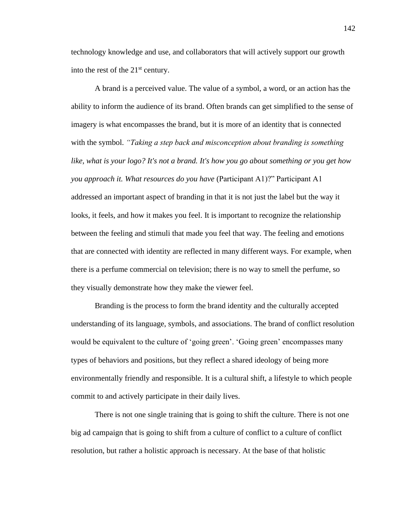technology knowledge and use, and collaborators that will actively support our growth into the rest of the  $21<sup>st</sup>$  century.

A brand is a perceived value. The value of a symbol, a word, or an action has the ability to inform the audience of its brand. Often brands can get simplified to the sense of imagery is what encompasses the brand, but it is more of an identity that is connected with the symbol. *"Taking a step back and misconception about branding is something like, what is your logo? It's not a brand. It's how you go about something or you get how you approach it. What resources do you have* (Participant A1)?" Participant A1 addressed an important aspect of branding in that it is not just the label but the way it looks, it feels, and how it makes you feel. It is important to recognize the relationship between the feeling and stimuli that made you feel that way. The feeling and emotions that are connected with identity are reflected in many different ways. For example, when there is a perfume commercial on television; there is no way to smell the perfume, so they visually demonstrate how they make the viewer feel.

Branding is the process to form the brand identity and the culturally accepted understanding of its language, symbols, and associations. The brand of conflict resolution would be equivalent to the culture of 'going green'. 'Going green' encompasses many types of behaviors and positions, but they reflect a shared ideology of being more environmentally friendly and responsible. It is a cultural shift, a lifestyle to which people commit to and actively participate in their daily lives.

There is not one single training that is going to shift the culture. There is not one big ad campaign that is going to shift from a culture of conflict to a culture of conflict resolution, but rather a holistic approach is necessary. At the base of that holistic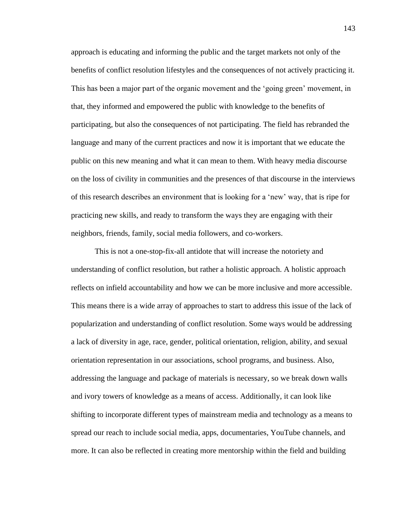approach is educating and informing the public and the target markets not only of the benefits of conflict resolution lifestyles and the consequences of not actively practicing it. This has been a major part of the organic movement and the 'going green' movement, in that, they informed and empowered the public with knowledge to the benefits of participating, but also the consequences of not participating. The field has rebranded the language and many of the current practices and now it is important that we educate the public on this new meaning and what it can mean to them. With heavy media discourse on the loss of civility in communities and the presences of that discourse in the interviews of this research describes an environment that is looking for a 'new' way, that is ripe for practicing new skills, and ready to transform the ways they are engaging with their neighbors, friends, family, social media followers, and co-workers.

This is not a one-stop-fix-all antidote that will increase the notoriety and understanding of conflict resolution, but rather a holistic approach. A holistic approach reflects on infield accountability and how we can be more inclusive and more accessible. This means there is a wide array of approaches to start to address this issue of the lack of popularization and understanding of conflict resolution. Some ways would be addressing a lack of diversity in age, race, gender, political orientation, religion, ability, and sexual orientation representation in our associations, school programs, and business. Also, addressing the language and package of materials is necessary, so we break down walls and ivory towers of knowledge as a means of access. Additionally, it can look like shifting to incorporate different types of mainstream media and technology as a means to spread our reach to include social media, apps, documentaries, YouTube channels, and more. It can also be reflected in creating more mentorship within the field and building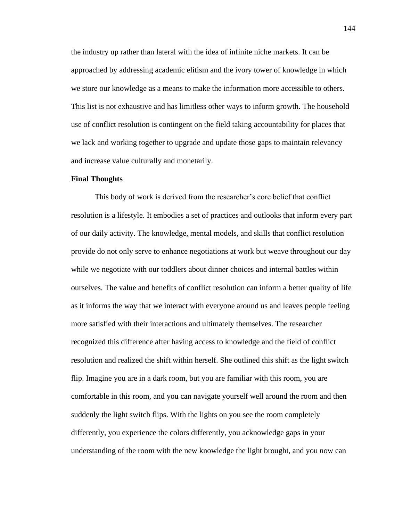the industry up rather than lateral with the idea of infinite niche markets. It can be approached by addressing academic elitism and the ivory tower of knowledge in which we store our knowledge as a means to make the information more accessible to others. This list is not exhaustive and has limitless other ways to inform growth. The household use of conflict resolution is contingent on the field taking accountability for places that we lack and working together to upgrade and update those gaps to maintain relevancy and increase value culturally and monetarily.

#### **Final Thoughts**

This body of work is derived from the researcher's core belief that conflict resolution is a lifestyle. It embodies a set of practices and outlooks that inform every part of our daily activity. The knowledge, mental models, and skills that conflict resolution provide do not only serve to enhance negotiations at work but weave throughout our day while we negotiate with our toddlers about dinner choices and internal battles within ourselves. The value and benefits of conflict resolution can inform a better quality of life as it informs the way that we interact with everyone around us and leaves people feeling more satisfied with their interactions and ultimately themselves. The researcher recognized this difference after having access to knowledge and the field of conflict resolution and realized the shift within herself. She outlined this shift as the light switch flip. Imagine you are in a dark room, but you are familiar with this room, you are comfortable in this room, and you can navigate yourself well around the room and then suddenly the light switch flips. With the lights on you see the room completely differently, you experience the colors differently, you acknowledge gaps in your understanding of the room with the new knowledge the light brought, and you now can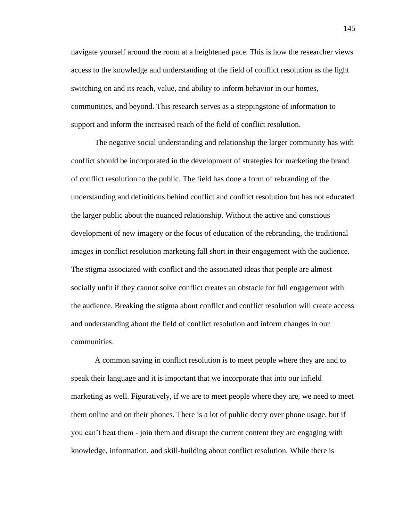navigate yourself around the room at a heightened pace. This is how the researcher views access to the knowledge and understanding of the field of conflict resolution as the light switching on and its reach, value, and ability to inform behavior in our homes, communities, and beyond. This research serves as a steppingstone of information to support and inform the increased reach of the field of conflict resolution.

The negative social understanding and relationship the larger community has with conflict should be incorporated in the development of strategies for marketing the brand of conflict resolution to the public. The field has done a form of rebranding of the understanding and definitions behind conflict and conflict resolution but has not educated the larger public about the nuanced relationship. Without the active and conscious development of new imagery or the focus of education of the rebranding, the traditional images in conflict resolution marketing fall short in their engagement with the audience. The stigma associated with conflict and the associated ideas that people are almost socially unfit if they cannot solve conflict creates an obstacle for full engagement with the audience. Breaking the stigma about conflict and conflict resolution will create access and understanding about the field of conflict resolution and inform changes in our communities.

A common saying in conflict resolution is to meet people where they are and to speak their language and it is important that we incorporate that into our infield marketing as well. Figuratively, if we are to meet people where they are, we need to meet them online and on their phones. There is a lot of public decry over phone usage, but if you can't beat them - join them and disrupt the current content they are engaging with knowledge, information, and skill-building about conflict resolution. While there is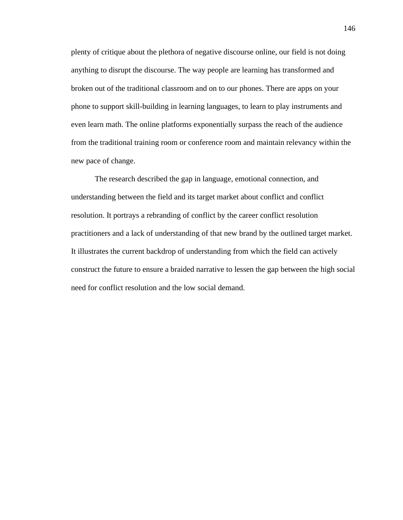plenty of critique about the plethora of negative discourse online, our field is not doing anything to disrupt the discourse. The way people are learning has transformed and broken out of the traditional classroom and on to our phones. There are apps on your phone to support skill-building in learning languages, to learn to play instruments and even learn math. The online platforms exponentially surpass the reach of the audience from the traditional training room or conference room and maintain relevancy within the new pace of change.

The research described the gap in language, emotional connection, and understanding between the field and its target market about conflict and conflict resolution. It portrays a rebranding of conflict by the career conflict resolution practitioners and a lack of understanding of that new brand by the outlined target market. It illustrates the current backdrop of understanding from which the field can actively construct the future to ensure a braided narrative to lessen the gap between the high social need for conflict resolution and the low social demand.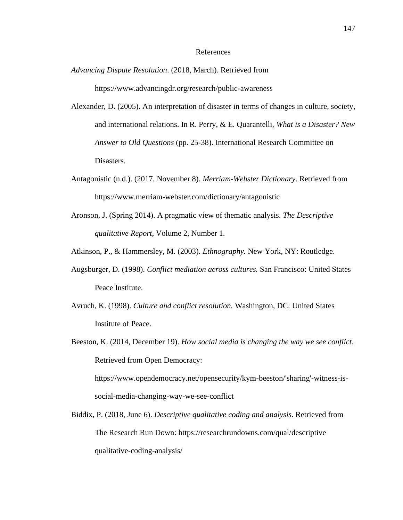### References

- *Advancing Dispute Resolution*. (2018, March). Retrieved from https://www.advancingdr.org/research/public-awareness
- Alexander, D. (2005). An interpretation of disaster in terms of changes in culture, society, and international relations. In R. Perry, & E. Quarantelli, *What is a Disaster? New Answer to Old Questions* (pp. 25-38). International Research Committee on Disasters.
- Antagonistic (n.d.). (2017, November 8). *Merriam-Webster Dictionary*. Retrieved from https://www.merriam-webster.com/dictionary/antagonistic
- Aronson, J. (Spring 2014). A pragmatic view of thematic analysis. *The Descriptive qualitative Report*, Volume 2, Number 1.
- Atkinson, P., & Hammersley, M. (2003). *Ethnography.* New York, NY: Routledge.
- Augsburger, D. (1998). *Conflict mediation across cultures.* San Francisco: United States Peace Institute.
- Avruch, K. (1998). *Culture and conflict resolution.* Washington, DC: United States Institute of Peace.
- Beeston, K. (2014, December 19). *How social media is changing the way we see conflict*. Retrieved from Open Democracy: https://www.opendemocracy.net/opensecurity/kym-beeston/'sharing'-witness-is-

social-media-changing-way-we-see-conflict

Biddix, P. (2018, June 6). *Descriptive qualitative coding and analysis*. Retrieved from The Research Run Down: https://researchrundowns.com/qual/descriptive qualitative-coding-analysis/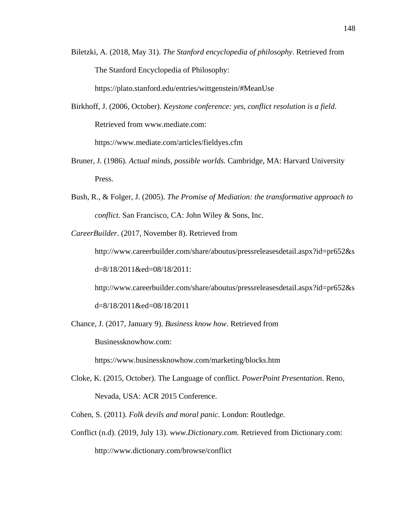Biletzki, A. (2018, May 31). *The Stanford encyclopedia of philosophy*. Retrieved from The Stanford Encyclopedia of Philosophy:

https://plato.stanford.edu/entries/wittgenstein/#MeanUse

Birkhoff, J. (2006, October). *Keystone conference: yes, conflict resolution is a field*. Retrieved from www.mediate.com:

https://www.mediate.com/articles/fieldyes.cfm

- Bruner, J. (1986). *Actual minds, possible worlds.* Cambridge, MA: Harvard University Press.
- Bush, R., & Folger, J. (2005). *The Promise of Mediation: the transformative approach to conflict.* San Francisco, CA: John Wiley & Sons, Inc.

*CareerBuilder*. (2017, November 8). Retrieved from

http://www.careerbuilder.com/share/aboutus/pressreleasesdetail.aspx?id=pr652&s d=8/18/2011&ed=08/18/2011:

http://www.careerbuilder.com/share/aboutus/pressreleasesdetail.aspx?id=pr652&s

d=8/18/2011&ed=08/18/2011

Chance, J. (2017, January 9). *Business know how*. Retrieved from

Businessknowhow.com:

https://www.businessknowhow.com/marketing/blocks.htm

- Cloke, K. (2015, October). The Language of conflict. *PowerPoint Presentation*. Reno, Nevada, USA: ACR 2015 Conference.
- Cohen, S. (2011). *Folk devils and moral panic.* London: Routledge.
- Conflict (n.d). (2019, July 13). *www*.*Dictionary.com.* Retrieved from Dictionary.com: http://www.dictionary.com/browse/conflict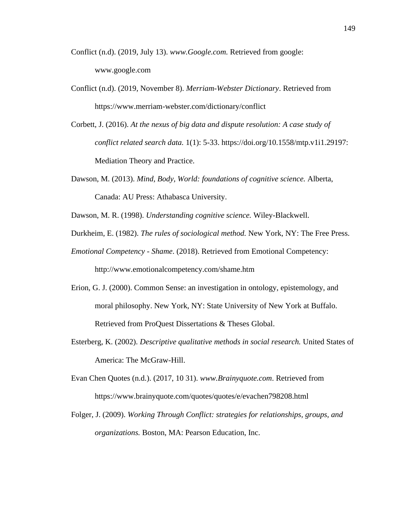- Conflict (n.d). (2019, July 13). *www.Google.com.* Retrieved from google: www.google.com
- Conflict (n.d). (2019, November 8). *Merriam-Webster Dictionary*. Retrieved from https://www.merriam-webster.com/dictionary/conflict
- Corbett, J. (2016). *At the nexus of big data and dispute resolution: A case study of conflict related search data.* 1(1): 5-33. https://doi.org/10.1558/mtp.v1i1.29197: Mediation Theory and Practice.
- Dawson, M. (2013). *Mind, Body, World: foundations of cognitive science.* Alberta, Canada: AU Press: Athabasca University.
- Dawson, M. R. (1998). *Understanding cognitive science.* Wiley-Blackwell.
- Durkheim, E. (1982). *The rules of sociological method.* New York, NY: The Free Press.
- *Emotional Competency - Shame*. (2018). Retrieved from Emotional Competency: http://www.emotionalcompetency.com/shame.htm
- Erion, G. J. (2000). Common Sense: an investigation in ontology, epistemology, and moral philosophy. New York, NY: State University of New York at Buffalo. Retrieved from ProQuest Dissertations & Theses Global.
- Esterberg, K. (2002). *Descriptive qualitative methods in social research.* United States of America: The McGraw-Hill.
- Evan Chen Quotes (n.d.). (2017, 10 31). *www.Brainyquote.com*. Retrieved from https://www.brainyquote.com/quotes/quotes/e/evachen798208.html
- Folger, J. (2009). *Working Through Conflict: strategies for relationships, groups, and organizations.* Boston, MA: Pearson Education, Inc.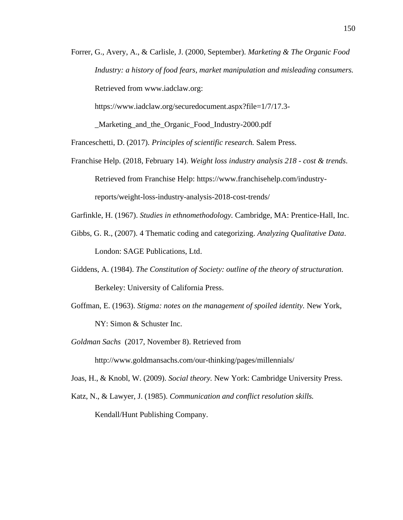Forrer, G., Avery, A., & Carlisle, J. (2000, September). *Marketing & The Organic Food Industry: a history of food fears, market manipulation and misleading consumers.* Retrieved from www.iadclaw.org:

https://www.iadclaw.org/securedocument.aspx?file=1/7/17.3-

\_Marketing\_and\_the\_Organic\_Food\_Industry-2000.pdf

Franceschetti, D. (2017). *Principles of scientific research.* Salem Press.

Franchise Help. (2018, February 14). *Weight loss industry analysis 218 - cost & trends*. Retrieved from Franchise Help: https://www.franchisehelp.com/industryreports/weight-loss-industry-analysis-2018-cost-trends/

Garfinkle, H. (1967). *Studies in ethnomethodology.* Cambridge, MA: Prentice-Hall, Inc.

- Gibbs, G. R., (2007). 4 Thematic coding and categorizing. *Analyzing Qualitative Data*. London: SAGE Publications, Ltd.
- Giddens, A. (1984). *The Constitution of Society: outline of the theory of structuration.* Berkeley: University of California Press.
- Goffman, E. (1963). *Stigma: notes on the management of spoiled identity.* New York, NY: Simon & Schuster Inc.
- *Goldman Sachs* (2017, November 8). Retrieved from

http://www.goldmansachs.com/our-thinking/pages/millennials/

Joas, H., & Knobl, W. (2009). *Social theory.* New York: Cambridge University Press.

Katz, N., & Lawyer, J. (1985). *Communication and conflict resolution skills.* Kendall/Hunt Publishing Company.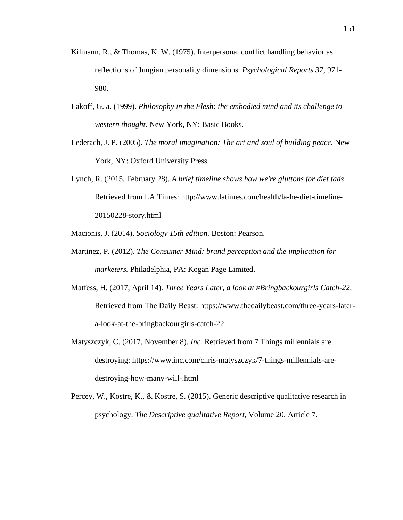- Kilmann, R., & Thomas, K. W. (1975). Interpersonal conflict handling behavior as reflections of Jungian personality dimensions. *Psychological Reports 37*, 971- 980.
- Lakoff, G. a. (1999). *Philosophy in the Flesh: the embodied mind and its challenge to western thought.* New York, NY: Basic Books.
- Lederach, J. P. (2005). *The moral imagination: The art and soul of building peace.* New York, NY: Oxford University Press.
- Lynch, R. (2015, February 28). *A brief timeline shows how we're gluttons for diet fads*. Retrieved from LA Times: http://www.latimes.com/health/la-he-diet-timeline-20150228-story.html
- Macionis, J. (2014). *Sociology 15th edition.* Boston: Pearson.
- Martinez, P. (2012). *The Consumer Mind: brand perception and the implication for marketers.* Philadelphia, PA: Kogan Page Limited.
- Matfess, H. (2017, April 14). *Three Years Later, a look at #Bringbackourgirls Catch-22*. Retrieved from The Daily Beast: https://www.thedailybeast.com/three-years-latera-look-at-the-bringbackourgirls-catch-22
- Matyszczyk, C. (2017, November 8). *Inc.* Retrieved from 7 Things millennials are destroying: https://www.inc.com/chris-matyszczyk/7-things-millennials-aredestroying-how-many-will-.html
- Percey, W., Kostre, K., & Kostre, S. (2015). Generic descriptive qualitative research in psychology. *The Descriptive qualitative Report*, Volume 20, Article 7.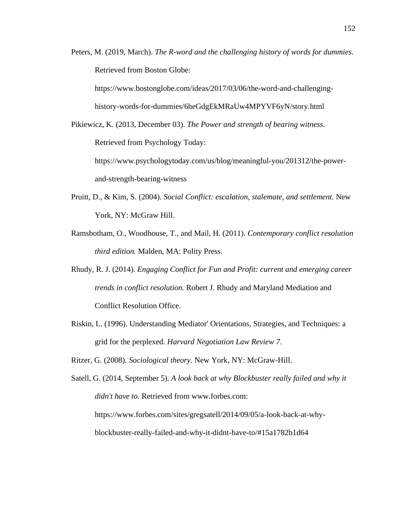Peters, M. (2019, March). *The R-word and the challenging history of words for dummies*. Retrieved from Boston Globe:

https://www.bostonglobe.com/ideas/2017/03/06/the-word-and-challenginghistory-words-for-dummies/6heGdgEkMRaUw4MPYVF6yN/story.html

Pikiewicz, K. (2013, December 03). *The Power and strength of bearing witness*. Retrieved from Psychology Today: https://www.psychologytoday.com/us/blog/meaningful-you/201312/the-power-

and-strength-bearing-witness

- Pruitt, D., & Kim, S. (2004). *Social Conflict: escalation, stalemate, and settlement.* New York, NY: McGraw Hill.
- Ramsbotham, O., Woodhouse, T., and Mail, H. (2011). *Contemporary conflict resolution third edition.* Malden, MA: Polity Press.
- Rhudy, R. J. (2014). *Engaging Conflict for Fun and Profit: current and emerging career trends in conflict resolution.* Robert J. Rhudy and Maryland Mediation and Conflict Resolution Office.
- Riskin, L. (1996). Understanding Mediator' Orientations, Strategies, and Techniques: a grid for the perplexed. *Harvard Negotiation Law Review 7*.
- Ritzer, G. (2008). *Sociological theory.* New York, NY: McGraw-Hill.

Satell, G. (2014, September 5). *A look back at why Blockbuster really failed and why it didn't have to.* Retrieved from www.forbes.com: https://www.forbes.com/sites/gregsatell/2014/09/05/a-look-back-at-whyblockbuster-really-failed-and-why-it-didnt-have-to/#15a1782b1d64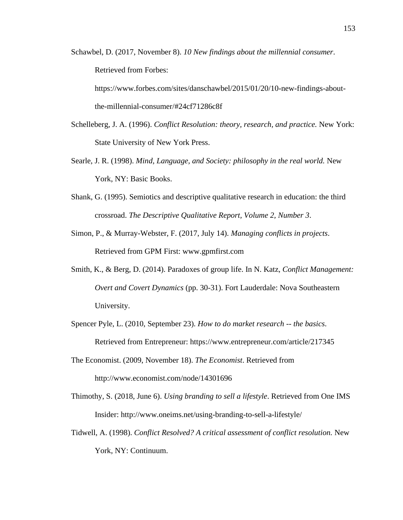Schawbel, D. (2017, November 8). *10 New findings about the millennial consumer*. Retrieved from Forbes:

https://www.forbes.com/sites/danschawbel/2015/01/20/10-new-findings-aboutthe-millennial-consumer/#24cf71286c8f

- Schelleberg, J. A. (1996). *Conflict Resolution: theory, research, and practice.* New York: State University of New York Press.
- Searle, J. R. (1998). *Mind, Language, and Society: philosophy in the real world.* New York, NY: Basic Books.
- Shank, G. (1995). Semiotics and descriptive qualitative research in education: the third crossroad. *The Descriptive Qualitative Report, Volume 2, Number 3*.
- Simon, P., & Murray-Webster, F. (2017, July 14). *Managing conflicts in projects*. Retrieved from GPM First: www.gpmfirst.com
- Smith, K., & Berg, D. (2014). Paradoxes of group life. In N. Katz, *Conflict Management: Overt and Covert Dynamics* (pp. 30-31). Fort Lauderdale: Nova Southeastern University.
- Spencer Pyle, L. (2010, September 23). *How to do market research -- the basics*. Retrieved from Entrepreneur: https://www.entrepreneur.com/article/217345
- The Economist. (2009, November 18). *The Economist*. Retrieved from http://www.economist.com/node/14301696
- Thimothy, S. (2018, June 6). *Using branding to sell a lifestyle*. Retrieved from One IMS Insider: http://www.oneims.net/using-branding-to-sell-a-lifestyle/
- Tidwell, A. (1998). *Conflict Resolved? A critical assessment of conflict resolution.* New York, NY: Continuum.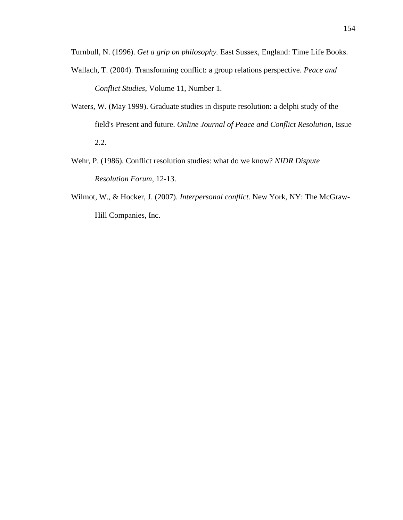Turnbull, N. (1996). *Get a grip on philosophy.* East Sussex, England: Time Life Books.

- Wallach, T. (2004). Transforming conflict: a group relations perspective. *Peace and Conflict Studies*, Volume 11, Number 1.
- Waters, W. (May 1999). Graduate studies in dispute resolution: a delphi study of the field's Present and future. *Online Journal of Peace and Conflict Resolution*, Issue 2.2.
- Wehr, P. (1986). Conflict resolution studies: what do we know? *NIDR Dispute Resolution Forum*, 12-13.
- Wilmot, W., & Hocker, J. (2007). *Interpersonal conflict.* New York, NY: The McGraw-Hill Companies, Inc.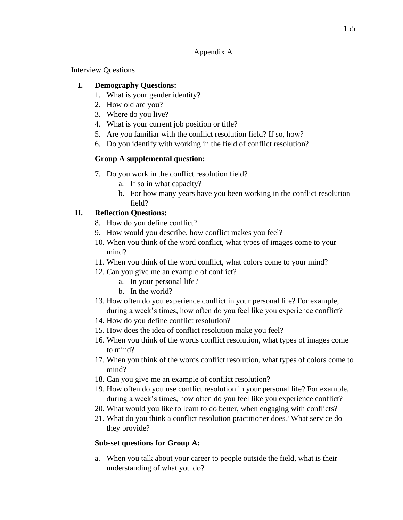### Appendix A

Interview Questions

## **I. Demography Questions:**

- 1. What is your gender identity?
- 2. How old are you?
- 3. Where do you live?
- 4. What is your current job position or title?
- 5. Are you familiar with the conflict resolution field? If so, how?
- 6. Do you identify with working in the field of conflict resolution?

# **Group A supplemental question:**

- 7. Do you work in the conflict resolution field?
	- a. If so in what capacity?
	- b. For how many years have you been working in the conflict resolution field?

# **II. Reflection Questions:**

- 8. How do you define conflict?
- 9. How would you describe, how conflict makes you feel?
- 10. When you think of the word conflict, what types of images come to your mind?
- 11. When you think of the word conflict, what colors come to your mind?
- 12. Can you give me an example of conflict?
	- a. In your personal life?
	- b. In the world?
- 13. How often do you experience conflict in your personal life? For example, during a week's times, how often do you feel like you experience conflict?
- 14. How do you define conflict resolution?
- 15. How does the idea of conflict resolution make you feel?
- 16. When you think of the words conflict resolution, what types of images come to mind?
- 17. When you think of the words conflict resolution, what types of colors come to mind?
- 18. Can you give me an example of conflict resolution?
- 19. How often do you use conflict resolution in your personal life? For example, during a week's times, how often do you feel like you experience conflict?
- 20. What would you like to learn to do better, when engaging with conflicts?
- 21. What do you think a conflict resolution practitioner does? What service do they provide?

## **Sub-set questions for Group A:**

a. When you talk about your career to people outside the field, what is their understanding of what you do?